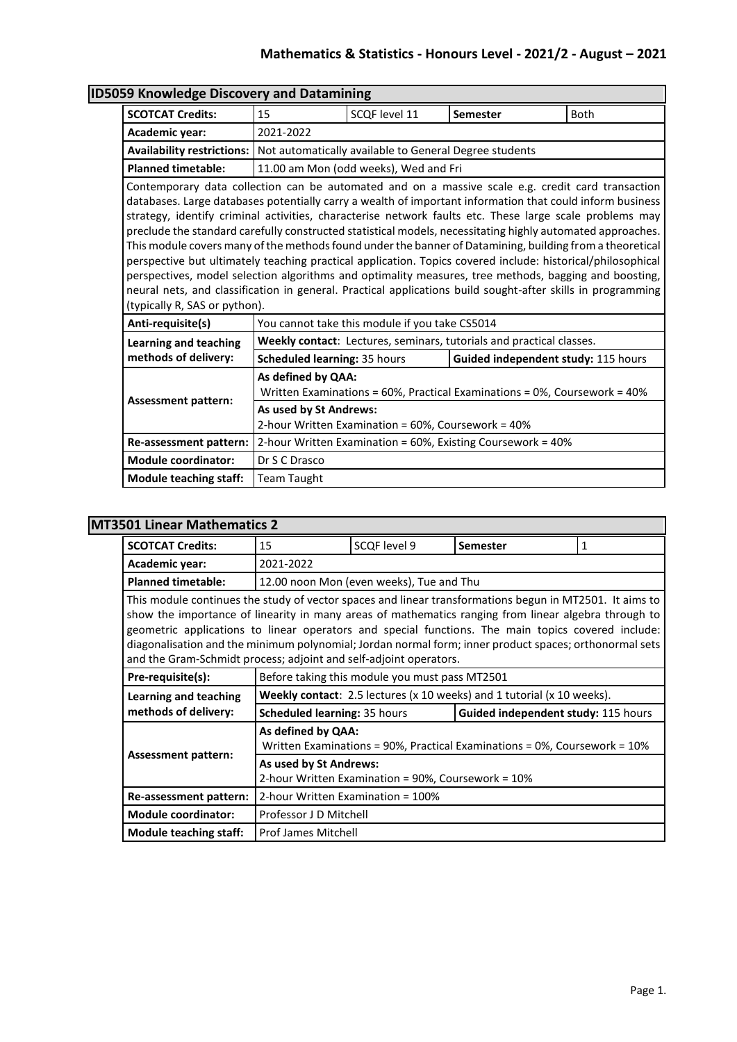## **Mathematics & Statistics - Honours Level - 2021/2 - August – 2021**

|                                                                                     | <b>ID5059 Knowledge Discovery and Datamining</b>                                                                                                                                                                                                                                                                                                                                                                                                                                                                                                                                                                                                                                                                                                                                                                                                                                           |                                                |                                                                      |             |  |  |  |
|-------------------------------------------------------------------------------------|--------------------------------------------------------------------------------------------------------------------------------------------------------------------------------------------------------------------------------------------------------------------------------------------------------------------------------------------------------------------------------------------------------------------------------------------------------------------------------------------------------------------------------------------------------------------------------------------------------------------------------------------------------------------------------------------------------------------------------------------------------------------------------------------------------------------------------------------------------------------------------------------|------------------------------------------------|----------------------------------------------------------------------|-------------|--|--|--|
| <b>SCOTCAT Credits:</b>                                                             | 15                                                                                                                                                                                                                                                                                                                                                                                                                                                                                                                                                                                                                                                                                                                                                                                                                                                                                         | SCQF level 11                                  | Semester                                                             | <b>Both</b> |  |  |  |
| Academic year:                                                                      | 2021-2022                                                                                                                                                                                                                                                                                                                                                                                                                                                                                                                                                                                                                                                                                                                                                                                                                                                                                  |                                                |                                                                      |             |  |  |  |
| Availability restrictions:   Not automatically available to General Degree students |                                                                                                                                                                                                                                                                                                                                                                                                                                                                                                                                                                                                                                                                                                                                                                                                                                                                                            |                                                |                                                                      |             |  |  |  |
| <b>Planned timetable:</b>                                                           | 11.00 am Mon (odd weeks), Wed and Fri                                                                                                                                                                                                                                                                                                                                                                                                                                                                                                                                                                                                                                                                                                                                                                                                                                                      |                                                |                                                                      |             |  |  |  |
| (typically R, SAS or python).                                                       | Contemporary data collection can be automated and on a massive scale e.g. credit card transaction<br>databases. Large databases potentially carry a wealth of important information that could inform business<br>strategy, identify criminal activities, characterise network faults etc. These large scale problems may<br>preclude the standard carefully constructed statistical models, necessitating highly automated approaches.<br>This module covers many of the methods found under the banner of Datamining, building from a theoretical<br>perspective but ultimately teaching practical application. Topics covered include: historical/philosophical<br>perspectives, model selection algorithms and optimality measures, tree methods, bagging and boosting,<br>neural nets, and classification in general. Practical applications build sought-after skills in programming |                                                |                                                                      |             |  |  |  |
| Anti-requisite(s)                                                                   |                                                                                                                                                                                                                                                                                                                                                                                                                                                                                                                                                                                                                                                                                                                                                                                                                                                                                            | You cannot take this module if you take CS5014 |                                                                      |             |  |  |  |
| <b>Learning and teaching</b>                                                        |                                                                                                                                                                                                                                                                                                                                                                                                                                                                                                                                                                                                                                                                                                                                                                                                                                                                                            |                                                | Weekly contact: Lectures, seminars, tutorials and practical classes. |             |  |  |  |
| methods of delivery:                                                                | Scheduled learning: 35 hours                                                                                                                                                                                                                                                                                                                                                                                                                                                                                                                                                                                                                                                                                                                                                                                                                                                               |                                                | Guided independent study: 115 hours                                  |             |  |  |  |
|                                                                                     | As defined by QAA:<br>Written Examinations = 60%, Practical Examinations = 0%, Coursework = 40%                                                                                                                                                                                                                                                                                                                                                                                                                                                                                                                                                                                                                                                                                                                                                                                            |                                                |                                                                      |             |  |  |  |
| <b>Assessment pattern:</b>                                                          | As used by St Andrews:<br>2-hour Written Examination = 60%, Coursework = 40%                                                                                                                                                                                                                                                                                                                                                                                                                                                                                                                                                                                                                                                                                                                                                                                                               |                                                |                                                                      |             |  |  |  |
| Re-assessment pattern:                                                              | 2-hour Written Examination = 60%, Existing Coursework = 40%                                                                                                                                                                                                                                                                                                                                                                                                                                                                                                                                                                                                                                                                                                                                                                                                                                |                                                |                                                                      |             |  |  |  |
| <b>Module coordinator:</b>                                                          | Dr S C Drasco                                                                                                                                                                                                                                                                                                                                                                                                                                                                                                                                                                                                                                                                                                                                                                                                                                                                              |                                                |                                                                      |             |  |  |  |
|                                                                                     |                                                                                                                                                                                                                                                                                                                                                                                                                                                                                                                                                                                                                                                                                                                                                                                                                                                                                            |                                                |                                                                      |             |  |  |  |

## **MT3501 Linear Mathematics 2**

| <b>SCOTCAT Credits:</b>                                                                                                                                                                                                                                                                                                                                                                                                                                                                              | 15                                                                                                         | SCOF level 9                                   | <b>Semester</b>                                                               | 1 |
|------------------------------------------------------------------------------------------------------------------------------------------------------------------------------------------------------------------------------------------------------------------------------------------------------------------------------------------------------------------------------------------------------------------------------------------------------------------------------------------------------|------------------------------------------------------------------------------------------------------------|------------------------------------------------|-------------------------------------------------------------------------------|---|
| Academic year:                                                                                                                                                                                                                                                                                                                                                                                                                                                                                       | 2021-2022                                                                                                  |                                                |                                                                               |   |
| <b>Planned timetable:</b>                                                                                                                                                                                                                                                                                                                                                                                                                                                                            |                                                                                                            | 12.00 noon Mon (even weeks), Tue and Thu       |                                                                               |   |
| This module continues the study of vector spaces and linear transformations begun in MT2501. It aims to<br>show the importance of linearity in many areas of mathematics ranging from linear algebra through to<br>geometric applications to linear operators and special functions. The main topics covered include:<br>diagonalisation and the minimum polynomial; Jordan normal form; inner product spaces; orthonormal sets<br>and the Gram-Schmidt process; adjoint and self-adjoint operators. |                                                                                                            |                                                |                                                                               |   |
| Pre-requisite(s):                                                                                                                                                                                                                                                                                                                                                                                                                                                                                    |                                                                                                            | Before taking this module you must pass MT2501 |                                                                               |   |
| Learning and teaching                                                                                                                                                                                                                                                                                                                                                                                                                                                                                |                                                                                                            |                                                | <b>Weekly contact:</b> 2.5 lectures (x 10 weeks) and 1 tutorial (x 10 weeks). |   |
| methods of delivery:                                                                                                                                                                                                                                                                                                                                                                                                                                                                                 | <b>Scheduled learning: 35 hours</b>                                                                        |                                                | Guided independent study: 115 hours                                           |   |
| <b>Assessment pattern:</b>                                                                                                                                                                                                                                                                                                                                                                                                                                                                           | As defined by QAA:<br>Written Examinations = $90\%$ , Practical Examinations = $0\%$ , Coursework = $10\%$ |                                                |                                                                               |   |
|                                                                                                                                                                                                                                                                                                                                                                                                                                                                                                      | As used by St Andrews:<br>2-hour Written Examination = 90%, Coursework = 10%                               |                                                |                                                                               |   |
| Re-assessment pattern:                                                                                                                                                                                                                                                                                                                                                                                                                                                                               | 2-hour Written Examination = 100%                                                                          |                                                |                                                                               |   |
| <b>Module coordinator:</b>                                                                                                                                                                                                                                                                                                                                                                                                                                                                           | Professor J D Mitchell                                                                                     |                                                |                                                                               |   |
| <b>Module teaching staff:</b>                                                                                                                                                                                                                                                                                                                                                                                                                                                                        | <b>Prof James Mitchell</b>                                                                                 |                                                |                                                                               |   |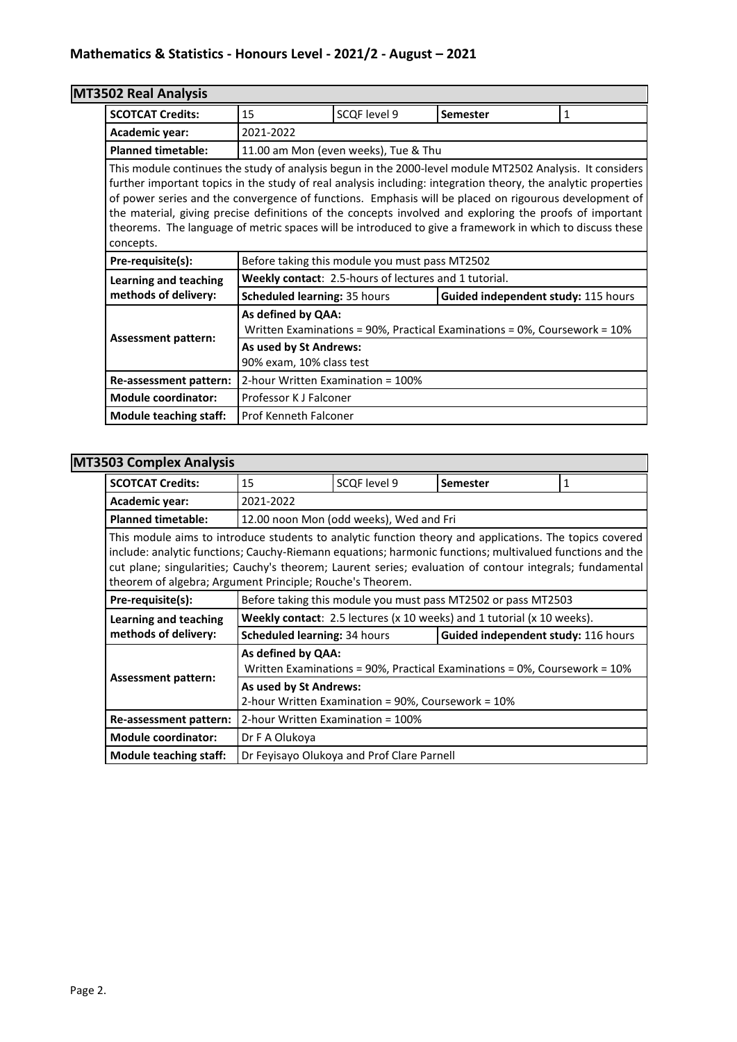# **MT3502 Real Analysis**

| <b>SCOTCAT Credits:</b>                                                                                                                                                                                                                                                                                                                                                                                                                                                                                                                                                | 15                                                                                              | SCQF level 9                                                 | <b>Semester</b>                     | 1 |  |
|------------------------------------------------------------------------------------------------------------------------------------------------------------------------------------------------------------------------------------------------------------------------------------------------------------------------------------------------------------------------------------------------------------------------------------------------------------------------------------------------------------------------------------------------------------------------|-------------------------------------------------------------------------------------------------|--------------------------------------------------------------|-------------------------------------|---|--|
| Academic year:                                                                                                                                                                                                                                                                                                                                                                                                                                                                                                                                                         | 2021-2022                                                                                       |                                                              |                                     |   |  |
| <b>Planned timetable:</b>                                                                                                                                                                                                                                                                                                                                                                                                                                                                                                                                              |                                                                                                 | 11.00 am Mon (even weeks), Tue & Thu                         |                                     |   |  |
| This module continues the study of analysis begun in the 2000-level module MT2502 Analysis. It considers<br>further important topics in the study of real analysis including: integration theory, the analytic properties<br>of power series and the convergence of functions. Emphasis will be placed on rigourous development of<br>the material, giving precise definitions of the concepts involved and exploring the proofs of important<br>theorems. The language of metric spaces will be introduced to give a framework in which to discuss these<br>concepts. |                                                                                                 |                                                              |                                     |   |  |
| Pre-requisite(s):                                                                                                                                                                                                                                                                                                                                                                                                                                                                                                                                                      | Before taking this module you must pass MT2502                                                  |                                                              |                                     |   |  |
| Learning and teaching                                                                                                                                                                                                                                                                                                                                                                                                                                                                                                                                                  |                                                                                                 | <b>Weekly contact: 2.5-hours of lectures and 1 tutorial.</b> |                                     |   |  |
| methods of delivery:                                                                                                                                                                                                                                                                                                                                                                                                                                                                                                                                                   | <b>Scheduled learning: 35 hours</b>                                                             |                                                              | Guided independent study: 115 hours |   |  |
| <b>Assessment pattern:</b>                                                                                                                                                                                                                                                                                                                                                                                                                                                                                                                                             | As defined by QAA:<br>Written Examinations = 90%, Practical Examinations = 0%, Coursework = 10% |                                                              |                                     |   |  |
|                                                                                                                                                                                                                                                                                                                                                                                                                                                                                                                                                                        | As used by St Andrews:<br>90% exam, 10% class test                                              |                                                              |                                     |   |  |
| Re-assessment pattern:                                                                                                                                                                                                                                                                                                                                                                                                                                                                                                                                                 | 2-hour Written Examination = 100%                                                               |                                                              |                                     |   |  |
| <b>Module coordinator:</b>                                                                                                                                                                                                                                                                                                                                                                                                                                                                                                                                             | Professor K J Falconer                                                                          |                                                              |                                     |   |  |
| <b>Module teaching staff:</b>                                                                                                                                                                                                                                                                                                                                                                                                                                                                                                                                          | <b>Prof Kenneth Falconer</b>                                                                    |                                                              |                                     |   |  |

## **MT3503 Complex Analysis**

| <b>SCOTCAT Credits:</b>                                                                                                                                                                                                                                                                                                                                                                      | 15                                                                                                         | SCQF level 9                               | <b>Semester</b>                                                        | 1 |  |
|----------------------------------------------------------------------------------------------------------------------------------------------------------------------------------------------------------------------------------------------------------------------------------------------------------------------------------------------------------------------------------------------|------------------------------------------------------------------------------------------------------------|--------------------------------------------|------------------------------------------------------------------------|---|--|
| Academic year:                                                                                                                                                                                                                                                                                                                                                                               | 2021-2022                                                                                                  |                                            |                                                                        |   |  |
| <b>Planned timetable:</b>                                                                                                                                                                                                                                                                                                                                                                    |                                                                                                            | 12.00 noon Mon (odd weeks), Wed and Fri    |                                                                        |   |  |
| This module aims to introduce students to analytic function theory and applications. The topics covered<br>include: analytic functions; Cauchy-Riemann equations; harmonic functions; multivalued functions and the<br>cut plane; singularities; Cauchy's theorem; Laurent series; evaluation of contour integrals; fundamental<br>theorem of algebra; Argument Principle; Rouche's Theorem. |                                                                                                            |                                            |                                                                        |   |  |
| Pre-requisite(s):                                                                                                                                                                                                                                                                                                                                                                            | Before taking this module you must pass MT2502 or pass MT2503                                              |                                            |                                                                        |   |  |
| Learning and teaching                                                                                                                                                                                                                                                                                                                                                                        |                                                                                                            |                                            | Weekly contact: 2.5 lectures (x 10 weeks) and 1 tutorial (x 10 weeks). |   |  |
| methods of delivery:                                                                                                                                                                                                                                                                                                                                                                         | Scheduled learning: 34 hours<br>Guided independent study: 116 hours                                        |                                            |                                                                        |   |  |
|                                                                                                                                                                                                                                                                                                                                                                                              | As defined by QAA:<br>Written Examinations = $90\%$ , Practical Examinations = $0\%$ , Coursework = $10\%$ |                                            |                                                                        |   |  |
| <b>Assessment pattern:</b>                                                                                                                                                                                                                                                                                                                                                                   | As used by St Andrews:<br>2-hour Written Examination = 90%, Coursework = 10%                               |                                            |                                                                        |   |  |
| Re-assessment pattern:                                                                                                                                                                                                                                                                                                                                                                       | 2-hour Written Examination = 100%                                                                          |                                            |                                                                        |   |  |
| <b>Module coordinator:</b>                                                                                                                                                                                                                                                                                                                                                                   | Dr F A Olukoya                                                                                             |                                            |                                                                        |   |  |
| Module teaching staff:                                                                                                                                                                                                                                                                                                                                                                       |                                                                                                            | Dr Feyisayo Olukoya and Prof Clare Parnell |                                                                        |   |  |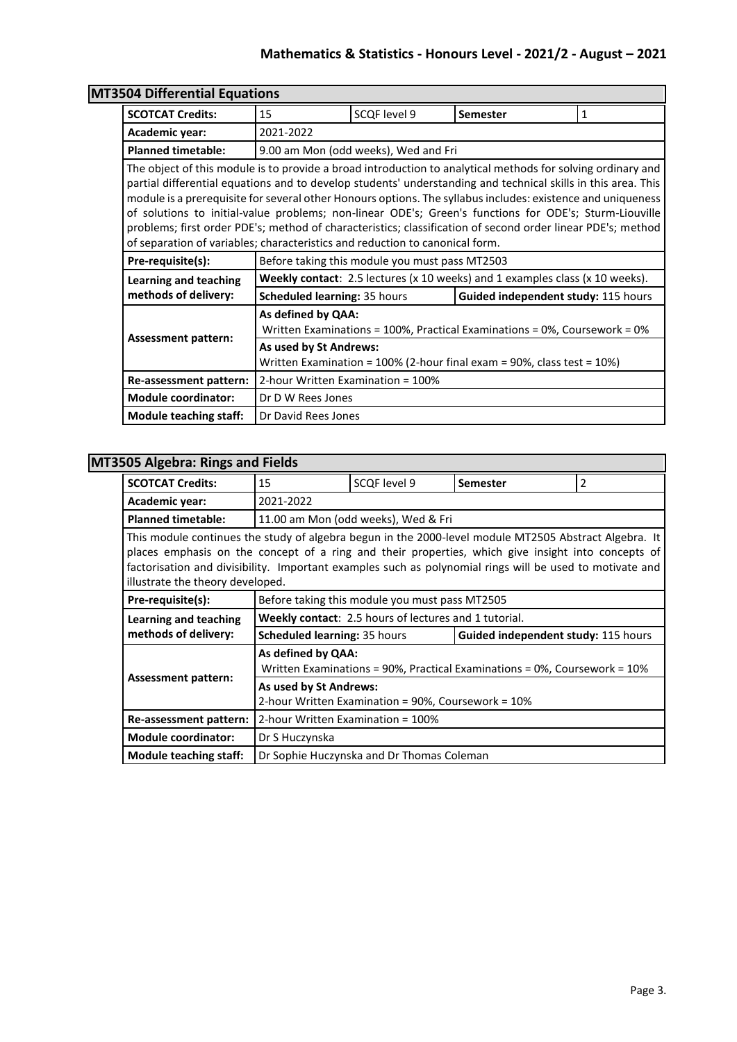## **Mathematics & Statistics - Honours Level - 2021/2 - August – 2021**

| <b>MT3504 Differential Equations</b> |                                                                                                                                                                                                                                                                                                                                                                                                                                                                                                                                                                                                                                                      |                                                |                                                                              |   |  |
|--------------------------------------|------------------------------------------------------------------------------------------------------------------------------------------------------------------------------------------------------------------------------------------------------------------------------------------------------------------------------------------------------------------------------------------------------------------------------------------------------------------------------------------------------------------------------------------------------------------------------------------------------------------------------------------------------|------------------------------------------------|------------------------------------------------------------------------------|---|--|
| <b>SCOTCAT Credits:</b>              | 15                                                                                                                                                                                                                                                                                                                                                                                                                                                                                                                                                                                                                                                   | SCQF level 9                                   | <b>Semester</b>                                                              | 1 |  |
| Academic year:                       | 2021-2022                                                                                                                                                                                                                                                                                                                                                                                                                                                                                                                                                                                                                                            |                                                |                                                                              |   |  |
| <b>Planned timetable:</b>            |                                                                                                                                                                                                                                                                                                                                                                                                                                                                                                                                                                                                                                                      | 9.00 am Mon (odd weeks), Wed and Fri           |                                                                              |   |  |
|                                      | The object of this module is to provide a broad introduction to analytical methods for solving ordinary and<br>partial differential equations and to develop students' understanding and technical skills in this area. This<br>module is a prerequisite for several other Honours options. The syllabus includes: existence and uniqueness<br>of solutions to initial-value problems; non-linear ODE's; Green's functions for ODE's; Sturm-Liouville<br>problems; first order PDE's; method of characteristics; classification of second order linear PDE's; method<br>of separation of variables; characteristics and reduction to canonical form. |                                                |                                                                              |   |  |
| Pre-requisite(s):                    |                                                                                                                                                                                                                                                                                                                                                                                                                                                                                                                                                                                                                                                      | Before taking this module you must pass MT2503 |                                                                              |   |  |
| Learning and teaching                |                                                                                                                                                                                                                                                                                                                                                                                                                                                                                                                                                                                                                                                      |                                                | Weekly contact: 2.5 lectures (x 10 weeks) and 1 examples class (x 10 weeks). |   |  |
| methods of delivery:                 | <b>Scheduled learning: 35 hours</b>                                                                                                                                                                                                                                                                                                                                                                                                                                                                                                                                                                                                                  |                                                | Guided independent study: 115 hours                                          |   |  |
| <b>Assessment pattern:</b>           | As defined by QAA:<br>Written Examinations = 100%, Practical Examinations = 0%, Coursework = $0\%$                                                                                                                                                                                                                                                                                                                                                                                                                                                                                                                                                   |                                                |                                                                              |   |  |
|                                      | As used by St Andrews:<br>Written Examination = 100% (2-hour final exam = 90%, class test = 10%)                                                                                                                                                                                                                                                                                                                                                                                                                                                                                                                                                     |                                                |                                                                              |   |  |
| Re-assessment pattern:               | 2-hour Written Examination = 100%                                                                                                                                                                                                                                                                                                                                                                                                                                                                                                                                                                                                                    |                                                |                                                                              |   |  |
| <b>Module coordinator:</b>           | Dr D W Rees Jones                                                                                                                                                                                                                                                                                                                                                                                                                                                                                                                                                                                                                                    |                                                |                                                                              |   |  |
| <b>Module teaching staff:</b>        | Dr David Rees Jones                                                                                                                                                                                                                                                                                                                                                                                                                                                                                                                                                                                                                                  |                                                |                                                                              |   |  |

# **MT3505 Algebra: Rings and Fields**

| <b>SCOTCAT Credits:</b>                                                                                                                                                                                                                                                                                                                                     | 15                                                                                                         | SCQF level 9                                                 | <b>Semester</b> | 2 |
|-------------------------------------------------------------------------------------------------------------------------------------------------------------------------------------------------------------------------------------------------------------------------------------------------------------------------------------------------------------|------------------------------------------------------------------------------------------------------------|--------------------------------------------------------------|-----------------|---|
| Academic year:                                                                                                                                                                                                                                                                                                                                              | 2021-2022                                                                                                  |                                                              |                 |   |
| <b>Planned timetable:</b>                                                                                                                                                                                                                                                                                                                                   |                                                                                                            | 11.00 am Mon (odd weeks), Wed & Fri                          |                 |   |
| This module continues the study of algebra begun in the 2000-level module MT2505 Abstract Algebra. It<br>places emphasis on the concept of a ring and their properties, which give insight into concepts of<br>factorisation and divisibility. Important examples such as polynomial rings will be used to motivate and<br>illustrate the theory developed. |                                                                                                            |                                                              |                 |   |
| Pre-requisite(s):                                                                                                                                                                                                                                                                                                                                           |                                                                                                            | Before taking this module you must pass MT2505               |                 |   |
| Learning and teaching                                                                                                                                                                                                                                                                                                                                       |                                                                                                            | <b>Weekly contact:</b> 2.5 hours of lectures and 1 tutorial. |                 |   |
| methods of delivery:                                                                                                                                                                                                                                                                                                                                        | <b>Scheduled learning: 35 hours</b><br>Guided independent study: 115 hours                                 |                                                              |                 |   |
| <b>Assessment pattern:</b>                                                                                                                                                                                                                                                                                                                                  | As defined by QAA:<br>Written Examinations = $90\%$ , Practical Examinations = $0\%$ , Coursework = $10\%$ |                                                              |                 |   |
|                                                                                                                                                                                                                                                                                                                                                             | As used by St Andrews:<br>2-hour Written Examination = 90%, Coursework = 10%                               |                                                              |                 |   |
| Re-assessment pattern:                                                                                                                                                                                                                                                                                                                                      | 2-hour Written Examination = 100%                                                                          |                                                              |                 |   |
| <b>Module coordinator:</b>                                                                                                                                                                                                                                                                                                                                  | Dr S Huczynska                                                                                             |                                                              |                 |   |
| <b>Module teaching staff:</b>                                                                                                                                                                                                                                                                                                                               |                                                                                                            | Dr Sophie Huczynska and Dr Thomas Coleman                    |                 |   |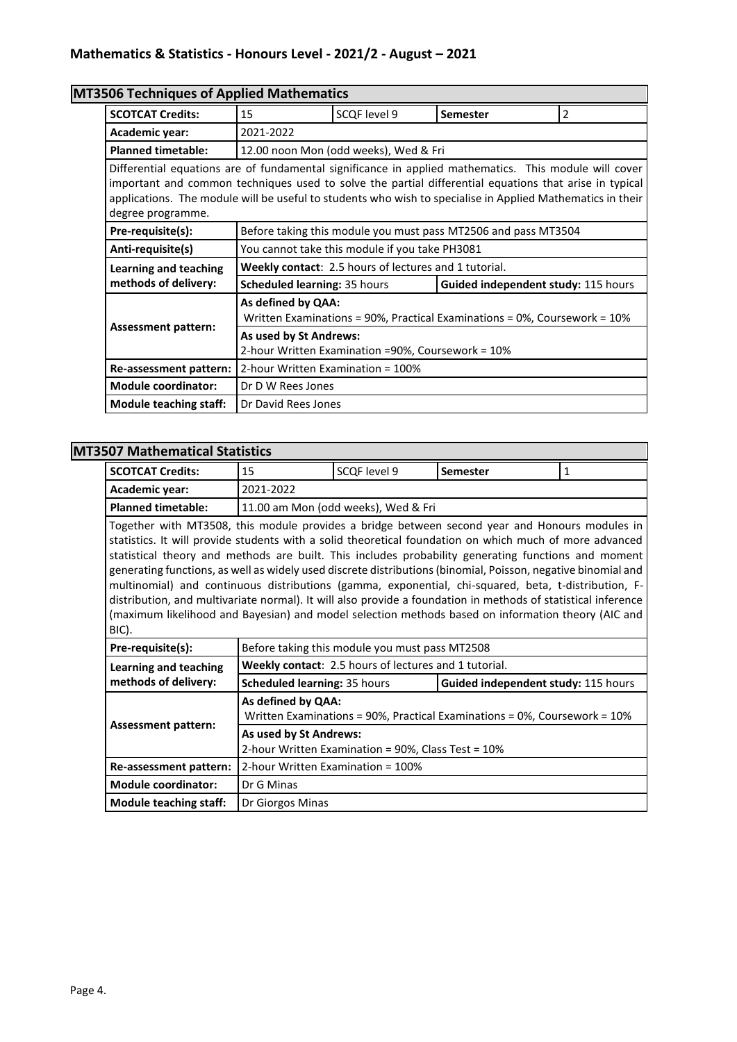# **MT3506 Techniques of Applied Mathematics**

| <b>SCOTCAT Credits:</b>                                                                                                                                                                                                                                                                                                                            | 15                                                                                                         | SCOF level 9                                          | <b>Semester</b>                                                | 2 |  |
|----------------------------------------------------------------------------------------------------------------------------------------------------------------------------------------------------------------------------------------------------------------------------------------------------------------------------------------------------|------------------------------------------------------------------------------------------------------------|-------------------------------------------------------|----------------------------------------------------------------|---|--|
| Academic year:                                                                                                                                                                                                                                                                                                                                     | 2021-2022                                                                                                  |                                                       |                                                                |   |  |
| <b>Planned timetable:</b>                                                                                                                                                                                                                                                                                                                          |                                                                                                            | 12.00 noon Mon (odd weeks), Wed & Fri                 |                                                                |   |  |
| Differential equations are of fundamental significance in applied mathematics. This module will cover<br>important and common techniques used to solve the partial differential equations that arise in typical<br>applications. The module will be useful to students who wish to specialise in Applied Mathematics in their<br>degree programme. |                                                                                                            |                                                       |                                                                |   |  |
| Pre-requisite(s):                                                                                                                                                                                                                                                                                                                                  |                                                                                                            |                                                       | Before taking this module you must pass MT2506 and pass MT3504 |   |  |
| Anti-requisite(s)                                                                                                                                                                                                                                                                                                                                  |                                                                                                            | You cannot take this module if you take PH3081        |                                                                |   |  |
| Learning and teaching                                                                                                                                                                                                                                                                                                                              |                                                                                                            | Weekly contact: 2.5 hours of lectures and 1 tutorial. |                                                                |   |  |
| methods of delivery:                                                                                                                                                                                                                                                                                                                               | <b>Scheduled learning: 35 hours</b>                                                                        |                                                       | Guided independent study: 115 hours                            |   |  |
| <b>Assessment pattern:</b>                                                                                                                                                                                                                                                                                                                         | As defined by QAA:<br>Written Examinations = $90\%$ , Practical Examinations = $0\%$ , Coursework = $10\%$ |                                                       |                                                                |   |  |
|                                                                                                                                                                                                                                                                                                                                                    | As used by St Andrews:<br>2-hour Written Examination =90%, Coursework = 10%                                |                                                       |                                                                |   |  |
| Re-assessment pattern:                                                                                                                                                                                                                                                                                                                             | 2-hour Written Examination = 100%                                                                          |                                                       |                                                                |   |  |
| <b>Module coordinator:</b>                                                                                                                                                                                                                                                                                                                         | Dr D W Rees Jones                                                                                          |                                                       |                                                                |   |  |
| <b>Module teaching staff:</b>                                                                                                                                                                                                                                                                                                                      | Dr David Rees Jones                                                                                        |                                                       |                                                                |   |  |

## **MT3507 Mathematical Statistics**

| <b>SCOTCAT Credits:</b>                                                                                                                                                                                                                                                                                                                                                                                                                                                                                                                                                                                                                                                                                                                                                   | 15                                                                           | SCQF level 9                                                 | Semester                                                                  | 1 |  |
|---------------------------------------------------------------------------------------------------------------------------------------------------------------------------------------------------------------------------------------------------------------------------------------------------------------------------------------------------------------------------------------------------------------------------------------------------------------------------------------------------------------------------------------------------------------------------------------------------------------------------------------------------------------------------------------------------------------------------------------------------------------------------|------------------------------------------------------------------------------|--------------------------------------------------------------|---------------------------------------------------------------------------|---|--|
| Academic year:                                                                                                                                                                                                                                                                                                                                                                                                                                                                                                                                                                                                                                                                                                                                                            | 2021-2022                                                                    |                                                              |                                                                           |   |  |
| <b>Planned timetable:</b>                                                                                                                                                                                                                                                                                                                                                                                                                                                                                                                                                                                                                                                                                                                                                 |                                                                              | 11.00 am Mon (odd weeks), Wed & Fri                          |                                                                           |   |  |
| Together with MT3508, this module provides a bridge between second year and Honours modules in<br>statistics. It will provide students with a solid theoretical foundation on which much of more advanced<br>statistical theory and methods are built. This includes probability generating functions and moment<br>generating functions, as well as widely used discrete distributions (binomial, Poisson, negative binomial and<br>multinomial) and continuous distributions (gamma, exponential, chi-squared, beta, t-distribution, F-<br>distribution, and multivariate normal). It will also provide a foundation in methods of statistical inference<br>(maximum likelihood and Bayesian) and model selection methods based on information theory (AIC and<br>BIC). |                                                                              |                                                              |                                                                           |   |  |
| Pre-requisite(s):                                                                                                                                                                                                                                                                                                                                                                                                                                                                                                                                                                                                                                                                                                                                                         |                                                                              | Before taking this module you must pass MT2508               |                                                                           |   |  |
| Learning and teaching                                                                                                                                                                                                                                                                                                                                                                                                                                                                                                                                                                                                                                                                                                                                                     |                                                                              | <b>Weekly contact: 2.5 hours of lectures and 1 tutorial.</b> |                                                                           |   |  |
| methods of delivery:                                                                                                                                                                                                                                                                                                                                                                                                                                                                                                                                                                                                                                                                                                                                                      | Scheduled learning: 35 hours                                                 |                                                              | Guided independent study: 115 hours                                       |   |  |
|                                                                                                                                                                                                                                                                                                                                                                                                                                                                                                                                                                                                                                                                                                                                                                           | As defined by QAA:                                                           |                                                              | Written Examinations = 90%, Practical Examinations = 0%, Coursework = 10% |   |  |
| <b>Assessment pattern:</b>                                                                                                                                                                                                                                                                                                                                                                                                                                                                                                                                                                                                                                                                                                                                                | As used by St Andrews:<br>2-hour Written Examination = 90%, Class Test = 10% |                                                              |                                                                           |   |  |
| Re-assessment pattern:                                                                                                                                                                                                                                                                                                                                                                                                                                                                                                                                                                                                                                                                                                                                                    | 2-hour Written Examination = 100%                                            |                                                              |                                                                           |   |  |
| <b>Module coordinator:</b>                                                                                                                                                                                                                                                                                                                                                                                                                                                                                                                                                                                                                                                                                                                                                | Dr G Minas                                                                   |                                                              |                                                                           |   |  |
| <b>Module teaching staff:</b>                                                                                                                                                                                                                                                                                                                                                                                                                                                                                                                                                                                                                                                                                                                                             | Dr Giorgos Minas                                                             |                                                              |                                                                           |   |  |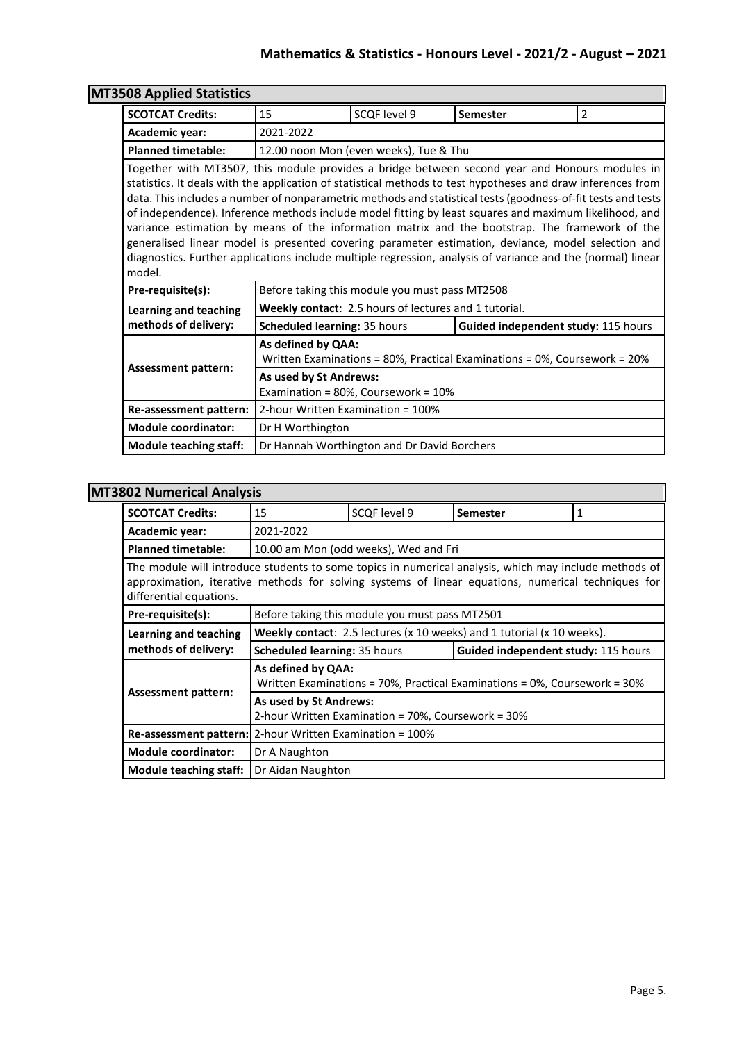| <b>MT3508 Applied Statistics</b> |                                                                                                                                                                                                                                                                                                                                                                                                                                                                                                                                                                                                                                                                                                                                                                 |                                                       |                                                                           |                |  |
|----------------------------------|-----------------------------------------------------------------------------------------------------------------------------------------------------------------------------------------------------------------------------------------------------------------------------------------------------------------------------------------------------------------------------------------------------------------------------------------------------------------------------------------------------------------------------------------------------------------------------------------------------------------------------------------------------------------------------------------------------------------------------------------------------------------|-------------------------------------------------------|---------------------------------------------------------------------------|----------------|--|
| <b>SCOTCAT Credits:</b>          | 15                                                                                                                                                                                                                                                                                                                                                                                                                                                                                                                                                                                                                                                                                                                                                              | SCQF level 9                                          | Semester                                                                  | $\overline{2}$ |  |
| Academic year:                   | 2021-2022                                                                                                                                                                                                                                                                                                                                                                                                                                                                                                                                                                                                                                                                                                                                                       |                                                       |                                                                           |                |  |
| <b>Planned timetable:</b>        |                                                                                                                                                                                                                                                                                                                                                                                                                                                                                                                                                                                                                                                                                                                                                                 | 12.00 noon Mon (even weeks), Tue & Thu                |                                                                           |                |  |
| model.                           | Together with MT3507, this module provides a bridge between second year and Honours modules in<br>statistics. It deals with the application of statistical methods to test hypotheses and draw inferences from<br>data. This includes a number of nonparametric methods and statistical tests (goodness-of-fit tests and tests<br>of independence). Inference methods include model fitting by least squares and maximum likelihood, and<br>variance estimation by means of the information matrix and the bootstrap. The framework of the<br>generalised linear model is presented covering parameter estimation, deviance, model selection and<br>diagnostics. Further applications include multiple regression, analysis of variance and the (normal) linear |                                                       |                                                                           |                |  |
| Pre-requisite(s):                |                                                                                                                                                                                                                                                                                                                                                                                                                                                                                                                                                                                                                                                                                                                                                                 | Before taking this module you must pass MT2508        |                                                                           |                |  |
| <b>Learning and teaching</b>     |                                                                                                                                                                                                                                                                                                                                                                                                                                                                                                                                                                                                                                                                                                                                                                 | Weekly contact: 2.5 hours of lectures and 1 tutorial. |                                                                           |                |  |
| methods of delivery:             | Scheduled learning: 35 hours                                                                                                                                                                                                                                                                                                                                                                                                                                                                                                                                                                                                                                                                                                                                    |                                                       | Guided independent study: 115 hours                                       |                |  |
| <b>Assessment pattern:</b>       | As defined by QAA:                                                                                                                                                                                                                                                                                                                                                                                                                                                                                                                                                                                                                                                                                                                                              |                                                       | Written Examinations = 80%, Practical Examinations = 0%, Coursework = 20% |                |  |
|                                  | As used by St Andrews:<br>Examination = 80%, Coursework = 10%                                                                                                                                                                                                                                                                                                                                                                                                                                                                                                                                                                                                                                                                                                   |                                                       |                                                                           |                |  |
| Re-assessment pattern:           |                                                                                                                                                                                                                                                                                                                                                                                                                                                                                                                                                                                                                                                                                                                                                                 | 2-hour Written Examination = 100%                     |                                                                           |                |  |
| <b>Module coordinator:</b>       | Dr H Worthington                                                                                                                                                                                                                                                                                                                                                                                                                                                                                                                                                                                                                                                                                                                                                |                                                       |                                                                           |                |  |
| <b>Module teaching staff:</b>    |                                                                                                                                                                                                                                                                                                                                                                                                                                                                                                                                                                                                                                                                                                                                                                 | Dr Hannah Worthington and Dr David Borchers           |                                                                           |                |  |

### **MT3802 Numerical Analysis**

| <b>SCOTCAT Credits:</b>                                                                                                                                                                                                                | 15                                                                                                 | SCQF level 9                                   | <b>Semester</b>                                                        | 1 |  |
|----------------------------------------------------------------------------------------------------------------------------------------------------------------------------------------------------------------------------------------|----------------------------------------------------------------------------------------------------|------------------------------------------------|------------------------------------------------------------------------|---|--|
| Academic year:                                                                                                                                                                                                                         | 2021-2022                                                                                          |                                                |                                                                        |   |  |
| <b>Planned timetable:</b>                                                                                                                                                                                                              |                                                                                                    | 10.00 am Mon (odd weeks), Wed and Fri          |                                                                        |   |  |
| The module will introduce students to some topics in numerical analysis, which may include methods of<br>approximation, iterative methods for solving systems of linear equations, numerical techniques for<br>differential equations. |                                                                                                    |                                                |                                                                        |   |  |
| Pre-requisite(s):                                                                                                                                                                                                                      |                                                                                                    | Before taking this module you must pass MT2501 |                                                                        |   |  |
| Learning and teaching                                                                                                                                                                                                                  |                                                                                                    |                                                | Weekly contact: 2.5 lectures (x 10 weeks) and 1 tutorial (x 10 weeks). |   |  |
| methods of delivery:                                                                                                                                                                                                                   | Guided independent study: 115 hours<br><b>Scheduled learning: 35 hours</b>                         |                                                |                                                                        |   |  |
|                                                                                                                                                                                                                                        | As defined by QAA:<br>Written Examinations = 70%, Practical Examinations = 0%, Coursework = $30\%$ |                                                |                                                                        |   |  |
| Assessment pattern:                                                                                                                                                                                                                    | As used by St Andrews:<br>2-hour Written Examination = 70%, Coursework = 30%                       |                                                |                                                                        |   |  |
|                                                                                                                                                                                                                                        | Re-assessment pattern:   2-hour Written Examination = 100%                                         |                                                |                                                                        |   |  |
| <b>Module coordinator:</b>                                                                                                                                                                                                             | Dr A Naughton                                                                                      |                                                |                                                                        |   |  |
| Module teaching staff:                                                                                                                                                                                                                 | Dr Aidan Naughton                                                                                  |                                                |                                                                        |   |  |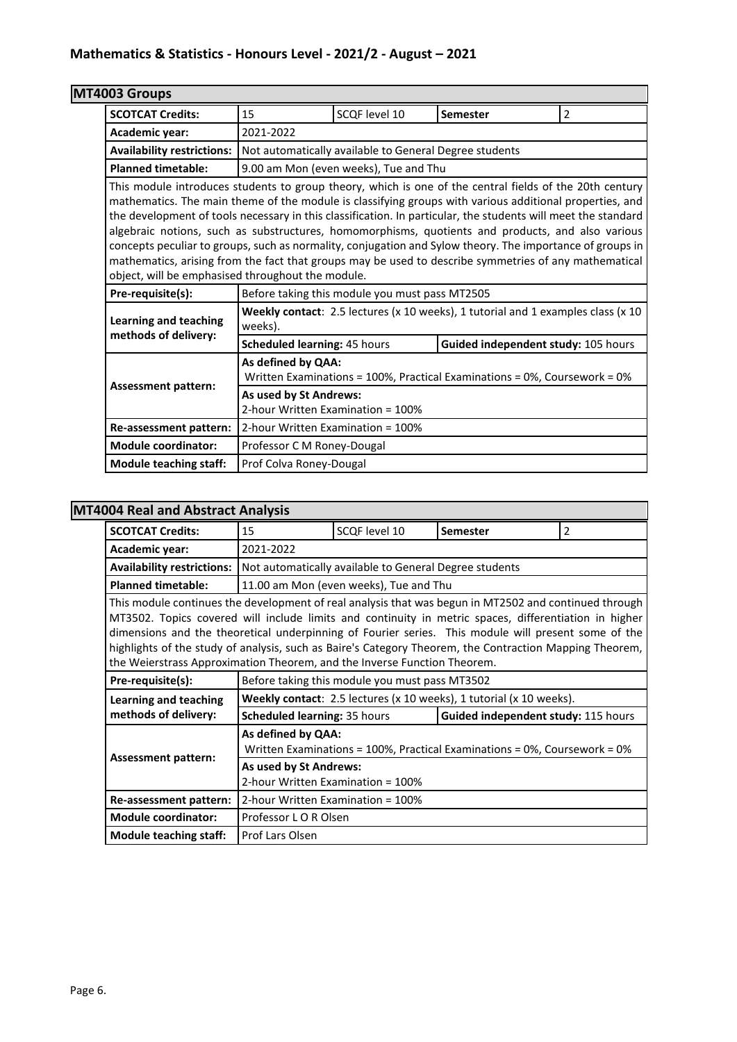| MT4003 Groups                 |                                                                                                                                                                                                                                                                                                                                                                                                                                                                                                                                                                                                          |                                                        |                                                                                  |                |  |
|-------------------------------|----------------------------------------------------------------------------------------------------------------------------------------------------------------------------------------------------------------------------------------------------------------------------------------------------------------------------------------------------------------------------------------------------------------------------------------------------------------------------------------------------------------------------------------------------------------------------------------------------------|--------------------------------------------------------|----------------------------------------------------------------------------------|----------------|--|
| <b>SCOTCAT Credits:</b>       | 15                                                                                                                                                                                                                                                                                                                                                                                                                                                                                                                                                                                                       | SCOF level 10                                          | Semester                                                                         | $\overline{2}$ |  |
| Academic year:                | 2021-2022                                                                                                                                                                                                                                                                                                                                                                                                                                                                                                                                                                                                |                                                        |                                                                                  |                |  |
| Availability restrictions:    |                                                                                                                                                                                                                                                                                                                                                                                                                                                                                                                                                                                                          | Not automatically available to General Degree students |                                                                                  |                |  |
| <b>Planned timetable:</b>     |                                                                                                                                                                                                                                                                                                                                                                                                                                                                                                                                                                                                          | 9.00 am Mon (even weeks), Tue and Thu                  |                                                                                  |                |  |
|                               | mathematics. The main theme of the module is classifying groups with various additional properties, and<br>the development of tools necessary in this classification. In particular, the students will meet the standard<br>algebraic notions, such as substructures, homomorphisms, quotients and products, and also various<br>concepts peculiar to groups, such as normality, conjugation and Sylow theory. The importance of groups in<br>mathematics, arising from the fact that groups may be used to describe symmetries of any mathematical<br>object, will be emphasised throughout the module. |                                                        |                                                                                  |                |  |
| Pre-requisite(s):             |                                                                                                                                                                                                                                                                                                                                                                                                                                                                                                                                                                                                          | Before taking this module you must pass MT2505         |                                                                                  |                |  |
| <b>Learning and teaching</b>  | weeks).                                                                                                                                                                                                                                                                                                                                                                                                                                                                                                                                                                                                  |                                                        | Weekly contact: 2.5 lectures (x 10 weeks), 1 tutorial and 1 examples class (x 10 |                |  |
| methods of delivery:          | Scheduled learning: 45 hours                                                                                                                                                                                                                                                                                                                                                                                                                                                                                                                                                                             |                                                        | Guided independent study: 105 hours                                              |                |  |
| <b>Assessment pattern:</b>    | As defined by QAA:                                                                                                                                                                                                                                                                                                                                                                                                                                                                                                                                                                                       |                                                        | Written Examinations = 100%, Practical Examinations = 0%, Coursework = 0%        |                |  |
|                               | As used by St Andrews:<br>2-hour Written Examination = 100%                                                                                                                                                                                                                                                                                                                                                                                                                                                                                                                                              |                                                        |                                                                                  |                |  |
| Re-assessment pattern:        | 2-hour Written Examination = 100%                                                                                                                                                                                                                                                                                                                                                                                                                                                                                                                                                                        |                                                        |                                                                                  |                |  |
| <b>Module coordinator:</b>    | Professor C M Roney-Dougal                                                                                                                                                                                                                                                                                                                                                                                                                                                                                                                                                                               |                                                        |                                                                                  |                |  |
| <b>Module teaching staff:</b> | Prof Colva Roney-Dougal                                                                                                                                                                                                                                                                                                                                                                                                                                                                                                                                                                                  |                                                        |                                                                                  |                |  |

# **MT4004 Real and Abstract Analysis**

| <b>SCOTCAT Credits:</b>                                                                                                                                                                                                                                                                                                                                                                                                                                                                                      | 15                                                          | SCQF level 10                                          | <b>Semester</b>                                                           | 2 |
|--------------------------------------------------------------------------------------------------------------------------------------------------------------------------------------------------------------------------------------------------------------------------------------------------------------------------------------------------------------------------------------------------------------------------------------------------------------------------------------------------------------|-------------------------------------------------------------|--------------------------------------------------------|---------------------------------------------------------------------------|---|
| Academic year:                                                                                                                                                                                                                                                                                                                                                                                                                                                                                               | 2021-2022                                                   |                                                        |                                                                           |   |
| <b>Availability restrictions:</b>                                                                                                                                                                                                                                                                                                                                                                                                                                                                            |                                                             | Not automatically available to General Degree students |                                                                           |   |
| <b>Planned timetable:</b>                                                                                                                                                                                                                                                                                                                                                                                                                                                                                    |                                                             | 11.00 am Mon (even weeks), Tue and Thu                 |                                                                           |   |
| This module continues the development of real analysis that was begun in MT2502 and continued through<br>MT3502. Topics covered will include limits and continuity in metric spaces, differentiation in higher<br>dimensions and the theoretical underpinning of Fourier series. This module will present some of the<br>highlights of the study of analysis, such as Baire's Category Theorem, the Contraction Mapping Theorem,<br>the Weierstrass Approximation Theorem, and the Inverse Function Theorem. |                                                             |                                                        |                                                                           |   |
| Pre-requisite(s):                                                                                                                                                                                                                                                                                                                                                                                                                                                                                            |                                                             | Before taking this module you must pass MT3502         |                                                                           |   |
| Learning and teaching                                                                                                                                                                                                                                                                                                                                                                                                                                                                                        |                                                             |                                                        | Weekly contact: 2.5 lectures (x 10 weeks), 1 tutorial (x 10 weeks).       |   |
| methods of delivery:                                                                                                                                                                                                                                                                                                                                                                                                                                                                                         | <b>Scheduled learning: 35 hours</b>                         |                                                        | Guided independent study: 115 hours                                       |   |
|                                                                                                                                                                                                                                                                                                                                                                                                                                                                                                              | As defined by QAA:                                          |                                                        | Written Examinations = 100%, Practical Examinations = 0%, Coursework = 0% |   |
| <b>Assessment pattern:</b>                                                                                                                                                                                                                                                                                                                                                                                                                                                                                   | As used by St Andrews:<br>2-hour Written Examination = 100% |                                                        |                                                                           |   |
| Re-assessment pattern:                                                                                                                                                                                                                                                                                                                                                                                                                                                                                       | 2-hour Written Examination = 100%                           |                                                        |                                                                           |   |
| <b>Module coordinator:</b>                                                                                                                                                                                                                                                                                                                                                                                                                                                                                   | Professor L O R Olsen                                       |                                                        |                                                                           |   |
| <b>Module teaching staff:</b>                                                                                                                                                                                                                                                                                                                                                                                                                                                                                | Prof Lars Olsen                                             |                                                        |                                                                           |   |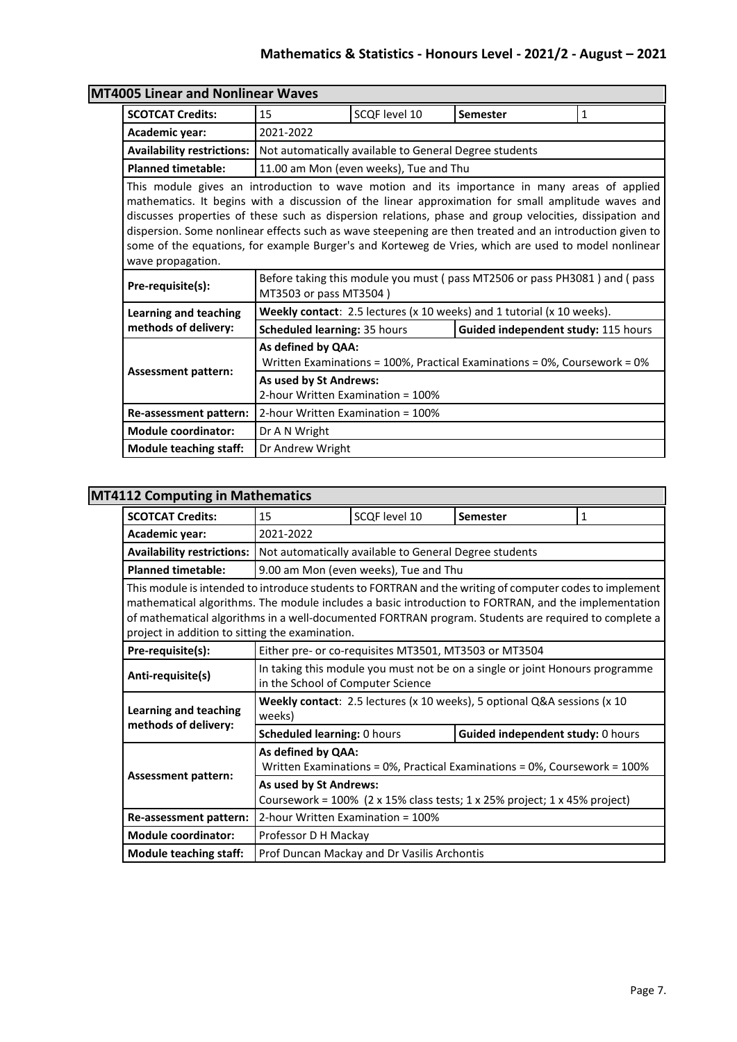| 005 Linear and Nonlinear Waves                                                                                                                                                                                                                                                                                                                                                                                                                                                                                                                         |                                                                                           |                                                        |                                                                           |              |  |  |
|--------------------------------------------------------------------------------------------------------------------------------------------------------------------------------------------------------------------------------------------------------------------------------------------------------------------------------------------------------------------------------------------------------------------------------------------------------------------------------------------------------------------------------------------------------|-------------------------------------------------------------------------------------------|--------------------------------------------------------|---------------------------------------------------------------------------|--------------|--|--|
| <b>SCOTCAT Credits:</b>                                                                                                                                                                                                                                                                                                                                                                                                                                                                                                                                | 15                                                                                        | SCOF level 10                                          | <b>Semester</b>                                                           | $\mathbf{1}$ |  |  |
| Academic year:                                                                                                                                                                                                                                                                                                                                                                                                                                                                                                                                         | 2021-2022                                                                                 |                                                        |                                                                           |              |  |  |
| <b>Availability restrictions:</b>                                                                                                                                                                                                                                                                                                                                                                                                                                                                                                                      |                                                                                           | Not automatically available to General Degree students |                                                                           |              |  |  |
| <b>Planned timetable:</b>                                                                                                                                                                                                                                                                                                                                                                                                                                                                                                                              |                                                                                           | 11.00 am Mon (even weeks), Tue and Thu                 |                                                                           |              |  |  |
| This module gives an introduction to wave motion and its importance in many areas of applied<br>mathematics. It begins with a discussion of the linear approximation for small amplitude waves and<br>discusses properties of these such as dispersion relations, phase and group velocities, dissipation and<br>dispersion. Some nonlinear effects such as wave steepening are then treated and an introduction given to<br>some of the equations, for example Burger's and Korteweg de Vries, which are used to model nonlinear<br>wave propagation. |                                                                                           |                                                        |                                                                           |              |  |  |
| Pre-requisite(s):                                                                                                                                                                                                                                                                                                                                                                                                                                                                                                                                      | MT3503 or pass MT3504)                                                                    |                                                        | Before taking this module you must (pass MT2506 or pass PH3081) and (pass |              |  |  |
| Learning and teaching                                                                                                                                                                                                                                                                                                                                                                                                                                                                                                                                  |                                                                                           |                                                        | Weekly contact: 2.5 lectures (x 10 weeks) and 1 tutorial (x 10 weeks).    |              |  |  |
| methods of delivery:                                                                                                                                                                                                                                                                                                                                                                                                                                                                                                                                   | Scheduled learning: 35 hours<br>Guided independent study: 115 hours                       |                                                        |                                                                           |              |  |  |
| As defined by QAA:<br>Written Examinations = 100%, Practical Examinations = 0%, Coursework = 0%                                                                                                                                                                                                                                                                                                                                                                                                                                                        |                                                                                           |                                                        |                                                                           |              |  |  |
|                                                                                                                                                                                                                                                                                                                                                                                                                                                                                                                                                        | <b>Assessment pattern:</b><br>As used by St Andrews:<br>2-hour Written Examination = 100% |                                                        |                                                                           |              |  |  |
| Re-assessment pattern:                                                                                                                                                                                                                                                                                                                                                                                                                                                                                                                                 | 2-hour Written Examination = 100%                                                         |                                                        |                                                                           |              |  |  |
| <b>Module coordinator:</b>                                                                                                                                                                                                                                                                                                                                                                                                                                                                                                                             | Dr A N Wright                                                                             |                                                        |                                                                           |              |  |  |
| <b>Module teaching staff:</b>                                                                                                                                                                                                                                                                                                                                                                                                                                                                                                                          | Dr Andrew Wright                                                                          |                                                        |                                                                           |              |  |  |

# **MT40**

### **MT4112 Computing in Mathematics**

| <b>SCOTCAT Credits:</b>                                                                                                                                                                                                                                                                                                                                                    | 15                                                                                                     | SCQF level 10                                          | <b>Semester</b>                                                              | 1 |  |  |
|----------------------------------------------------------------------------------------------------------------------------------------------------------------------------------------------------------------------------------------------------------------------------------------------------------------------------------------------------------------------------|--------------------------------------------------------------------------------------------------------|--------------------------------------------------------|------------------------------------------------------------------------------|---|--|--|
| Academic year:                                                                                                                                                                                                                                                                                                                                                             | 2021-2022                                                                                              |                                                        |                                                                              |   |  |  |
| <b>Availability restrictions:</b>                                                                                                                                                                                                                                                                                                                                          |                                                                                                        | Not automatically available to General Degree students |                                                                              |   |  |  |
| <b>Planned timetable:</b>                                                                                                                                                                                                                                                                                                                                                  |                                                                                                        | 9.00 am Mon (even weeks), Tue and Thu                  |                                                                              |   |  |  |
| This module is intended to introduce students to FORTRAN and the writing of computer codes to implement<br>mathematical algorithms. The module includes a basic introduction to FORTRAN, and the implementation<br>of mathematical algorithms in a well-documented FORTRAN program. Students are required to complete a<br>project in addition to sitting the examination. |                                                                                                        |                                                        |                                                                              |   |  |  |
| Pre-requisite(s):                                                                                                                                                                                                                                                                                                                                                          |                                                                                                        | Either pre- or co-requisites MT3501, MT3503 or MT3504  |                                                                              |   |  |  |
| Anti-requisite(s)                                                                                                                                                                                                                                                                                                                                                          | in the School of Computer Science                                                                      |                                                        | In taking this module you must not be on a single or joint Honours programme |   |  |  |
| <b>Learning and teaching</b>                                                                                                                                                                                                                                                                                                                                               | Weekly contact: 2.5 lectures (x 10 weeks), 5 optional Q&A sessions (x 10<br>weeks)                     |                                                        |                                                                              |   |  |  |
| methods of delivery:                                                                                                                                                                                                                                                                                                                                                       | <b>Scheduled learning: 0 hours</b>                                                                     |                                                        | Guided independent study: 0 hours                                            |   |  |  |
| <b>Assessment pattern:</b>                                                                                                                                                                                                                                                                                                                                                 | As defined by QAA:<br>Written Examinations = 0%, Practical Examinations = 0%, Coursework = 100%        |                                                        |                                                                              |   |  |  |
|                                                                                                                                                                                                                                                                                                                                                                            | As used by St Andrews:<br>Coursework = $100\%$ (2 x 15% class tests; 1 x 25% project; 1 x 45% project) |                                                        |                                                                              |   |  |  |
| Re-assessment pattern:                                                                                                                                                                                                                                                                                                                                                     |                                                                                                        | 2-hour Written Examination = 100%                      |                                                                              |   |  |  |
| <b>Module coordinator:</b>                                                                                                                                                                                                                                                                                                                                                 | Professor D H Mackay                                                                                   |                                                        |                                                                              |   |  |  |
| <b>Module teaching staff:</b>                                                                                                                                                                                                                                                                                                                                              |                                                                                                        | Prof Duncan Mackay and Dr Vasilis Archontis            |                                                                              |   |  |  |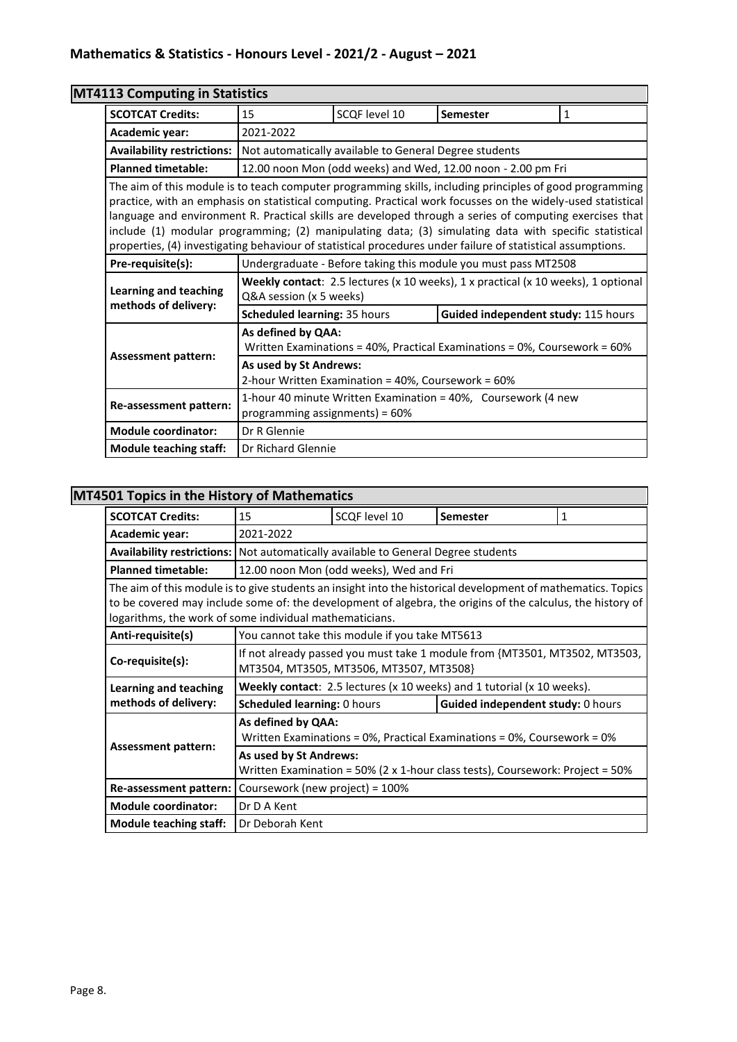| <b>MT4113 Computing in Statistics</b>                |                                                                                                                                                                                                                                                                                                                                                                                                                                                                                                                                                            |                                                                                                 |                                                                |              |  |
|------------------------------------------------------|------------------------------------------------------------------------------------------------------------------------------------------------------------------------------------------------------------------------------------------------------------------------------------------------------------------------------------------------------------------------------------------------------------------------------------------------------------------------------------------------------------------------------------------------------------|-------------------------------------------------------------------------------------------------|----------------------------------------------------------------|--------------|--|
| <b>SCOTCAT Credits:</b>                              | 15                                                                                                                                                                                                                                                                                                                                                                                                                                                                                                                                                         | SCQF level 10                                                                                   | Semester                                                       | $\mathbf{1}$ |  |
| Academic year:                                       | 2021-2022                                                                                                                                                                                                                                                                                                                                                                                                                                                                                                                                                  |                                                                                                 |                                                                |              |  |
| <b>Availability restrictions:</b>                    | Not automatically available to General Degree students                                                                                                                                                                                                                                                                                                                                                                                                                                                                                                     |                                                                                                 |                                                                |              |  |
| <b>Planned timetable:</b>                            |                                                                                                                                                                                                                                                                                                                                                                                                                                                                                                                                                            | 12.00 noon Mon (odd weeks) and Wed, 12.00 noon - 2.00 pm Fri                                    |                                                                |              |  |
|                                                      | The aim of this module is to teach computer programming skills, including principles of good programming<br>practice, with an emphasis on statistical computing. Practical work focusses on the widely-used statistical<br>language and environment R. Practical skills are developed through a series of computing exercises that<br>include (1) modular programming; (2) manipulating data; (3) simulating data with specific statistical<br>properties, (4) investigating behaviour of statistical procedures under failure of statistical assumptions. |                                                                                                 |                                                                |              |  |
| Pre-requisite(s):                                    |                                                                                                                                                                                                                                                                                                                                                                                                                                                                                                                                                            |                                                                                                 | Undergraduate - Before taking this module you must pass MT2508 |              |  |
| <b>Learning and teaching</b><br>methods of delivery: | Weekly contact: 2.5 lectures (x 10 weeks), 1 x practical (x 10 weeks), 1 optional<br>Q&A session (x 5 weeks)                                                                                                                                                                                                                                                                                                                                                                                                                                               |                                                                                                 |                                                                |              |  |
|                                                      | Scheduled learning: 35 hours                                                                                                                                                                                                                                                                                                                                                                                                                                                                                                                               |                                                                                                 | Guided independent study: 115 hours                            |              |  |
|                                                      |                                                                                                                                                                                                                                                                                                                                                                                                                                                                                                                                                            | As defined by QAA:<br>Written Examinations = 40%, Practical Examinations = 0%, Coursework = 60% |                                                                |              |  |
| <b>Assessment pattern:</b>                           | As used by St Andrews:<br>2-hour Written Examination = 40%, Coursework = 60%                                                                                                                                                                                                                                                                                                                                                                                                                                                                               |                                                                                                 |                                                                |              |  |
| Re-assessment pattern:                               | 1-hour 40 minute Written Examination = 40%, Coursework (4 new<br>programming assignments) = 60%                                                                                                                                                                                                                                                                                                                                                                                                                                                            |                                                                                                 |                                                                |              |  |
| <b>Module coordinator:</b>                           | Dr R Glennie                                                                                                                                                                                                                                                                                                                                                                                                                                                                                                                                               |                                                                                                 |                                                                |              |  |
| <b>Module teaching staff:</b>                        | Dr Richard Glennie                                                                                                                                                                                                                                                                                                                                                                                                                                                                                                                                         |                                                                                                 |                                                                |              |  |

### **MT4501 Topics in the History of Mathematics**

| <b>SCOTCAT Credits:</b>                                                                                                                                                                                                                                                               | 15                                                                                                       | SCQF level 10                                  | <b>Semester</b>                                                            | $\mathbf{1}$ |  |
|---------------------------------------------------------------------------------------------------------------------------------------------------------------------------------------------------------------------------------------------------------------------------------------|----------------------------------------------------------------------------------------------------------|------------------------------------------------|----------------------------------------------------------------------------|--------------|--|
| Academic year:                                                                                                                                                                                                                                                                        | 2021-2022                                                                                                |                                                |                                                                            |              |  |
| <b>Availability restrictions:</b> Not automatically available to General Degree students                                                                                                                                                                                              |                                                                                                          |                                                |                                                                            |              |  |
| <b>Planned timetable:</b>                                                                                                                                                                                                                                                             |                                                                                                          | 12.00 noon Mon (odd weeks), Wed and Fri        |                                                                            |              |  |
| The aim of this module is to give students an insight into the historical development of mathematics. Topics<br>to be covered may include some of: the development of algebra, the origins of the calculus, the history of<br>logarithms, the work of some individual mathematicians. |                                                                                                          |                                                |                                                                            |              |  |
| Anti-requisite(s)                                                                                                                                                                                                                                                                     |                                                                                                          | You cannot take this module if you take MT5613 |                                                                            |              |  |
| Co-requisite(s):                                                                                                                                                                                                                                                                      |                                                                                                          | MT3504, MT3505, MT3506, MT3507, MT3508}        | If not already passed you must take 1 module from {MT3501, MT3502, MT3503, |              |  |
| Learning and teaching                                                                                                                                                                                                                                                                 |                                                                                                          |                                                | Weekly contact: 2.5 lectures (x 10 weeks) and 1 tutorial (x 10 weeks).     |              |  |
| methods of delivery:                                                                                                                                                                                                                                                                  | <b>Scheduled learning: 0 hours</b>                                                                       |                                                | Guided independent study: 0 hours                                          |              |  |
| <b>Assessment pattern:</b>                                                                                                                                                                                                                                                            | As defined by QAA:<br>Written Examinations = $0\%$ , Practical Examinations = $0\%$ , Coursework = $0\%$ |                                                |                                                                            |              |  |
|                                                                                                                                                                                                                                                                                       | As used by St Andrews:<br>Written Examination = 50% (2 x 1-hour class tests), Coursework: Project = 50%  |                                                |                                                                            |              |  |
| Re-assessment pattern:                                                                                                                                                                                                                                                                | Coursework (new project) = 100%                                                                          |                                                |                                                                            |              |  |
| <b>Module coordinator:</b>                                                                                                                                                                                                                                                            | Dr D A Kent                                                                                              |                                                |                                                                            |              |  |
| <b>Module teaching staff:</b>                                                                                                                                                                                                                                                         | Dr Deborah Kent                                                                                          |                                                |                                                                            |              |  |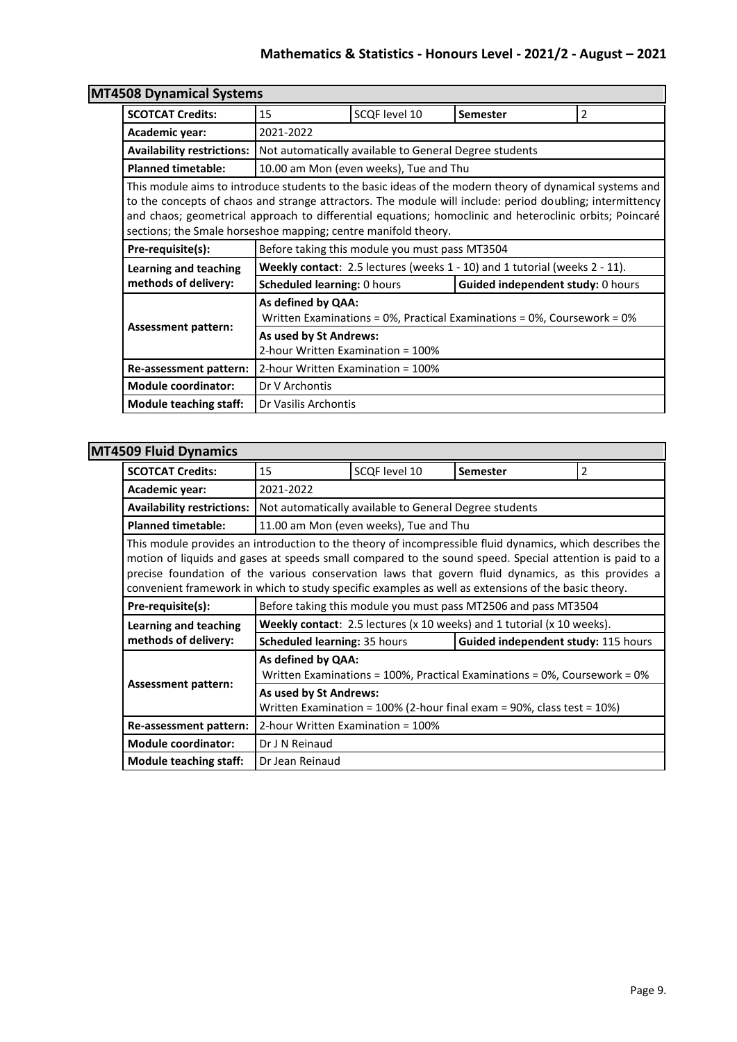| <b>MT4508 Dynamical Systems</b>   |                                                                                                                                                                                                                                                                                                                                                                                                  |                                                        |                                                                            |   |
|-----------------------------------|--------------------------------------------------------------------------------------------------------------------------------------------------------------------------------------------------------------------------------------------------------------------------------------------------------------------------------------------------------------------------------------------------|--------------------------------------------------------|----------------------------------------------------------------------------|---|
| <b>SCOTCAT Credits:</b>           | 15                                                                                                                                                                                                                                                                                                                                                                                               | SCQF level 10                                          | <b>Semester</b>                                                            | 2 |
| Academic year:                    | 2021-2022                                                                                                                                                                                                                                                                                                                                                                                        |                                                        |                                                                            |   |
| <b>Availability restrictions:</b> |                                                                                                                                                                                                                                                                                                                                                                                                  | Not automatically available to General Degree students |                                                                            |   |
| <b>Planned timetable:</b>         | 10.00 am Mon (even weeks), Tue and Thu                                                                                                                                                                                                                                                                                                                                                           |                                                        |                                                                            |   |
|                                   | This module aims to introduce students to the basic ideas of the modern theory of dynamical systems and<br>to the concepts of chaos and strange attractors. The module will include: period doubling; intermittency<br>and chaos; geometrical approach to differential equations; homoclinic and heteroclinic orbits; Poincaré<br>sections; the Smale horseshoe mapping; centre manifold theory. |                                                        |                                                                            |   |
| Pre-requisite(s):                 | Before taking this module you must pass MT3504                                                                                                                                                                                                                                                                                                                                                   |                                                        |                                                                            |   |
| Learning and teaching             |                                                                                                                                                                                                                                                                                                                                                                                                  |                                                        | Weekly contact: 2.5 lectures (weeks 1 - 10) and 1 tutorial (weeks 2 - 11). |   |
| methods of delivery:              | <b>Scheduled learning: 0 hours</b>                                                                                                                                                                                                                                                                                                                                                               |                                                        | Guided independent study: 0 hours                                          |   |
| <b>Assessment pattern:</b>        | As defined by QAA:                                                                                                                                                                                                                                                                                                                                                                               |                                                        | Written Examinations = 0%, Practical Examinations = 0%, Coursework = 0%    |   |
|                                   | As used by St Andrews:<br>2-hour Written Examination = 100%<br>2-hour Written Examination = 100%                                                                                                                                                                                                                                                                                                 |                                                        |                                                                            |   |
| Re-assessment pattern:            |                                                                                                                                                                                                                                                                                                                                                                                                  |                                                        |                                                                            |   |
| <b>Module coordinator:</b>        | Dr V Archontis                                                                                                                                                                                                                                                                                                                                                                                   |                                                        |                                                                            |   |
| <b>Module teaching staff:</b>     | Dr Vasilis Archontis                                                                                                                                                                                                                                                                                                                                                                             |                                                        |                                                                            |   |

## **MT4509 Fluid Dynamics**

| <b>SCOTCAT Credits:</b>                                                                                                                                                                                                                                                                                                                                                                                                          | 15                                                                                              | SCQF level 10                                          | <b>Semester</b>                                                | 2 |  |
|----------------------------------------------------------------------------------------------------------------------------------------------------------------------------------------------------------------------------------------------------------------------------------------------------------------------------------------------------------------------------------------------------------------------------------|-------------------------------------------------------------------------------------------------|--------------------------------------------------------|----------------------------------------------------------------|---|--|
| Academic year:                                                                                                                                                                                                                                                                                                                                                                                                                   | 2021-2022                                                                                       |                                                        |                                                                |   |  |
| <b>Availability restrictions:</b>                                                                                                                                                                                                                                                                                                                                                                                                |                                                                                                 | Not automatically available to General Degree students |                                                                |   |  |
| <b>Planned timetable:</b>                                                                                                                                                                                                                                                                                                                                                                                                        |                                                                                                 | 11.00 am Mon (even weeks), Tue and Thu                 |                                                                |   |  |
| This module provides an introduction to the theory of incompressible fluid dynamics, which describes the<br>motion of liquids and gases at speeds small compared to the sound speed. Special attention is paid to a<br>precise foundation of the various conservation laws that govern fluid dynamics, as this provides a<br>convenient framework in which to study specific examples as well as extensions of the basic theory. |                                                                                                 |                                                        |                                                                |   |  |
| Pre-requisite(s):                                                                                                                                                                                                                                                                                                                                                                                                                |                                                                                                 |                                                        | Before taking this module you must pass MT2506 and pass MT3504 |   |  |
| Learning and teaching                                                                                                                                                                                                                                                                                                                                                                                                            | Weekly contact: 2.5 lectures (x 10 weeks) and 1 tutorial (x 10 weeks).                          |                                                        |                                                                |   |  |
| methods of delivery:                                                                                                                                                                                                                                                                                                                                                                                                             | Guided independent study: 115 hours<br><b>Scheduled learning: 35 hours</b>                      |                                                        |                                                                |   |  |
|                                                                                                                                                                                                                                                                                                                                                                                                                                  | As defined by QAA:<br>Written Examinations = 100%, Practical Examinations = 0%, Coursework = 0% |                                                        |                                                                |   |  |
| <b>Assessment pattern:</b><br>As used by St Andrews:<br>Written Examination = 100% (2-hour final exam = 90%, class test = 10%)                                                                                                                                                                                                                                                                                                   |                                                                                                 |                                                        |                                                                |   |  |
| Re-assessment pattern:                                                                                                                                                                                                                                                                                                                                                                                                           | 2-hour Written Examination = 100%                                                               |                                                        |                                                                |   |  |
| <b>Module coordinator:</b>                                                                                                                                                                                                                                                                                                                                                                                                       | Dr J N Reinaud                                                                                  |                                                        |                                                                |   |  |
| <b>Module teaching staff:</b>                                                                                                                                                                                                                                                                                                                                                                                                    | Dr Jean Reinaud                                                                                 |                                                        |                                                                |   |  |

Ī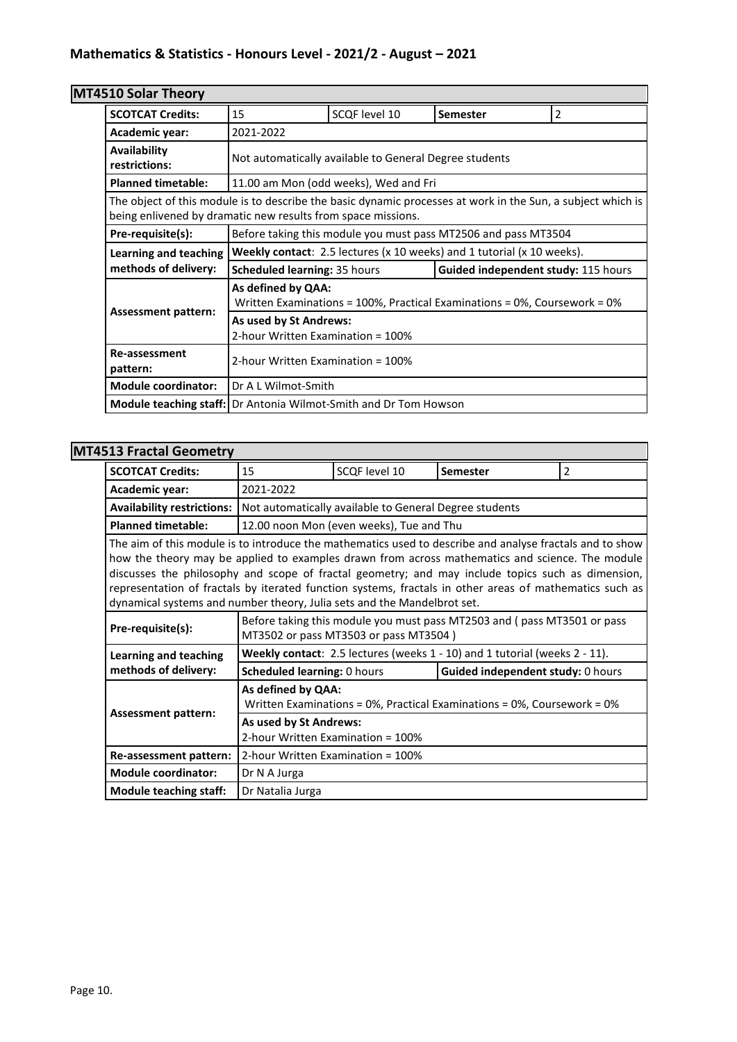# **MT4510 Solar Theory**

| עוטסווו וואטט טבכ                                                       |                                                                                                                                                                             |                                       |                                                                |                |  |  |
|-------------------------------------------------------------------------|-----------------------------------------------------------------------------------------------------------------------------------------------------------------------------|---------------------------------------|----------------------------------------------------------------|----------------|--|--|
| <b>SCOTCAT Credits:</b>                                                 | 15                                                                                                                                                                          | SCQF level 10                         | <b>Semester</b>                                                | $\overline{2}$ |  |  |
| Academic year:                                                          | 2021-2022                                                                                                                                                                   |                                       |                                                                |                |  |  |
| Availability<br>restrictions:                                           | Not automatically available to General Degree students                                                                                                                      |                                       |                                                                |                |  |  |
| <b>Planned timetable:</b>                                               |                                                                                                                                                                             | 11.00 am Mon (odd weeks), Wed and Fri |                                                                |                |  |  |
|                                                                         | The object of this module is to describe the basic dynamic processes at work in the Sun, a subject which is<br>being enlivened by dramatic new results from space missions. |                                       |                                                                |                |  |  |
| Pre-requisite(s):                                                       |                                                                                                                                                                             |                                       | Before taking this module you must pass MT2506 and pass MT3504 |                |  |  |
| Learning and teaching                                                   | <b>Weekly contact:</b> 2.5 lectures ( $x$ 10 weeks) and 1 tutorial ( $x$ 10 weeks).                                                                                         |                                       |                                                                |                |  |  |
| methods of delivery:                                                    | <b>Scheduled learning: 35 hours</b><br>Guided independent study: 115 hours                                                                                                  |                                       |                                                                |                |  |  |
|                                                                         | As defined by QAA:<br>Written Examinations = $100\%$ , Practical Examinations = $0\%$ , Coursework = $0\%$                                                                  |                                       |                                                                |                |  |  |
| <b>Assessment pattern:</b>                                              | As used by St Andrews:<br>2-hour Written Examination = 100%                                                                                                                 |                                       |                                                                |                |  |  |
| Re-assessment<br>pattern:                                               | 2-hour Written Examination = 100%                                                                                                                                           |                                       |                                                                |                |  |  |
| <b>Module coordinator:</b>                                              | Dr A L Wilmot-Smith                                                                                                                                                         |                                       |                                                                |                |  |  |
| <b>Module teaching staff:</b> Dr Antonia Wilmot-Smith and Dr Tom Howson |                                                                                                                                                                             |                                       |                                                                |                |  |  |

# **MT4513 Fractal Geometry**

| JIJ I I ALLAI UCUIIICLI Y                                                                                                                                                                                                                                                                                                                                                                                                                                                                              |                                                                                                                                                                                                       |                                          |                                                                         |                |  |  |
|--------------------------------------------------------------------------------------------------------------------------------------------------------------------------------------------------------------------------------------------------------------------------------------------------------------------------------------------------------------------------------------------------------------------------------------------------------------------------------------------------------|-------------------------------------------------------------------------------------------------------------------------------------------------------------------------------------------------------|------------------------------------------|-------------------------------------------------------------------------|----------------|--|--|
| <b>SCOTCAT Credits:</b>                                                                                                                                                                                                                                                                                                                                                                                                                                                                                | 15                                                                                                                                                                                                    | SCOF level 10                            | Semester                                                                | $\overline{2}$ |  |  |
| Academic year:                                                                                                                                                                                                                                                                                                                                                                                                                                                                                         | 2021-2022                                                                                                                                                                                             |                                          |                                                                         |                |  |  |
| <b>Availability restrictions:</b>                                                                                                                                                                                                                                                                                                                                                                                                                                                                      | Not automatically available to General Degree students                                                                                                                                                |                                          |                                                                         |                |  |  |
| <b>Planned timetable:</b>                                                                                                                                                                                                                                                                                                                                                                                                                                                                              |                                                                                                                                                                                                       | 12.00 noon Mon (even weeks), Tue and Thu |                                                                         |                |  |  |
| The aim of this module is to introduce the mathematics used to describe and analyse fractals and to show<br>how the theory may be applied to examples drawn from across mathematics and science. The module<br>discusses the philosophy and scope of fractal geometry; and may include topics such as dimension,<br>representation of fractals by iterated function systems, fractals in other areas of mathematics such as<br>dynamical systems and number theory, Julia sets and the Mandelbrot set. |                                                                                                                                                                                                       |                                          |                                                                         |                |  |  |
| Pre-requisite(s):                                                                                                                                                                                                                                                                                                                                                                                                                                                                                      |                                                                                                                                                                                                       | MT3502 or pass MT3503 or pass MT3504)    | Before taking this module you must pass MT2503 and (pass MT3501 or pass |                |  |  |
| <b>Learning and teaching</b>                                                                                                                                                                                                                                                                                                                                                                                                                                                                           | Weekly contact: 2.5 lectures (weeks 1 - 10) and 1 tutorial (weeks 2 - 11).                                                                                                                            |                                          |                                                                         |                |  |  |
| methods of delivery:                                                                                                                                                                                                                                                                                                                                                                                                                                                                                   | Scheduled learning: 0 hours                                                                                                                                                                           |                                          | Guided independent study: 0 hours                                       |                |  |  |
|                                                                                                                                                                                                                                                                                                                                                                                                                                                                                                        | As defined by QAA:<br>Written Examinations = $0\%$ , Practical Examinations = $0\%$ , Coursework = $0\%$<br><b>Assessment pattern:</b><br>As used by St Andrews:<br>2-hour Written Examination = 100% |                                          |                                                                         |                |  |  |
|                                                                                                                                                                                                                                                                                                                                                                                                                                                                                                        |                                                                                                                                                                                                       |                                          |                                                                         |                |  |  |
| Re-assessment pattern:                                                                                                                                                                                                                                                                                                                                                                                                                                                                                 | 2-hour Written Examination = 100%                                                                                                                                                                     |                                          |                                                                         |                |  |  |
| <b>Module coordinator:</b>                                                                                                                                                                                                                                                                                                                                                                                                                                                                             | Dr N A Jurga                                                                                                                                                                                          |                                          |                                                                         |                |  |  |
| <b>Module teaching staff:</b>                                                                                                                                                                                                                                                                                                                                                                                                                                                                          | Dr Natalia Jurga                                                                                                                                                                                      |                                          |                                                                         |                |  |  |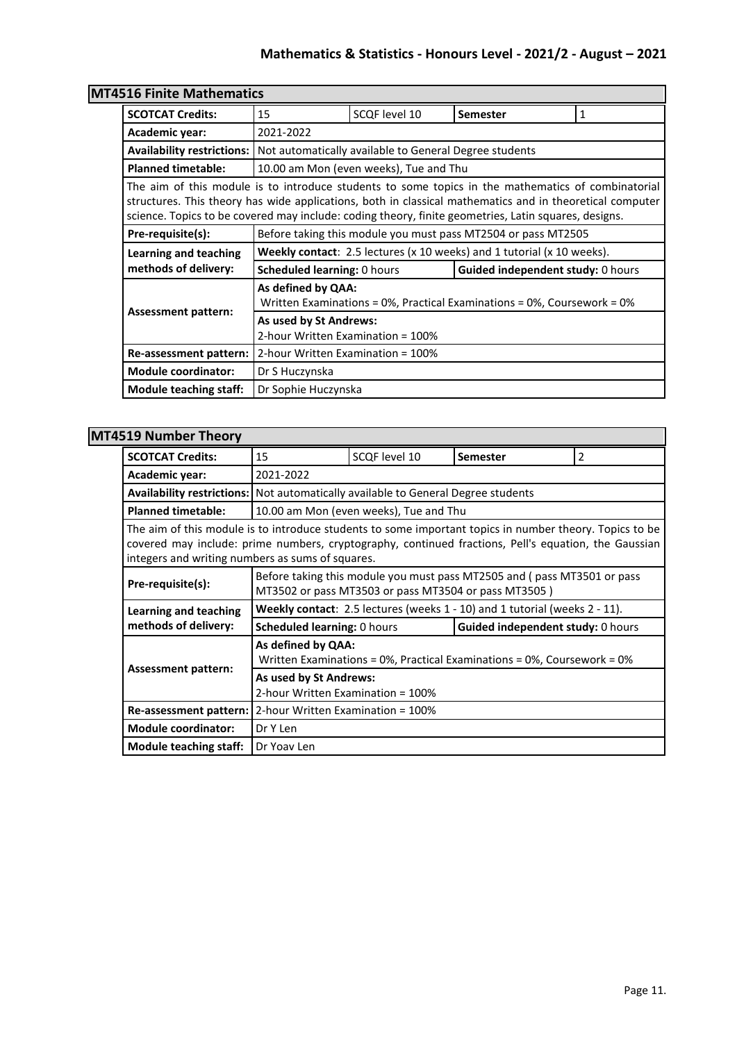# **Mathematics & Statistics - Honours Level - 2021/2 - August – 2021**

| 4516 Finite Mathematics           |                                                                                                                                                                                                                                                                                                                                                                                         |                                        |                                                                                     |   |  |  |
|-----------------------------------|-----------------------------------------------------------------------------------------------------------------------------------------------------------------------------------------------------------------------------------------------------------------------------------------------------------------------------------------------------------------------------------------|----------------------------------------|-------------------------------------------------------------------------------------|---|--|--|
| <b>SCOTCAT Credits:</b>           | 15                                                                                                                                                                                                                                                                                                                                                                                      | SCQF level 10                          | <b>Semester</b>                                                                     | 1 |  |  |
| Academic year:                    | 2021-2022<br>Not automatically available to General Degree students                                                                                                                                                                                                                                                                                                                     |                                        |                                                                                     |   |  |  |
| <b>Availability restrictions:</b> |                                                                                                                                                                                                                                                                                                                                                                                         |                                        |                                                                                     |   |  |  |
| <b>Planned timetable:</b>         |                                                                                                                                                                                                                                                                                                                                                                                         | 10.00 am Mon (even weeks), Tue and Thu |                                                                                     |   |  |  |
|                                   | The aim of this module is to introduce students to some topics in the mathematics of combinatorial<br>structures. This theory has wide applications, both in classical mathematics and in theoretical computer<br>science. Topics to be covered may include: coding theory, finite geometries, Latin squares, designs.<br>Before taking this module you must pass MT2504 or pass MT2505 |                                        |                                                                                     |   |  |  |
| Pre-requisite(s):                 |                                                                                                                                                                                                                                                                                                                                                                                         |                                        |                                                                                     |   |  |  |
|                                   |                                                                                                                                                                                                                                                                                                                                                                                         |                                        |                                                                                     |   |  |  |
| Learning and teaching             |                                                                                                                                                                                                                                                                                                                                                                                         |                                        | <b>Weekly contact:</b> 2.5 lectures ( $x$ 10 weeks) and 1 tutorial ( $x$ 10 weeks). |   |  |  |
| methods of delivery:              | <b>Scheduled learning: 0 hours</b>                                                                                                                                                                                                                                                                                                                                                      |                                        | <b>Guided independent study: 0 hours</b>                                            |   |  |  |
|                                   | As defined by QAA:                                                                                                                                                                                                                                                                                                                                                                      |                                        | Written Examinations = 0%, Practical Examinations = 0%, Coursework = 0%             |   |  |  |
| <b>Assessment pattern:</b>        | As used by St Andrews:<br>2-hour Written Examination = 100%                                                                                                                                                                                                                                                                                                                             |                                        |                                                                                     |   |  |  |
| Re-assessment pattern:            | 2-hour Written Examination = 100%                                                                                                                                                                                                                                                                                                                                                       |                                        |                                                                                     |   |  |  |
| <b>Module coordinator:</b>        | Dr S Huczynska                                                                                                                                                                                                                                                                                                                                                                          |                                        |                                                                                     |   |  |  |

# **MT**

## **MT4519 Number Theory**

| YIJ ITUHINGI TIIGUIY                                                                                                                                                                                                                                                |                                                                                                          |                                                      |                                                                         |   |  |  |
|---------------------------------------------------------------------------------------------------------------------------------------------------------------------------------------------------------------------------------------------------------------------|----------------------------------------------------------------------------------------------------------|------------------------------------------------------|-------------------------------------------------------------------------|---|--|--|
| <b>SCOTCAT Credits:</b>                                                                                                                                                                                                                                             | 15                                                                                                       | SCQF level 10                                        | <b>Semester</b>                                                         | 2 |  |  |
| Academic year:                                                                                                                                                                                                                                                      | 2021-2022                                                                                                |                                                      |                                                                         |   |  |  |
| Availability restrictions:   Not automatically available to General Degree students                                                                                                                                                                                 |                                                                                                          |                                                      |                                                                         |   |  |  |
| <b>Planned timetable:</b>                                                                                                                                                                                                                                           |                                                                                                          | 10.00 am Mon (even weeks), Tue and Thu               |                                                                         |   |  |  |
| The aim of this module is to introduce students to some important topics in number theory. Topics to be<br>covered may include: prime numbers, cryptography, continued fractions, Pell's equation, the Gaussian<br>integers and writing numbers as sums of squares. |                                                                                                          |                                                      |                                                                         |   |  |  |
| Pre-requisite(s):                                                                                                                                                                                                                                                   |                                                                                                          | MT3502 or pass MT3503 or pass MT3504 or pass MT3505) | Before taking this module you must pass MT2505 and (pass MT3501 or pass |   |  |  |
| Learning and teaching                                                                                                                                                                                                                                               | <b>Weekly contact:</b> 2.5 lectures (weeks $1 - 10$ ) and 1 tutorial (weeks $2 - 11$ ).                  |                                                      |                                                                         |   |  |  |
| methods of delivery:                                                                                                                                                                                                                                                | <b>Scheduled learning: 0 hours</b>                                                                       |                                                      | Guided independent study: 0 hours                                       |   |  |  |
| <b>Assessment pattern:</b>                                                                                                                                                                                                                                          | As defined by QAA:<br>Written Examinations = $0\%$ , Practical Examinations = $0\%$ , Coursework = $0\%$ |                                                      |                                                                         |   |  |  |
|                                                                                                                                                                                                                                                                     | As used by St Andrews:<br>2-hour Written Examination = 100%                                              |                                                      |                                                                         |   |  |  |
| Re-assessment pattern:                                                                                                                                                                                                                                              | 2-hour Written Examination = 100%                                                                        |                                                      |                                                                         |   |  |  |
| <b>Module coordinator:</b>                                                                                                                                                                                                                                          | Dr Y Len                                                                                                 |                                                      |                                                                         |   |  |  |
| Module teaching staff:                                                                                                                                                                                                                                              | Dr Yoav Len                                                                                              |                                                      |                                                                         |   |  |  |

┓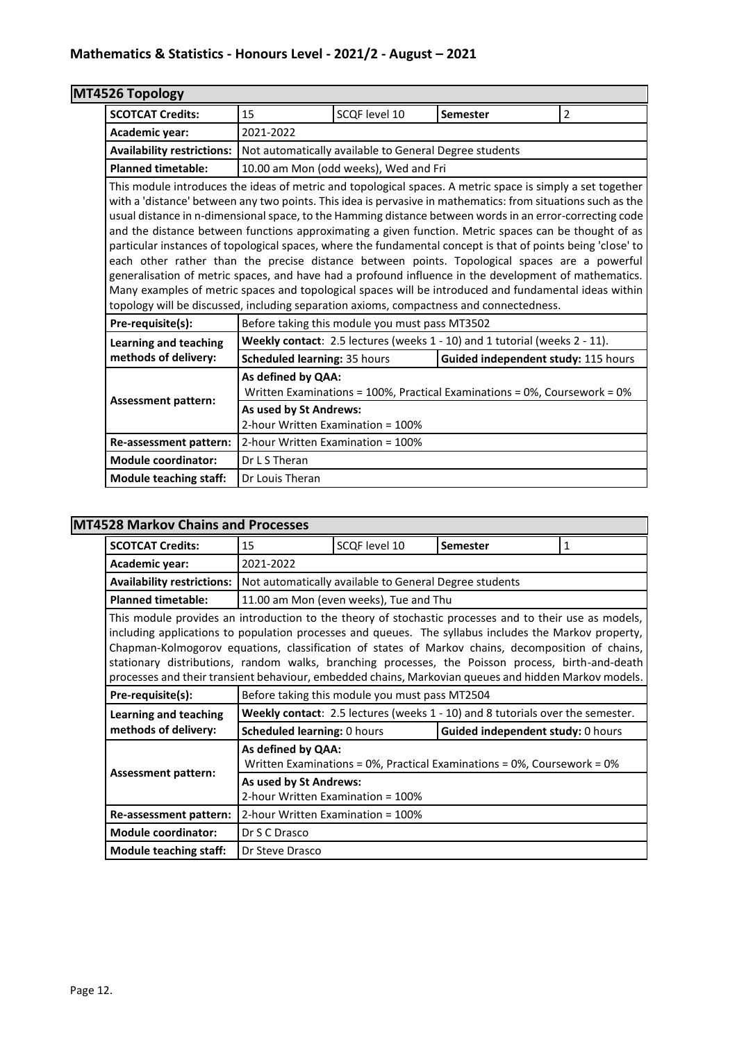| MT4526 Topology                   |                                                                                                                                                                                                                                                                                                                                                                                                                                                                                                                                                                                                                                                                                                                                                                                                                                                                                                                                                                               |                                                        |                                                                            |                |  |
|-----------------------------------|-------------------------------------------------------------------------------------------------------------------------------------------------------------------------------------------------------------------------------------------------------------------------------------------------------------------------------------------------------------------------------------------------------------------------------------------------------------------------------------------------------------------------------------------------------------------------------------------------------------------------------------------------------------------------------------------------------------------------------------------------------------------------------------------------------------------------------------------------------------------------------------------------------------------------------------------------------------------------------|--------------------------------------------------------|----------------------------------------------------------------------------|----------------|--|
| <b>SCOTCAT Credits:</b>           | 15                                                                                                                                                                                                                                                                                                                                                                                                                                                                                                                                                                                                                                                                                                                                                                                                                                                                                                                                                                            | SCOF level 10                                          | Semester                                                                   | $\overline{2}$ |  |
| Academic year:                    | 2021-2022                                                                                                                                                                                                                                                                                                                                                                                                                                                                                                                                                                                                                                                                                                                                                                                                                                                                                                                                                                     |                                                        |                                                                            |                |  |
| <b>Availability restrictions:</b> |                                                                                                                                                                                                                                                                                                                                                                                                                                                                                                                                                                                                                                                                                                                                                                                                                                                                                                                                                                               | Not automatically available to General Degree students |                                                                            |                |  |
| <b>Planned timetable:</b>         |                                                                                                                                                                                                                                                                                                                                                                                                                                                                                                                                                                                                                                                                                                                                                                                                                                                                                                                                                                               | 10.00 am Mon (odd weeks), Wed and Fri                  |                                                                            |                |  |
|                                   | This module introduces the ideas of metric and topological spaces. A metric space is simply a set together<br>with a 'distance' between any two points. This idea is pervasive in mathematics: from situations such as the<br>usual distance in n-dimensional space, to the Hamming distance between words in an error-correcting code<br>and the distance between functions approximating a given function. Metric spaces can be thought of as<br>particular instances of topological spaces, where the fundamental concept is that of points being 'close' to<br>each other rather than the precise distance between points. Topological spaces are a powerful<br>generalisation of metric spaces, and have had a profound influence in the development of mathematics.<br>Many examples of metric spaces and topological spaces will be introduced and fundamental ideas within<br>topology will be discussed, including separation axioms, compactness and connectedness. |                                                        |                                                                            |                |  |
| Pre-requisite(s):                 |                                                                                                                                                                                                                                                                                                                                                                                                                                                                                                                                                                                                                                                                                                                                                                                                                                                                                                                                                                               | Before taking this module you must pass MT3502         |                                                                            |                |  |
| <b>Learning and teaching</b>      |                                                                                                                                                                                                                                                                                                                                                                                                                                                                                                                                                                                                                                                                                                                                                                                                                                                                                                                                                                               |                                                        | Weekly contact: 2.5 lectures (weeks 1 - 10) and 1 tutorial (weeks 2 - 11). |                |  |
| methods of delivery:              | Scheduled learning: 35 hours                                                                                                                                                                                                                                                                                                                                                                                                                                                                                                                                                                                                                                                                                                                                                                                                                                                                                                                                                  |                                                        | Guided independent study: 115 hours                                        |                |  |
| <b>Assessment pattern:</b>        | As defined by QAA:<br>Written Examinations = 100%, Practical Examinations = 0%, Coursework = 0%                                                                                                                                                                                                                                                                                                                                                                                                                                                                                                                                                                                                                                                                                                                                                                                                                                                                               |                                                        |                                                                            |                |  |
|                                   | As used by St Andrews:<br>2-hour Written Examination = 100%                                                                                                                                                                                                                                                                                                                                                                                                                                                                                                                                                                                                                                                                                                                                                                                                                                                                                                                   |                                                        |                                                                            |                |  |
| Re-assessment pattern:            | 2-hour Written Examination = 100%                                                                                                                                                                                                                                                                                                                                                                                                                                                                                                                                                                                                                                                                                                                                                                                                                                                                                                                                             |                                                        |                                                                            |                |  |
| <b>Module coordinator:</b>        | Dr L S Theran                                                                                                                                                                                                                                                                                                                                                                                                                                                                                                                                                                                                                                                                                                                                                                                                                                                                                                                                                                 |                                                        |                                                                            |                |  |
| <b>Module teaching staff:</b>     | Dr Louis Theran                                                                                                                                                                                                                                                                                                                                                                                                                                                                                                                                                                                                                                                                                                                                                                                                                                                                                                                                                               |                                                        |                                                                            |                |  |

## **MT4528 Markov Chains and Processes**

| <b>SCOTCAT Credits:</b>                                                                                                                                                                                                                                                                                                                                                                                                                                                                                                           | 15                                                                                                       | SCOF level 10                                          | <b>Semester</b>                                                                | 1 |  |  |
|-----------------------------------------------------------------------------------------------------------------------------------------------------------------------------------------------------------------------------------------------------------------------------------------------------------------------------------------------------------------------------------------------------------------------------------------------------------------------------------------------------------------------------------|----------------------------------------------------------------------------------------------------------|--------------------------------------------------------|--------------------------------------------------------------------------------|---|--|--|
| Academic year:                                                                                                                                                                                                                                                                                                                                                                                                                                                                                                                    | 2021-2022                                                                                                |                                                        |                                                                                |   |  |  |
| <b>Availability restrictions:</b>                                                                                                                                                                                                                                                                                                                                                                                                                                                                                                 |                                                                                                          | Not automatically available to General Degree students |                                                                                |   |  |  |
| <b>Planned timetable:</b>                                                                                                                                                                                                                                                                                                                                                                                                                                                                                                         |                                                                                                          | 11.00 am Mon (even weeks), Tue and Thu                 |                                                                                |   |  |  |
| This module provides an introduction to the theory of stochastic processes and to their use as models,<br>including applications to population processes and queues. The syllabus includes the Markov property,<br>Chapman-Kolmogorov equations, classification of states of Markov chains, decomposition of chains,<br>stationary distributions, random walks, branching processes, the Poisson process, birth-and-death<br>processes and their transient behaviour, embedded chains, Markovian queues and hidden Markov models. |                                                                                                          |                                                        |                                                                                |   |  |  |
| Pre-requisite(s):                                                                                                                                                                                                                                                                                                                                                                                                                                                                                                                 |                                                                                                          | Before taking this module you must pass MT2504         |                                                                                |   |  |  |
| Learning and teaching                                                                                                                                                                                                                                                                                                                                                                                                                                                                                                             |                                                                                                          |                                                        | Weekly contact: 2.5 lectures (weeks 1 - 10) and 8 tutorials over the semester. |   |  |  |
| methods of delivery:                                                                                                                                                                                                                                                                                                                                                                                                                                                                                                              | <b>Scheduled learning: 0 hours</b><br>Guided independent study: 0 hours                                  |                                                        |                                                                                |   |  |  |
| <b>Assessment pattern:</b>                                                                                                                                                                                                                                                                                                                                                                                                                                                                                                        | As defined by QAA:<br>Written Examinations = $0\%$ , Practical Examinations = $0\%$ , Coursework = $0\%$ |                                                        |                                                                                |   |  |  |
|                                                                                                                                                                                                                                                                                                                                                                                                                                                                                                                                   | As used by St Andrews:<br>2-hour Written Examination = 100%                                              |                                                        |                                                                                |   |  |  |
| Re-assessment pattern:                                                                                                                                                                                                                                                                                                                                                                                                                                                                                                            | 2-hour Written Examination = 100%                                                                        |                                                        |                                                                                |   |  |  |
| <b>Module coordinator:</b>                                                                                                                                                                                                                                                                                                                                                                                                                                                                                                        | Dr S C Drasco                                                                                            |                                                        |                                                                                |   |  |  |
| <b>Module teaching staff:</b>                                                                                                                                                                                                                                                                                                                                                                                                                                                                                                     | Dr Steve Drasco                                                                                          |                                                        |                                                                                |   |  |  |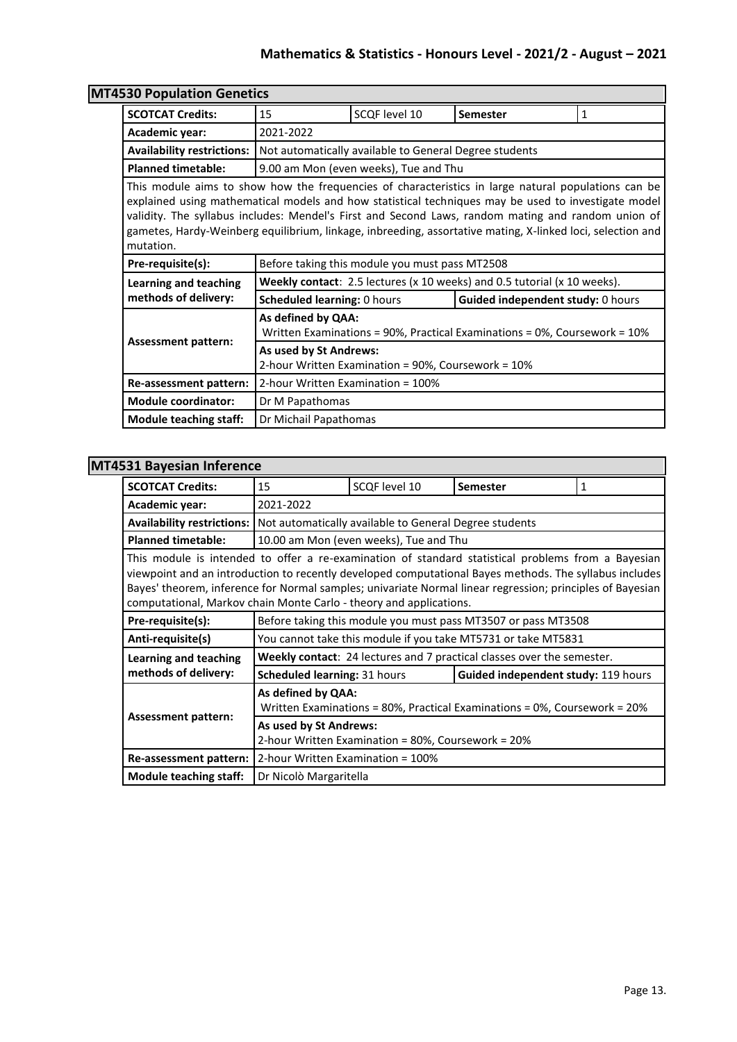|                                   | <b>MT4530 Population Genetics</b>                                                                                                                                                                                                                                                                                                                                                                                              |                                                        |                                   |   |  |
|-----------------------------------|--------------------------------------------------------------------------------------------------------------------------------------------------------------------------------------------------------------------------------------------------------------------------------------------------------------------------------------------------------------------------------------------------------------------------------|--------------------------------------------------------|-----------------------------------|---|--|
| <b>SCOTCAT Credits:</b>           | 15                                                                                                                                                                                                                                                                                                                                                                                                                             | SCQF level 10                                          | <b>Semester</b>                   | 1 |  |
| Academic year:                    | 2021-2022                                                                                                                                                                                                                                                                                                                                                                                                                      |                                                        |                                   |   |  |
| <b>Availability restrictions:</b> |                                                                                                                                                                                                                                                                                                                                                                                                                                | Not automatically available to General Degree students |                                   |   |  |
| <b>Planned timetable:</b>         | 9.00 am Mon (even weeks), Tue and Thu                                                                                                                                                                                                                                                                                                                                                                                          |                                                        |                                   |   |  |
| mutation.                         | This module aims to show how the frequencies of characteristics in large natural populations can be<br>explained using mathematical models and how statistical techniques may be used to investigate model<br>validity. The syllabus includes: Mendel's First and Second Laws, random mating and random union of<br>gametes, Hardy-Weinberg equilibrium, linkage, inbreeding, assortative mating, X-linked loci, selection and |                                                        |                                   |   |  |
| Pre-requisite(s):                 |                                                                                                                                                                                                                                                                                                                                                                                                                                | Before taking this module you must pass MT2508         |                                   |   |  |
| <b>Learning and teaching</b>      | Weekly contact: 2.5 lectures (x 10 weeks) and 0.5 tutorial (x 10 weeks).                                                                                                                                                                                                                                                                                                                                                       |                                                        |                                   |   |  |
| methods of delivery:              | Scheduled learning: 0 hours                                                                                                                                                                                                                                                                                                                                                                                                    |                                                        | Guided independent study: 0 hours |   |  |
| <b>Assessment pattern:</b>        | As defined by QAA:<br>Written Examinations = $90\%$ , Practical Examinations = $0\%$ , Coursework = $10\%$                                                                                                                                                                                                                                                                                                                     |                                                        |                                   |   |  |
|                                   | As used by St Andrews:<br>2-hour Written Examination = 90%, Coursework = 10%                                                                                                                                                                                                                                                                                                                                                   |                                                        |                                   |   |  |
| Re-assessment pattern:            | 2-hour Written Examination = 100%                                                                                                                                                                                                                                                                                                                                                                                              |                                                        |                                   |   |  |
| <b>Module coordinator:</b>        | Dr M Papathomas                                                                                                                                                                                                                                                                                                                                                                                                                |                                                        |                                   |   |  |
| <b>Module teaching staff:</b>     | Dr Michail Papathomas                                                                                                                                                                                                                                                                                                                                                                                                          |                                                        |                                   |   |  |

| <b>MT4531 Bayesian Inference</b> |                                                                                                                                                                                                                                                                                                                                                                                                 |                                        |                                                                        |   |  |
|----------------------------------|-------------------------------------------------------------------------------------------------------------------------------------------------------------------------------------------------------------------------------------------------------------------------------------------------------------------------------------------------------------------------------------------------|----------------------------------------|------------------------------------------------------------------------|---|--|
| <b>SCOTCAT Credits:</b>          | 15                                                                                                                                                                                                                                                                                                                                                                                              | SCQF level 10                          | <b>Semester</b>                                                        | 1 |  |
| Academic year:                   | 2021-2022                                                                                                                                                                                                                                                                                                                                                                                       |                                        |                                                                        |   |  |
|                                  | Availability restrictions:   Not automatically available to General Degree students                                                                                                                                                                                                                                                                                                             |                                        |                                                                        |   |  |
| <b>Planned timetable:</b>        |                                                                                                                                                                                                                                                                                                                                                                                                 | 10.00 am Mon (even weeks), Tue and Thu |                                                                        |   |  |
|                                  | This module is intended to offer a re-examination of standard statistical problems from a Bayesian<br>viewpoint and an introduction to recently developed computational Bayes methods. The syllabus includes<br>Bayes' theorem, inference for Normal samples; univariate Normal linear regression; principles of Bayesian<br>computational, Markov chain Monte Carlo - theory and applications. |                                        |                                                                        |   |  |
| Pre-requisite(s):                |                                                                                                                                                                                                                                                                                                                                                                                                 |                                        | Before taking this module you must pass MT3507 or pass MT3508          |   |  |
| Anti-requisite(s)                |                                                                                                                                                                                                                                                                                                                                                                                                 |                                        | You cannot take this module if you take MT5731 or take MT5831          |   |  |
| Learning and teaching            |                                                                                                                                                                                                                                                                                                                                                                                                 |                                        | Weekly contact: 24 lectures and 7 practical classes over the semester. |   |  |
| methods of delivery:             | <b>Scheduled learning: 31 hours</b>                                                                                                                                                                                                                                                                                                                                                             |                                        | Guided independent study: 119 hours                                    |   |  |
|                                  | As defined by QAA:<br>Written Examinations = 80%, Practical Examinations = 0%, Coursework = 20%<br><b>Assessment pattern:</b><br>As used by St Andrews:<br>2-hour Written Examination = 80%, Coursework = 20%                                                                                                                                                                                   |                                        |                                                                        |   |  |
|                                  |                                                                                                                                                                                                                                                                                                                                                                                                 |                                        |                                                                        |   |  |
| Re-assessment pattern:           | 2-hour Written Examination = 100%                                                                                                                                                                                                                                                                                                                                                               |                                        |                                                                        |   |  |
| <b>Module teaching staff:</b>    | Dr Nicolò Margaritella                                                                                                                                                                                                                                                                                                                                                                          |                                        |                                                                        |   |  |

 $\overline{\phantom{0}}$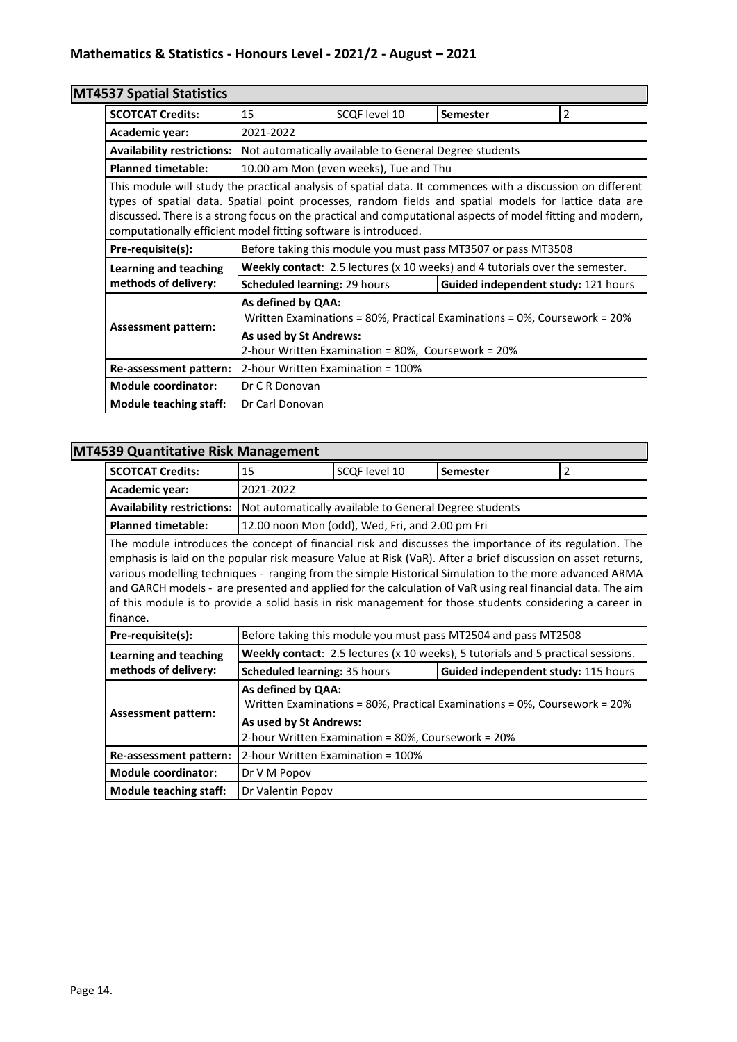# **MT4537 Spatial Statistics**

| san ahana atangnya                                                                                                                                                                                                                                                                                                                                                                                   |                                                                                                 |                                                        |                                                               |   |  |
|------------------------------------------------------------------------------------------------------------------------------------------------------------------------------------------------------------------------------------------------------------------------------------------------------------------------------------------------------------------------------------------------------|-------------------------------------------------------------------------------------------------|--------------------------------------------------------|---------------------------------------------------------------|---|--|
| <b>SCOTCAT Credits:</b>                                                                                                                                                                                                                                                                                                                                                                              | 15                                                                                              | SCQF level 10                                          | <b>Semester</b>                                               | 2 |  |
| Academic year:                                                                                                                                                                                                                                                                                                                                                                                       | 2021-2022                                                                                       |                                                        |                                                               |   |  |
| <b>Availability restrictions:</b>                                                                                                                                                                                                                                                                                                                                                                    |                                                                                                 | Not automatically available to General Degree students |                                                               |   |  |
| <b>Planned timetable:</b>                                                                                                                                                                                                                                                                                                                                                                            |                                                                                                 | 10.00 am Mon (even weeks), Tue and Thu                 |                                                               |   |  |
| This module will study the practical analysis of spatial data. It commences with a discussion on different<br>types of spatial data. Spatial point processes, random fields and spatial models for lattice data are<br>discussed. There is a strong focus on the practical and computational aspects of model fitting and modern,<br>computationally efficient model fitting software is introduced. |                                                                                                 |                                                        |                                                               |   |  |
| Pre-requisite(s):                                                                                                                                                                                                                                                                                                                                                                                    |                                                                                                 |                                                        | Before taking this module you must pass MT3507 or pass MT3508 |   |  |
| <b>Learning and teaching</b>                                                                                                                                                                                                                                                                                                                                                                         | Weekly contact: 2.5 lectures (x 10 weeks) and 4 tutorials over the semester.                    |                                                        |                                                               |   |  |
| methods of delivery:                                                                                                                                                                                                                                                                                                                                                                                 | <b>Scheduled learning: 29 hours</b>                                                             |                                                        | Guided independent study: 121 hours                           |   |  |
|                                                                                                                                                                                                                                                                                                                                                                                                      | As defined by QAA:<br>Written Examinations = 80%, Practical Examinations = 0%, Coursework = 20% |                                                        |                                                               |   |  |
| <b>Assessment pattern:</b><br>As used by St Andrews:<br>2-hour Written Examination = 80%, Coursework = 20%                                                                                                                                                                                                                                                                                           |                                                                                                 |                                                        |                                                               |   |  |
| Re-assessment pattern:                                                                                                                                                                                                                                                                                                                                                                               | 2-hour Written Examination = 100%                                                               |                                                        |                                                               |   |  |
| <b>Module coordinator:</b>                                                                                                                                                                                                                                                                                                                                                                           | Dr C R Donovan                                                                                  |                                                        |                                                               |   |  |
| <b>Module teaching staff:</b>                                                                                                                                                                                                                                                                                                                                                                        | Dr Carl Donovan                                                                                 |                                                        |                                                               |   |  |

### **MT4539 Quantitative Risk Management**

| <b>SCOTCAT Credits:</b>                                                                                                                                                                                                                                                                                                                                                                                                                                                                                                                                                 | 15                                                             | SCQF level 10                                      | <b>Semester</b>                                                                  | 2 |  |
|-------------------------------------------------------------------------------------------------------------------------------------------------------------------------------------------------------------------------------------------------------------------------------------------------------------------------------------------------------------------------------------------------------------------------------------------------------------------------------------------------------------------------------------------------------------------------|----------------------------------------------------------------|----------------------------------------------------|----------------------------------------------------------------------------------|---|--|
| Academic year:                                                                                                                                                                                                                                                                                                                                                                                                                                                                                                                                                          | 2021-2022                                                      |                                                    |                                                                                  |   |  |
| <b>Availability restrictions:</b>                                                                                                                                                                                                                                                                                                                                                                                                                                                                                                                                       | Not automatically available to General Degree students         |                                                    |                                                                                  |   |  |
| <b>Planned timetable:</b>                                                                                                                                                                                                                                                                                                                                                                                                                                                                                                                                               |                                                                | 12.00 noon Mon (odd), Wed, Fri, and 2.00 pm Fri    |                                                                                  |   |  |
| The module introduces the concept of financial risk and discusses the importance of its regulation. The<br>emphasis is laid on the popular risk measure Value at Risk (VaR). After a brief discussion on asset returns,<br>various modelling techniques - ranging from the simple Historical Simulation to the more advanced ARMA<br>and GARCH models - are presented and applied for the calculation of VaR using real financial data. The aim<br>of this module is to provide a solid basis in risk management for those students considering a career in<br>finance. |                                                                |                                                    |                                                                                  |   |  |
|                                                                                                                                                                                                                                                                                                                                                                                                                                                                                                                                                                         | Before taking this module you must pass MT2504 and pass MT2508 |                                                    |                                                                                  |   |  |
| Pre-requisite(s):                                                                                                                                                                                                                                                                                                                                                                                                                                                                                                                                                       |                                                                |                                                    |                                                                                  |   |  |
| Learning and teaching                                                                                                                                                                                                                                                                                                                                                                                                                                                                                                                                                   |                                                                |                                                    | Weekly contact: 2.5 lectures (x 10 weeks), 5 tutorials and 5 practical sessions. |   |  |
| methods of delivery:                                                                                                                                                                                                                                                                                                                                                                                                                                                                                                                                                    | Scheduled learning: 35 hours                                   |                                                    | Guided independent study: 115 hours                                              |   |  |
|                                                                                                                                                                                                                                                                                                                                                                                                                                                                                                                                                                         | As defined by QAA:                                             |                                                    | Written Examinations = 80%, Practical Examinations = 0%, Coursework = 20%        |   |  |
| <b>Assessment pattern:</b>                                                                                                                                                                                                                                                                                                                                                                                                                                                                                                                                              | As used by St Andrews:                                         | 2-hour Written Examination = 80%, Coursework = 20% |                                                                                  |   |  |
| Re-assessment pattern:                                                                                                                                                                                                                                                                                                                                                                                                                                                                                                                                                  | 2-hour Written Examination = 100%                              |                                                    |                                                                                  |   |  |
| <b>Module coordinator:</b>                                                                                                                                                                                                                                                                                                                                                                                                                                                                                                                                              | Dr V M Popov                                                   |                                                    |                                                                                  |   |  |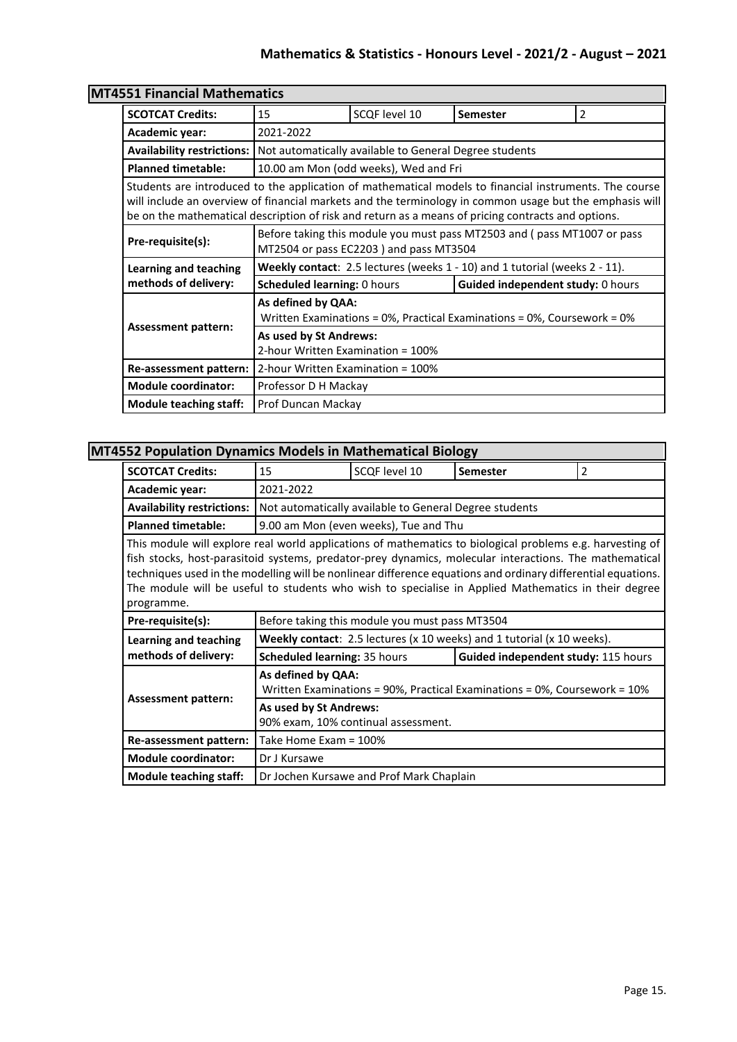| <b>1551 Financial Mathematics</b>                                                                                                                                                                                                                                                                                       |                                                                                                                   |                                                        |                                   |   |  |  |
|-------------------------------------------------------------------------------------------------------------------------------------------------------------------------------------------------------------------------------------------------------------------------------------------------------------------------|-------------------------------------------------------------------------------------------------------------------|--------------------------------------------------------|-----------------------------------|---|--|--|
| <b>SCOTCAT Credits:</b>                                                                                                                                                                                                                                                                                                 | 15                                                                                                                | SCQF level 10                                          | <b>Semester</b>                   | 2 |  |  |
| Academic year:                                                                                                                                                                                                                                                                                                          | 2021-2022                                                                                                         |                                                        |                                   |   |  |  |
| <b>Availability restrictions:</b>                                                                                                                                                                                                                                                                                       |                                                                                                                   | Not automatically available to General Degree students |                                   |   |  |  |
| <b>Planned timetable:</b>                                                                                                                                                                                                                                                                                               |                                                                                                                   | 10.00 am Mon (odd weeks), Wed and Fri                  |                                   |   |  |  |
| Students are introduced to the application of mathematical models to financial instruments. The course<br>will include an overview of financial markets and the terminology in common usage but the emphasis will<br>be on the mathematical description of risk and return as a means of pricing contracts and options. |                                                                                                                   |                                                        |                                   |   |  |  |
| Pre-requisite(s):                                                                                                                                                                                                                                                                                                       | Before taking this module you must pass MT2503 and (pass MT1007 or pass<br>MT2504 or pass EC2203) and pass MT3504 |                                                        |                                   |   |  |  |
| Learning and teaching                                                                                                                                                                                                                                                                                                   | <b>Weekly contact:</b> 2.5 lectures (weeks $1 - 10$ ) and 1 tutorial (weeks $2 - 11$ ).                           |                                                        |                                   |   |  |  |
| methods of delivery:                                                                                                                                                                                                                                                                                                    | <b>Scheduled learning: 0 hours</b>                                                                                |                                                        | Guided independent study: 0 hours |   |  |  |
|                                                                                                                                                                                                                                                                                                                         | As defined by QAA:<br>Written Examinations = $0\%$ , Practical Examinations = $0\%$ , Coursework = $0\%$          |                                                        |                                   |   |  |  |
|                                                                                                                                                                                                                                                                                                                         | <b>Assessment pattern:</b><br>As used by St Andrews:<br>2-hour Written Examination = 100%                         |                                                        |                                   |   |  |  |
| Re-assessment pattern:                                                                                                                                                                                                                                                                                                  |                                                                                                                   | 2-hour Written Examination = 100%                      |                                   |   |  |  |
| <b>Module coordinator:</b>                                                                                                                                                                                                                                                                                              | Professor D H Mackay                                                                                              |                                                        |                                   |   |  |  |
| <b>Module teaching staff:</b>                                                                                                                                                                                                                                                                                           | Prof Duncan Mackay                                                                                                |                                                        |                                   |   |  |  |

# **MT4**

### **MT4552 Population Dynamics Models in Mathematical Biology**

| <b>SCOTCAT Credits:</b>                                                                                                                                                                                                                                                                                                                                                                                                                                  | 15                                                                                                         | SCQF level 10                                          | <b>Semester</b>                                                                     | 2 |  |
|----------------------------------------------------------------------------------------------------------------------------------------------------------------------------------------------------------------------------------------------------------------------------------------------------------------------------------------------------------------------------------------------------------------------------------------------------------|------------------------------------------------------------------------------------------------------------|--------------------------------------------------------|-------------------------------------------------------------------------------------|---|--|
| Academic year:                                                                                                                                                                                                                                                                                                                                                                                                                                           | 2021-2022                                                                                                  |                                                        |                                                                                     |   |  |
| <b>Availability restrictions:</b>                                                                                                                                                                                                                                                                                                                                                                                                                        |                                                                                                            | Not automatically available to General Degree students |                                                                                     |   |  |
| <b>Planned timetable:</b>                                                                                                                                                                                                                                                                                                                                                                                                                                |                                                                                                            | 9.00 am Mon (even weeks), Tue and Thu                  |                                                                                     |   |  |
| This module will explore real world applications of mathematics to biological problems e.g. harvesting of<br>fish stocks, host-parasitoid systems, predator-prey dynamics, molecular interactions. The mathematical<br>techniques used in the modelling will be nonlinear difference equations and ordinary differential equations.<br>The module will be useful to students who wish to specialise in Applied Mathematics in their degree<br>programme. |                                                                                                            |                                                        |                                                                                     |   |  |
| Pre-requisite(s):                                                                                                                                                                                                                                                                                                                                                                                                                                        |                                                                                                            | Before taking this module you must pass MT3504         |                                                                                     |   |  |
| Learning and teaching                                                                                                                                                                                                                                                                                                                                                                                                                                    |                                                                                                            |                                                        | <b>Weekly contact:</b> 2.5 lectures ( $x$ 10 weeks) and 1 tutorial ( $x$ 10 weeks). |   |  |
| methods of delivery:                                                                                                                                                                                                                                                                                                                                                                                                                                     | <b>Scheduled learning: 35 hours</b><br>Guided independent study: 115 hours                                 |                                                        |                                                                                     |   |  |
| <b>Assessment pattern:</b>                                                                                                                                                                                                                                                                                                                                                                                                                               | As defined by QAA:<br>Written Examinations = $90\%$ , Practical Examinations = $0\%$ , Coursework = $10\%$ |                                                        |                                                                                     |   |  |
|                                                                                                                                                                                                                                                                                                                                                                                                                                                          | As used by St Andrews:<br>90% exam, 10% continual assessment.                                              |                                                        |                                                                                     |   |  |
| Re-assessment pattern:                                                                                                                                                                                                                                                                                                                                                                                                                                   | Take Home Exam = 100%                                                                                      |                                                        |                                                                                     |   |  |
| <b>Module coordinator:</b>                                                                                                                                                                                                                                                                                                                                                                                                                               | Dr J Kursawe                                                                                               |                                                        |                                                                                     |   |  |
| Module teaching staff:                                                                                                                                                                                                                                                                                                                                                                                                                                   |                                                                                                            | Dr Jochen Kursawe and Prof Mark Chaplain               |                                                                                     |   |  |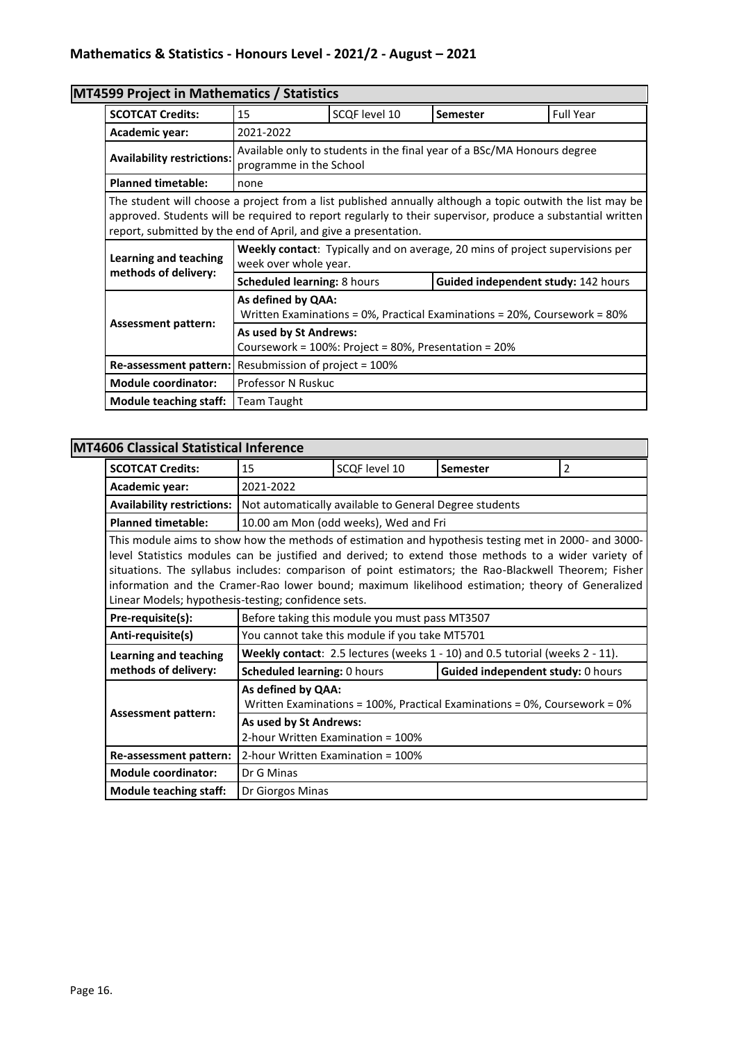# **MT4599 Project in Mathematics / Statistics**

| <b>SCOTCAT Credits:</b>                                                                                                                                                                                                                                                                    | 15                                                                                                            | SCQF level 10 | <b>Semester</b>                     | <b>Full Year</b> |
|--------------------------------------------------------------------------------------------------------------------------------------------------------------------------------------------------------------------------------------------------------------------------------------------|---------------------------------------------------------------------------------------------------------------|---------------|-------------------------------------|------------------|
| Academic year:                                                                                                                                                                                                                                                                             | 2021-2022                                                                                                     |               |                                     |                  |
| <b>Availability restrictions:</b>                                                                                                                                                                                                                                                          | Available only to students in the final year of a BSc/MA Honours degree<br>programme in the School            |               |                                     |                  |
| <b>Planned timetable:</b>                                                                                                                                                                                                                                                                  | none                                                                                                          |               |                                     |                  |
| The student will choose a project from a list published annually although a topic outwith the list may be<br>approved. Students will be required to report regularly to their supervisor, produce a substantial written<br>report, submitted by the end of April, and give a presentation. |                                                                                                               |               |                                     |                  |
| Learning and teaching                                                                                                                                                                                                                                                                      | <b>Weekly contact:</b> Typically and on average, 20 mins of project supervisions per<br>week over whole year. |               |                                     |                  |
| methods of delivery:                                                                                                                                                                                                                                                                       | Scheduled learning: 8 hours                                                                                   |               | Guided independent study: 142 hours |                  |
|                                                                                                                                                                                                                                                                                            | As defined by QAA:<br>Written Examinations = 0%, Practical Examinations = 20%, Coursework = 80%               |               |                                     |                  |
| <b>Assessment pattern:</b><br>As used by St Andrews:<br>Coursework = 100%: Project = 80%, Presentation = 20%                                                                                                                                                                               |                                                                                                               |               |                                     |                  |
| Re-assessment pattern:                                                                                                                                                                                                                                                                     | Resubmission of project = 100%                                                                                |               |                                     |                  |
| <b>Module coordinator:</b>                                                                                                                                                                                                                                                                 | Professor N Ruskuc                                                                                            |               |                                     |                  |
| Module teaching staff:                                                                                                                                                                                                                                                                     | Team Taught                                                                                                   |               |                                     |                  |

### **MT4606 Classical Statistical Inference**

| <b>SCOTCAT Credits:</b>                                                                                                                                                                                                                                                                                                                                                                                                                                                         | 15                                                          | SCQF level 10                                          | <b>Semester</b>                                                              | 2 |  |
|---------------------------------------------------------------------------------------------------------------------------------------------------------------------------------------------------------------------------------------------------------------------------------------------------------------------------------------------------------------------------------------------------------------------------------------------------------------------------------|-------------------------------------------------------------|--------------------------------------------------------|------------------------------------------------------------------------------|---|--|
| Academic year:                                                                                                                                                                                                                                                                                                                                                                                                                                                                  | 2021-2022                                                   |                                                        |                                                                              |   |  |
| <b>Availability restrictions:</b>                                                                                                                                                                                                                                                                                                                                                                                                                                               |                                                             | Not automatically available to General Degree students |                                                                              |   |  |
| <b>Planned timetable:</b>                                                                                                                                                                                                                                                                                                                                                                                                                                                       |                                                             | 10.00 am Mon (odd weeks), Wed and Fri                  |                                                                              |   |  |
| This module aims to show how the methods of estimation and hypothesis testing met in 2000- and 3000-<br>level Statistics modules can be justified and derived; to extend those methods to a wider variety of<br>situations. The syllabus includes: comparison of point estimators; the Rao-Blackwell Theorem; Fisher<br>information and the Cramer-Rao lower bound; maximum likelihood estimation; theory of Generalized<br>Linear Models; hypothesis-testing; confidence sets. |                                                             |                                                        |                                                                              |   |  |
| Pre-requisite(s):                                                                                                                                                                                                                                                                                                                                                                                                                                                               |                                                             | Before taking this module you must pass MT3507         |                                                                              |   |  |
| Anti-requisite(s)                                                                                                                                                                                                                                                                                                                                                                                                                                                               |                                                             | You cannot take this module if you take MT5701         |                                                                              |   |  |
| <b>Learning and teaching</b>                                                                                                                                                                                                                                                                                                                                                                                                                                                    |                                                             |                                                        | Weekly contact: 2.5 lectures (weeks 1 - 10) and 0.5 tutorial (weeks 2 - 11). |   |  |
| methods of delivery:                                                                                                                                                                                                                                                                                                                                                                                                                                                            | <b>Scheduled learning: 0 hours</b>                          |                                                        | Guided independent study: 0 hours                                            |   |  |
|                                                                                                                                                                                                                                                                                                                                                                                                                                                                                 | As defined by QAA:                                          |                                                        | Written Examinations = 100%, Practical Examinations = 0%, Coursework = $0\%$ |   |  |
| <b>Assessment pattern:</b>                                                                                                                                                                                                                                                                                                                                                                                                                                                      | As used by St Andrews:<br>2-hour Written Examination = 100% |                                                        |                                                                              |   |  |
| Re-assessment pattern:                                                                                                                                                                                                                                                                                                                                                                                                                                                          | 2-hour Written Examination = 100%                           |                                                        |                                                                              |   |  |
| <b>Module coordinator:</b>                                                                                                                                                                                                                                                                                                                                                                                                                                                      | Dr G Minas                                                  |                                                        |                                                                              |   |  |
| <b>Module teaching staff:</b>                                                                                                                                                                                                                                                                                                                                                                                                                                                   | Dr Giorgos Minas                                            |                                                        |                                                                              |   |  |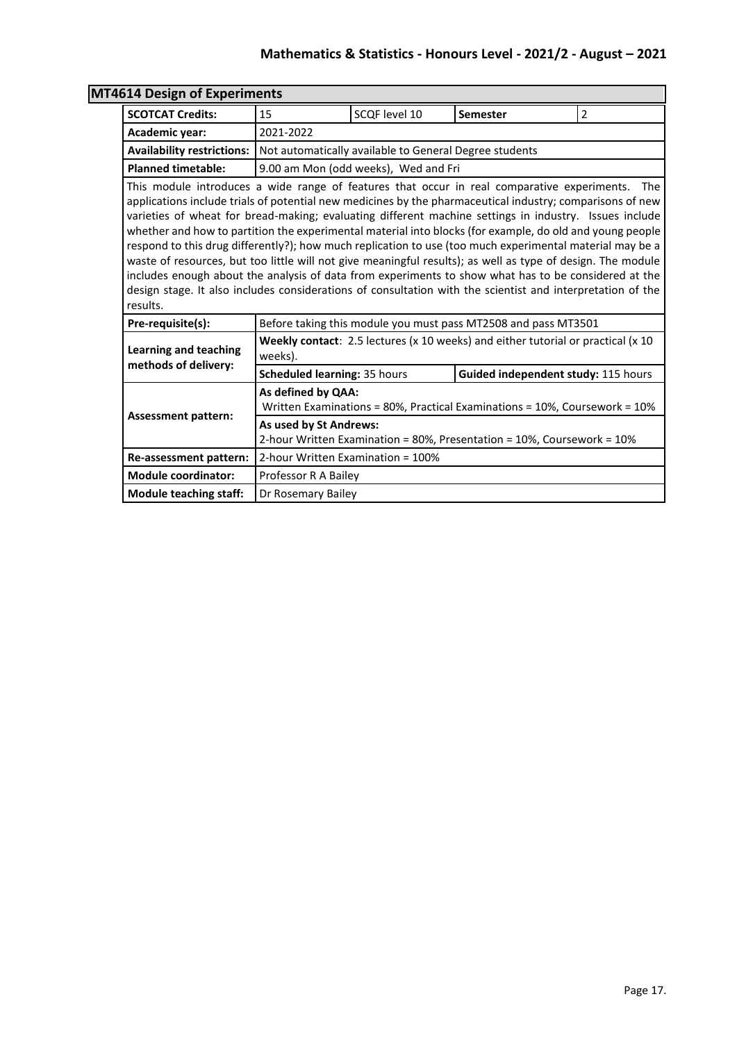| 4614 Design of Experiments                                                                                                                                                                                                                                                                                                                                                                                                                                                                                                                                                                                                                                                                                                                                                                                                                                                                      |                                                                                                                                |                                   |                                                                                  |                |  |
|-------------------------------------------------------------------------------------------------------------------------------------------------------------------------------------------------------------------------------------------------------------------------------------------------------------------------------------------------------------------------------------------------------------------------------------------------------------------------------------------------------------------------------------------------------------------------------------------------------------------------------------------------------------------------------------------------------------------------------------------------------------------------------------------------------------------------------------------------------------------------------------------------|--------------------------------------------------------------------------------------------------------------------------------|-----------------------------------|----------------------------------------------------------------------------------|----------------|--|
| <b>SCOTCAT Credits:</b>                                                                                                                                                                                                                                                                                                                                                                                                                                                                                                                                                                                                                                                                                                                                                                                                                                                                         | 15                                                                                                                             | SCQF level 10                     | <b>Semester</b>                                                                  | $\overline{2}$ |  |
| Academic year:                                                                                                                                                                                                                                                                                                                                                                                                                                                                                                                                                                                                                                                                                                                                                                                                                                                                                  | 2021-2022                                                                                                                      |                                   |                                                                                  |                |  |
|                                                                                                                                                                                                                                                                                                                                                                                                                                                                                                                                                                                                                                                                                                                                                                                                                                                                                                 | Availability restrictions:   Not automatically available to General Degree students                                            |                                   |                                                                                  |                |  |
| <b>Planned timetable:</b>                                                                                                                                                                                                                                                                                                                                                                                                                                                                                                                                                                                                                                                                                                                                                                                                                                                                       | 9.00 am Mon (odd weeks), Wed and Fri                                                                                           |                                   |                                                                                  |                |  |
| This module introduces a wide range of features that occur in real comparative experiments. The<br>applications include trials of potential new medicines by the pharmaceutical industry; comparisons of new<br>varieties of wheat for bread-making; evaluating different machine settings in industry. Issues include<br>whether and how to partition the experimental material into blocks (for example, do old and young people<br>respond to this drug differently?); how much replication to use (too much experimental material may be a<br>waste of resources, but too little will not give meaningful results); as well as type of design. The module<br>includes enough about the analysis of data from experiments to show what has to be considered at the<br>design stage. It also includes considerations of consultation with the scientist and interpretation of the<br>results. |                                                                                                                                |                                   |                                                                                  |                |  |
| Pre-requisite(s):                                                                                                                                                                                                                                                                                                                                                                                                                                                                                                                                                                                                                                                                                                                                                                                                                                                                               |                                                                                                                                |                                   | Before taking this module you must pass MT2508 and pass MT3501                   |                |  |
| <b>Learning and teaching</b>                                                                                                                                                                                                                                                                                                                                                                                                                                                                                                                                                                                                                                                                                                                                                                                                                                                                    | weeks).                                                                                                                        |                                   | Weekly contact: 2.5 lectures (x 10 weeks) and either tutorial or practical (x 10 |                |  |
| methods of delivery:                                                                                                                                                                                                                                                                                                                                                                                                                                                                                                                                                                                                                                                                                                                                                                                                                                                                            | Scheduled learning: 35 hours                                                                                                   |                                   | Guided independent study: 115 hours                                              |                |  |
|                                                                                                                                                                                                                                                                                                                                                                                                                                                                                                                                                                                                                                                                                                                                                                                                                                                                                                 | As defined by QAA:                                                                                                             |                                   | Written Examinations = 80%, Practical Examinations = 10%, Coursework = 10%       |                |  |
|                                                                                                                                                                                                                                                                                                                                                                                                                                                                                                                                                                                                                                                                                                                                                                                                                                                                                                 | <b>Assessment pattern:</b><br>As used by St Andrews:<br>2-hour Written Examination = 80%, Presentation = 10%, Coursework = 10% |                                   |                                                                                  |                |  |
| Re-assessment pattern:                                                                                                                                                                                                                                                                                                                                                                                                                                                                                                                                                                                                                                                                                                                                                                                                                                                                          |                                                                                                                                | 2-hour Written Examination = 100% |                                                                                  |                |  |
| <b>Module coordinator:</b>                                                                                                                                                                                                                                                                                                                                                                                                                                                                                                                                                                                                                                                                                                                                                                                                                                                                      | Professor R A Bailey                                                                                                           |                                   |                                                                                  |                |  |
| <b>Module teaching staff:</b>                                                                                                                                                                                                                                                                                                                                                                                                                                                                                                                                                                                                                                                                                                                                                                                                                                                                   | Dr Rosemary Bailey                                                                                                             |                                   |                                                                                  |                |  |

# **MT**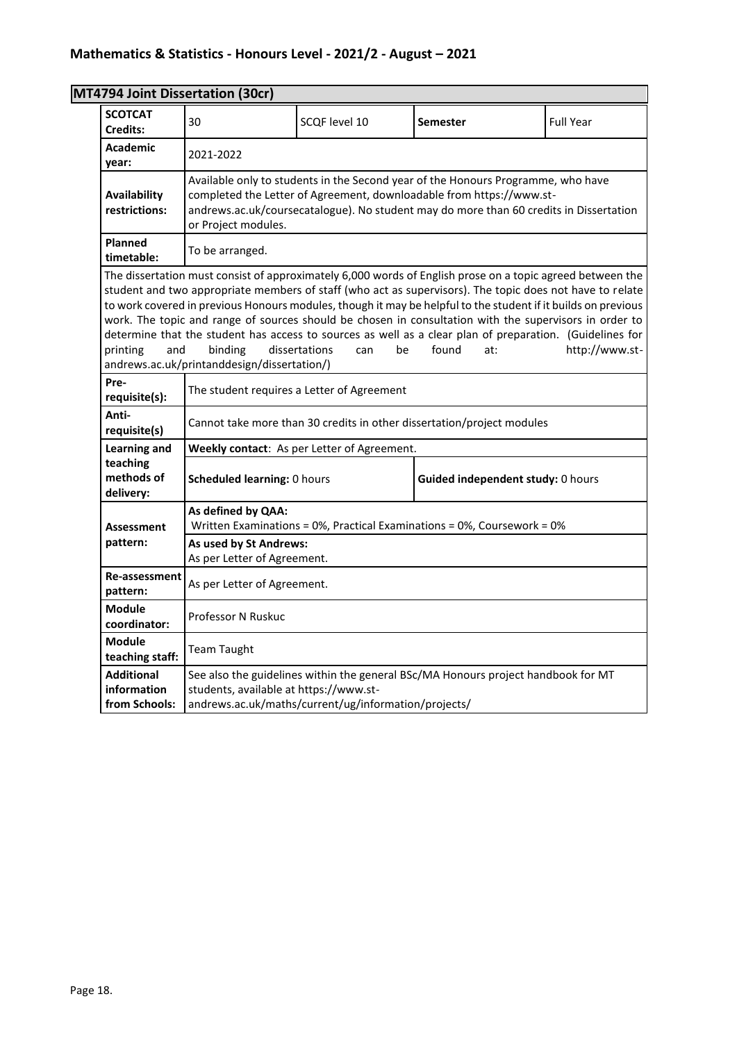|                                                                                                                                                                                                                                                                                                                                                                                                                                                                                                                                                                                                                                                                                                           | MT4794 Joint Dissertation (30cr)                                                                                                                                                                                                                                          |                                                      |                                                                                   |                  |  |
|-----------------------------------------------------------------------------------------------------------------------------------------------------------------------------------------------------------------------------------------------------------------------------------------------------------------------------------------------------------------------------------------------------------------------------------------------------------------------------------------------------------------------------------------------------------------------------------------------------------------------------------------------------------------------------------------------------------|---------------------------------------------------------------------------------------------------------------------------------------------------------------------------------------------------------------------------------------------------------------------------|------------------------------------------------------|-----------------------------------------------------------------------------------|------------------|--|
| <b>SCOTCAT</b><br><b>Credits:</b>                                                                                                                                                                                                                                                                                                                                                                                                                                                                                                                                                                                                                                                                         | 30                                                                                                                                                                                                                                                                        | SCQF level 10                                        | <b>Semester</b>                                                                   | <b>Full Year</b> |  |
| <b>Academic</b><br>year:                                                                                                                                                                                                                                                                                                                                                                                                                                                                                                                                                                                                                                                                                  | 2021-2022                                                                                                                                                                                                                                                                 |                                                      |                                                                                   |                  |  |
| Availability<br>restrictions:                                                                                                                                                                                                                                                                                                                                                                                                                                                                                                                                                                                                                                                                             | Available only to students in the Second year of the Honours Programme, who have<br>completed the Letter of Agreement, downloadable from https://www.st-<br>andrews.ac.uk/coursecatalogue). No student may do more than 60 credits in Dissertation<br>or Project modules. |                                                      |                                                                                   |                  |  |
| Planned<br>timetable:                                                                                                                                                                                                                                                                                                                                                                                                                                                                                                                                                                                                                                                                                     | To be arranged.                                                                                                                                                                                                                                                           |                                                      |                                                                                   |                  |  |
| The dissertation must consist of approximately 6,000 words of English prose on a topic agreed between the<br>student and two appropriate members of staff (who act as supervisors). The topic does not have to relate<br>to work covered in previous Honours modules, though it may be helpful to the student if it builds on previous<br>work. The topic and range of sources should be chosen in consultation with the supervisors in order to<br>determine that the student has access to sources as well as a clear plan of preparation. (Guidelines for<br>dissertations<br>be<br>found<br>http://www.st-<br>printing<br>and<br>binding<br>can<br>at:<br>andrews.ac.uk/printanddesign/dissertation/) |                                                                                                                                                                                                                                                                           |                                                      |                                                                                   |                  |  |
| Pre-<br>requisite(s):                                                                                                                                                                                                                                                                                                                                                                                                                                                                                                                                                                                                                                                                                     |                                                                                                                                                                                                                                                                           | The student requires a Letter of Agreement           |                                                                                   |                  |  |
| Anti-<br>requisite(s)                                                                                                                                                                                                                                                                                                                                                                                                                                                                                                                                                                                                                                                                                     |                                                                                                                                                                                                                                                                           |                                                      | Cannot take more than 30 credits in other dissertation/project modules            |                  |  |
| Learning and                                                                                                                                                                                                                                                                                                                                                                                                                                                                                                                                                                                                                                                                                              |                                                                                                                                                                                                                                                                           | Weekly contact: As per Letter of Agreement.          |                                                                                   |                  |  |
| teaching<br>methods of<br>delivery:                                                                                                                                                                                                                                                                                                                                                                                                                                                                                                                                                                                                                                                                       | Scheduled learning: 0 hours                                                                                                                                                                                                                                               |                                                      | Guided independent study: 0 hours                                                 |                  |  |
| <b>Assessment</b>                                                                                                                                                                                                                                                                                                                                                                                                                                                                                                                                                                                                                                                                                         | As defined by QAA:                                                                                                                                                                                                                                                        |                                                      | Written Examinations = 0%, Practical Examinations = 0%, Coursework = 0%           |                  |  |
| pattern:                                                                                                                                                                                                                                                                                                                                                                                                                                                                                                                                                                                                                                                                                                  | As used by St Andrews:<br>As per Letter of Agreement.                                                                                                                                                                                                                     |                                                      |                                                                                   |                  |  |
| <b>Re-assessment</b><br>pattern:                                                                                                                                                                                                                                                                                                                                                                                                                                                                                                                                                                                                                                                                          | As per Letter of Agreement.                                                                                                                                                                                                                                               |                                                      |                                                                                   |                  |  |
| <b>Module</b><br>coordinator:                                                                                                                                                                                                                                                                                                                                                                                                                                                                                                                                                                                                                                                                             | <b>Professor N Ruskuc</b>                                                                                                                                                                                                                                                 |                                                      |                                                                                   |                  |  |
| <b>Module</b><br>teaching staff:                                                                                                                                                                                                                                                                                                                                                                                                                                                                                                                                                                                                                                                                          | <b>Team Taught</b>                                                                                                                                                                                                                                                        |                                                      |                                                                                   |                  |  |
| <b>Additional</b><br>information<br>from Schools:                                                                                                                                                                                                                                                                                                                                                                                                                                                                                                                                                                                                                                                         | students, available at https://www.st-                                                                                                                                                                                                                                    | andrews.ac.uk/maths/current/ug/information/projects/ | See also the guidelines within the general BSc/MA Honours project handbook for MT |                  |  |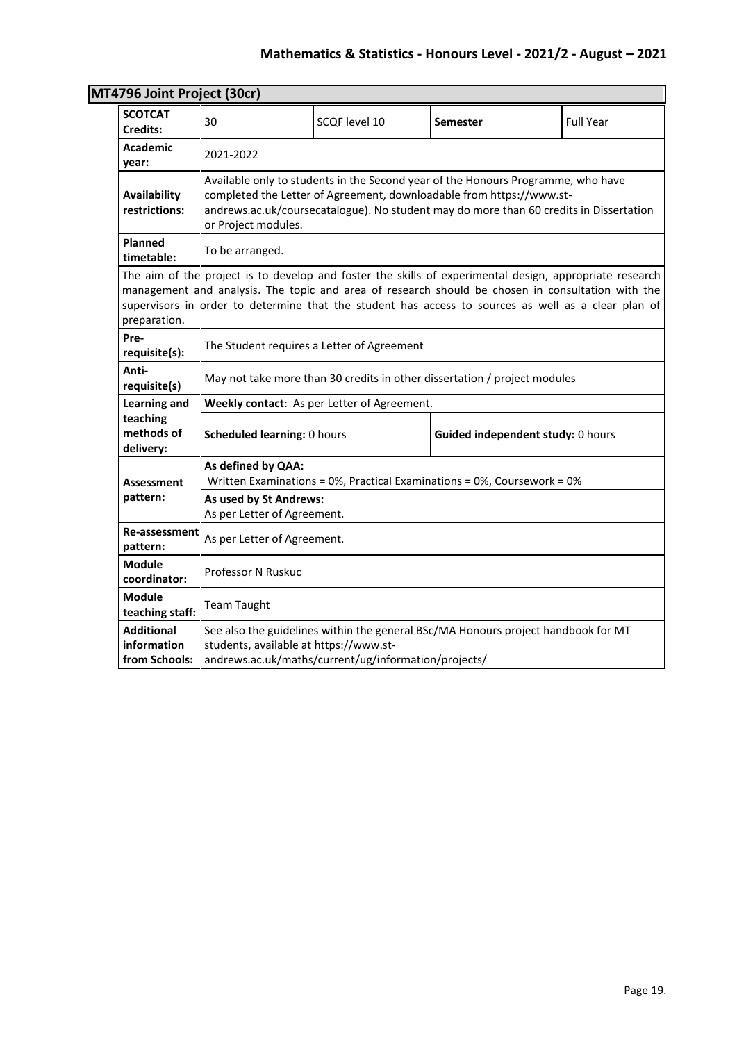| 4796 JOINT Project (30Cr)                         |                                                                                                                                                                                                                                                                                                                     |                                                      |                                                                                   |                  |  |
|---------------------------------------------------|---------------------------------------------------------------------------------------------------------------------------------------------------------------------------------------------------------------------------------------------------------------------------------------------------------------------|------------------------------------------------------|-----------------------------------------------------------------------------------|------------------|--|
| <b>SCOTCAT</b><br>Credits:                        | 30                                                                                                                                                                                                                                                                                                                  | SCQF level 10                                        | <b>Semester</b>                                                                   | <b>Full Year</b> |  |
| <b>Academic</b><br>year:                          | 2021-2022                                                                                                                                                                                                                                                                                                           |                                                      |                                                                                   |                  |  |
| Availability<br>restrictions:                     | Available only to students in the Second year of the Honours Programme, who have<br>completed the Letter of Agreement, downloadable from https://www.st-<br>andrews.ac.uk/coursecatalogue). No student may do more than 60 credits in Dissertation<br>or Project modules.                                           |                                                      |                                                                                   |                  |  |
| Planned<br>timetable:                             | To be arranged.                                                                                                                                                                                                                                                                                                     |                                                      |                                                                                   |                  |  |
| preparation.                                      | The aim of the project is to develop and foster the skills of experimental design, appropriate research<br>management and analysis. The topic and area of research should be chosen in consultation with the<br>supervisors in order to determine that the student has access to sources as well as a clear plan of |                                                      |                                                                                   |                  |  |
| Pre-<br>requisite(s):                             |                                                                                                                                                                                                                                                                                                                     | The Student requires a Letter of Agreement           |                                                                                   |                  |  |
| Anti-<br>requisite(s)                             |                                                                                                                                                                                                                                                                                                                     |                                                      | May not take more than 30 credits in other dissertation / project modules         |                  |  |
| Learning and                                      |                                                                                                                                                                                                                                                                                                                     | Weekly contact: As per Letter of Agreement.          |                                                                                   |                  |  |
| teaching<br>methods of<br>delivery:               | <b>Scheduled learning: 0 hours</b><br>Guided independent study: 0 hours                                                                                                                                                                                                                                             |                                                      |                                                                                   |                  |  |
| <b>Assessment</b>                                 | As defined by QAA:                                                                                                                                                                                                                                                                                                  |                                                      | Written Examinations = 0%, Practical Examinations = 0%, Coursework = 0%           |                  |  |
| pattern:                                          | As used by St Andrews:<br>As per Letter of Agreement.                                                                                                                                                                                                                                                               |                                                      |                                                                                   |                  |  |
| Re-assessment<br>pattern:                         | As per Letter of Agreement.                                                                                                                                                                                                                                                                                         |                                                      |                                                                                   |                  |  |
| <b>Module</b><br>coordinator:                     | Professor N Ruskuc                                                                                                                                                                                                                                                                                                  |                                                      |                                                                                   |                  |  |
| <b>Module</b><br>teaching staff:                  | <b>Team Taught</b>                                                                                                                                                                                                                                                                                                  |                                                      |                                                                                   |                  |  |
| <b>Additional</b><br>information<br>from Schools: | students, available at https://www.st-                                                                                                                                                                                                                                                                              | andrews.ac.uk/maths/current/ug/information/projects/ | See also the guidelines within the general BSc/MA Honours project handbook for MT |                  |  |

# **MT4796 Joint Project (30cr)**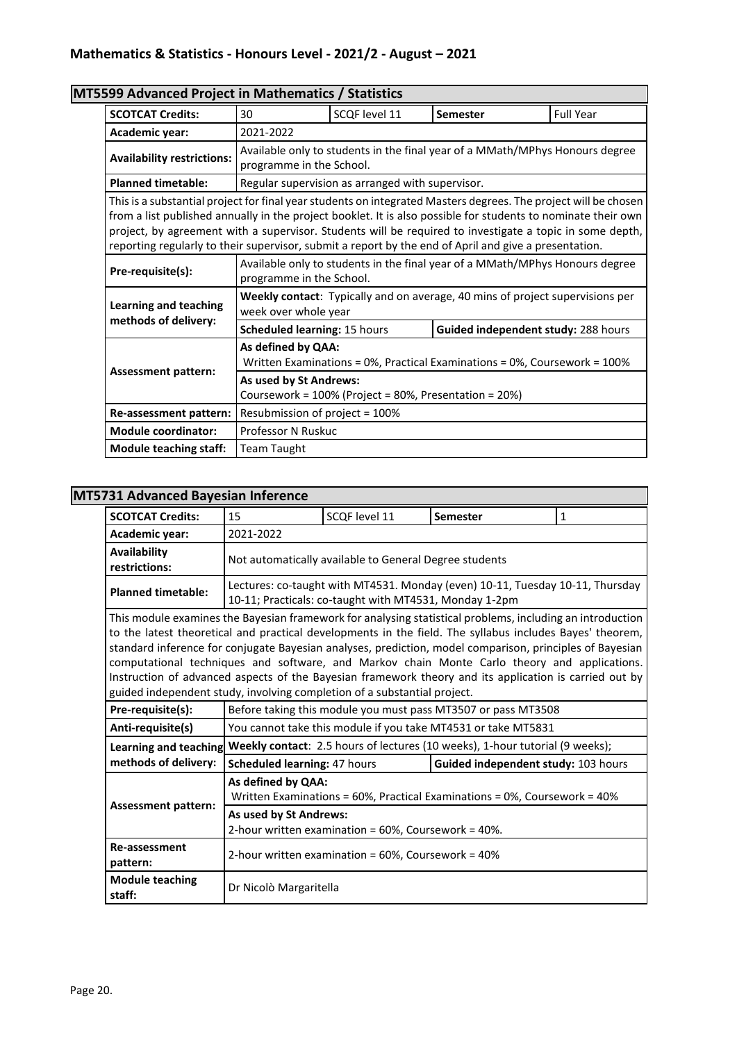| MT5599 Advanced Project in Mathematics / Statistics |                                                                                                                                                                                                                                                                                                                                                                                                                                                       |                                                  |                                                                                      |                  |  |
|-----------------------------------------------------|-------------------------------------------------------------------------------------------------------------------------------------------------------------------------------------------------------------------------------------------------------------------------------------------------------------------------------------------------------------------------------------------------------------------------------------------------------|--------------------------------------------------|--------------------------------------------------------------------------------------|------------------|--|
| <b>SCOTCAT Credits:</b>                             | 30                                                                                                                                                                                                                                                                                                                                                                                                                                                    | SCQF level 11                                    | Semester                                                                             | <b>Full Year</b> |  |
| Academic year:                                      | 2021-2022                                                                                                                                                                                                                                                                                                                                                                                                                                             |                                                  |                                                                                      |                  |  |
| <b>Availability restrictions:</b>                   | Available only to students in the final year of a MMath/MPhys Honours degree<br>programme in the School.                                                                                                                                                                                                                                                                                                                                              |                                                  |                                                                                      |                  |  |
| <b>Planned timetable:</b>                           |                                                                                                                                                                                                                                                                                                                                                                                                                                                       | Regular supervision as arranged with supervisor. |                                                                                      |                  |  |
|                                                     | This is a substantial project for final year students on integrated Masters degrees. The project will be chosen<br>from a list published annually in the project booklet. It is also possible for students to nominate their own<br>project, by agreement with a supervisor. Students will be required to investigate a topic in some depth,<br>reporting regularly to their supervisor, submit a report by the end of April and give a presentation. |                                                  |                                                                                      |                  |  |
| Pre-requisite(s):                                   | Available only to students in the final year of a MMath/MPhys Honours degree<br>programme in the School.                                                                                                                                                                                                                                                                                                                                              |                                                  |                                                                                      |                  |  |
| <b>Learning and teaching</b>                        | week over whole year                                                                                                                                                                                                                                                                                                                                                                                                                                  |                                                  | <b>Weekly contact:</b> Typically and on average, 40 mins of project supervisions per |                  |  |
| methods of delivery:                                | Scheduled learning: 15 hours                                                                                                                                                                                                                                                                                                                                                                                                                          |                                                  | Guided independent study: 288 hours                                                  |                  |  |
|                                                     | As defined by QAA:<br>Written Examinations = 0%, Practical Examinations = 0%, Coursework = 100%                                                                                                                                                                                                                                                                                                                                                       |                                                  |                                                                                      |                  |  |
| <b>Assessment pattern:</b>                          | As used by St Andrews:<br>Coursework = 100% (Project = 80%, Presentation = 20%)                                                                                                                                                                                                                                                                                                                                                                       |                                                  |                                                                                      |                  |  |
| Re-assessment pattern:                              | Resubmission of project = 100%                                                                                                                                                                                                                                                                                                                                                                                                                        |                                                  |                                                                                      |                  |  |
| <b>Module coordinator:</b>                          | Professor N Ruskuc                                                                                                                                                                                                                                                                                                                                                                                                                                    |                                                  |                                                                                      |                  |  |
| <b>Module teaching staff:</b>                       | <b>Team Taught</b>                                                                                                                                                                                                                                                                                                                                                                                                                                    |                                                  |                                                                                      |                  |  |

### **MT5731 Advanced Bayesian Inference**

| <b>SCOTCAT Credits:</b>                                                                                                                                                                                                                                                                                                                                                                                                                                                                                                                                                                                                 | 15                                                                            | SCQF level 11                                          | <b>Semester</b>                                                               | 1 |  |  |
|-------------------------------------------------------------------------------------------------------------------------------------------------------------------------------------------------------------------------------------------------------------------------------------------------------------------------------------------------------------------------------------------------------------------------------------------------------------------------------------------------------------------------------------------------------------------------------------------------------------------------|-------------------------------------------------------------------------------|--------------------------------------------------------|-------------------------------------------------------------------------------|---|--|--|
| Academic year:                                                                                                                                                                                                                                                                                                                                                                                                                                                                                                                                                                                                          | 2021-2022                                                                     |                                                        |                                                                               |   |  |  |
| Availability<br>restrictions:                                                                                                                                                                                                                                                                                                                                                                                                                                                                                                                                                                                           |                                                                               | Not automatically available to General Degree students |                                                                               |   |  |  |
| <b>Planned timetable:</b>                                                                                                                                                                                                                                                                                                                                                                                                                                                                                                                                                                                               |                                                                               | 10-11; Practicals: co-taught with MT4531, Monday 1-2pm | Lectures: co-taught with MT4531. Monday (even) 10-11, Tuesday 10-11, Thursday |   |  |  |
| This module examines the Bayesian framework for analysing statistical problems, including an introduction<br>to the latest theoretical and practical developments in the field. The syllabus includes Bayes' theorem,<br>standard inference for conjugate Bayesian analyses, prediction, model comparison, principles of Bayesian<br>computational techniques and software, and Markov chain Monte Carlo theory and applications.<br>Instruction of advanced aspects of the Bayesian framework theory and its application is carried out by<br>guided independent study, involving completion of a substantial project. |                                                                               |                                                        |                                                                               |   |  |  |
| Pre-requisite(s):                                                                                                                                                                                                                                                                                                                                                                                                                                                                                                                                                                                                       |                                                                               |                                                        | Before taking this module you must pass MT3507 or pass MT3508                 |   |  |  |
| Anti-requisite(s)                                                                                                                                                                                                                                                                                                                                                                                                                                                                                                                                                                                                       |                                                                               |                                                        | You cannot take this module if you take MT4531 or take MT5831                 |   |  |  |
| Learning and teaching                                                                                                                                                                                                                                                                                                                                                                                                                                                                                                                                                                                                   |                                                                               |                                                        | Weekly contact: 2.5 hours of lectures (10 weeks), 1-hour tutorial (9 weeks);  |   |  |  |
| methods of delivery:                                                                                                                                                                                                                                                                                                                                                                                                                                                                                                                                                                                                    | Scheduled learning: 47 hours                                                  |                                                        | Guided independent study: 103 hours                                           |   |  |  |
| <b>Assessment pattern:</b>                                                                                                                                                                                                                                                                                                                                                                                                                                                                                                                                                                                              | As defined by QAA:                                                            |                                                        | Written Examinations = 60%, Practical Examinations = 0%, Coursework = 40%     |   |  |  |
|                                                                                                                                                                                                                                                                                                                                                                                                                                                                                                                                                                                                                         | As used by St Andrews:<br>2-hour written examination = 60%, Coursework = 40%. |                                                        |                                                                               |   |  |  |
| <b>Re-assessment</b><br>pattern:                                                                                                                                                                                                                                                                                                                                                                                                                                                                                                                                                                                        | 2-hour written examination = 60%, Coursework = 40%                            |                                                        |                                                                               |   |  |  |
| <b>Module teaching</b><br>staff:                                                                                                                                                                                                                                                                                                                                                                                                                                                                                                                                                                                        | Dr Nicolò Margaritella                                                        |                                                        |                                                                               |   |  |  |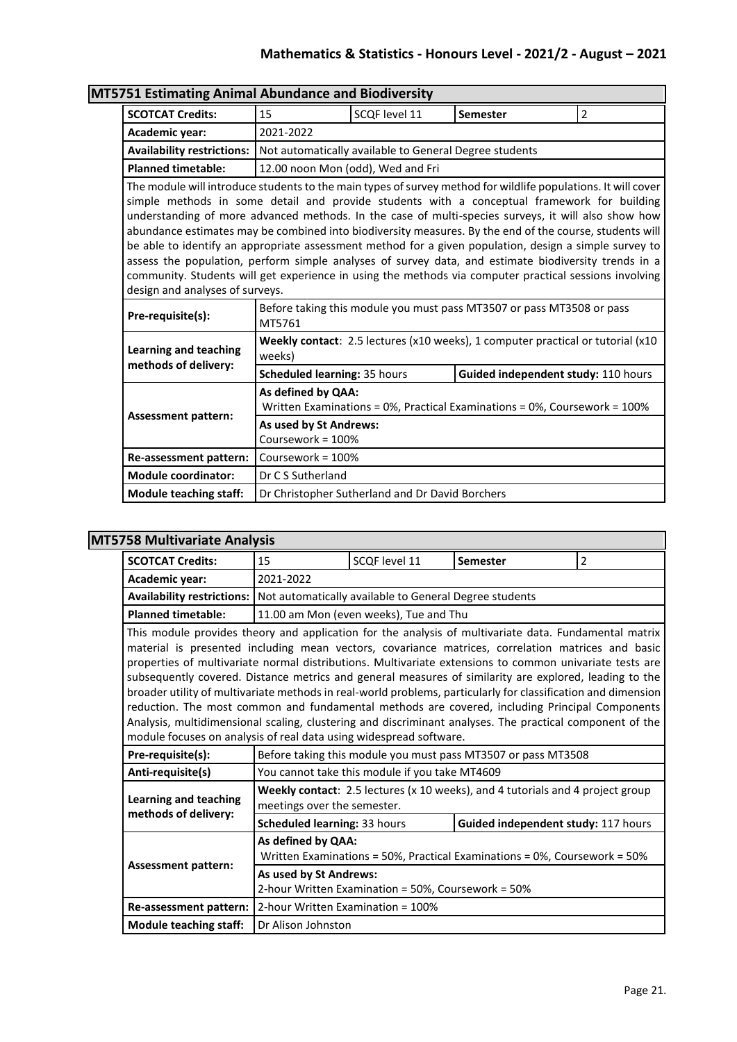| 5751 Estimating Animal Abundance and Biodiversity                                                                                                                                                                                                                                                                                                                                                                                                                                                                                                                                                                                                                                                                                                                                                                                                                      |                                                                                                 |                                                        |                                                                                 |                |  |
|------------------------------------------------------------------------------------------------------------------------------------------------------------------------------------------------------------------------------------------------------------------------------------------------------------------------------------------------------------------------------------------------------------------------------------------------------------------------------------------------------------------------------------------------------------------------------------------------------------------------------------------------------------------------------------------------------------------------------------------------------------------------------------------------------------------------------------------------------------------------|-------------------------------------------------------------------------------------------------|--------------------------------------------------------|---------------------------------------------------------------------------------|----------------|--|
| <b>SCOTCAT Credits:</b>                                                                                                                                                                                                                                                                                                                                                                                                                                                                                                                                                                                                                                                                                                                                                                                                                                                | 15                                                                                              | SCQF level 11                                          | <b>Semester</b>                                                                 | $\overline{2}$ |  |
| Academic year:                                                                                                                                                                                                                                                                                                                                                                                                                                                                                                                                                                                                                                                                                                                                                                                                                                                         | 2021-2022                                                                                       |                                                        |                                                                                 |                |  |
| <b>Availability restrictions:</b>                                                                                                                                                                                                                                                                                                                                                                                                                                                                                                                                                                                                                                                                                                                                                                                                                                      |                                                                                                 | Not automatically available to General Degree students |                                                                                 |                |  |
| <b>Planned timetable:</b>                                                                                                                                                                                                                                                                                                                                                                                                                                                                                                                                                                                                                                                                                                                                                                                                                                              | 12.00 noon Mon (odd), Wed and Fri                                                               |                                                        |                                                                                 |                |  |
| The module will introduce students to the main types of survey method for wildlife populations. It will cover<br>simple methods in some detail and provide students with a conceptual framework for building<br>understanding of more advanced methods. In the case of multi-species surveys, it will also show how<br>abundance estimates may be combined into biodiversity measures. By the end of the course, students will<br>be able to identify an appropriate assessment method for a given population, design a simple survey to<br>assess the population, perform simple analyses of survey data, and estimate biodiversity trends in a<br>community. Students will get experience in using the methods via computer practical sessions involving<br>design and analyses of surveys.<br>Before taking this module you must pass MT3507 or pass MT3508 or pass |                                                                                                 |                                                        |                                                                                 |                |  |
| Pre-requisite(s):                                                                                                                                                                                                                                                                                                                                                                                                                                                                                                                                                                                                                                                                                                                                                                                                                                                      | MT5761                                                                                          |                                                        |                                                                                 |                |  |
| <b>Learning and teaching</b>                                                                                                                                                                                                                                                                                                                                                                                                                                                                                                                                                                                                                                                                                                                                                                                                                                           | weeks)                                                                                          |                                                        | Weekly contact: 2.5 lectures (x10 weeks), 1 computer practical or tutorial (x10 |                |  |
| methods of delivery:                                                                                                                                                                                                                                                                                                                                                                                                                                                                                                                                                                                                                                                                                                                                                                                                                                                   | <b>Scheduled learning: 35 hours</b>                                                             |                                                        | Guided independent study: 110 hours                                             |                |  |
|                                                                                                                                                                                                                                                                                                                                                                                                                                                                                                                                                                                                                                                                                                                                                                                                                                                                        | As defined by QAA:<br>Written Examinations = 0%, Practical Examinations = 0%, Coursework = 100% |                                                        |                                                                                 |                |  |
| <b>Assessment pattern:</b>                                                                                                                                                                                                                                                                                                                                                                                                                                                                                                                                                                                                                                                                                                                                                                                                                                             | As used by St Andrews:<br>Coursework = 100%                                                     |                                                        |                                                                                 |                |  |
| Re-assessment pattern:                                                                                                                                                                                                                                                                                                                                                                                                                                                                                                                                                                                                                                                                                                                                                                                                                                                 | Coursework = 100%                                                                               |                                                        |                                                                                 |                |  |
| <b>Module coordinator:</b>                                                                                                                                                                                                                                                                                                                                                                                                                                                                                                                                                                                                                                                                                                                                                                                                                                             | Dr C S Sutherland                                                                               |                                                        |                                                                                 |                |  |
| <b>Module teaching staff:</b>                                                                                                                                                                                                                                                                                                                                                                                                                                                                                                                                                                                                                                                                                                                                                                                                                                          |                                                                                                 | Dr Christopher Sutherland and Dr David Borchers        |                                                                                 |                |  |

#### **MT5751 Estimating Animal Abundance and Biodiversity**

## **MT5758 Multivariate Analysis**

| <b>SCOTCAT Credits:</b>                                                                                                                                                                                                                                                                                                                                                                                                                                                                                                                                                                                                                                                                                                                                                                                                              | 15                                                                                              | SCQF level 11                                                 | <b>Semester</b>                                                                | $\overline{2}$ |  |
|--------------------------------------------------------------------------------------------------------------------------------------------------------------------------------------------------------------------------------------------------------------------------------------------------------------------------------------------------------------------------------------------------------------------------------------------------------------------------------------------------------------------------------------------------------------------------------------------------------------------------------------------------------------------------------------------------------------------------------------------------------------------------------------------------------------------------------------|-------------------------------------------------------------------------------------------------|---------------------------------------------------------------|--------------------------------------------------------------------------------|----------------|--|
| Academic year:                                                                                                                                                                                                                                                                                                                                                                                                                                                                                                                                                                                                                                                                                                                                                                                                                       | 2021-2022                                                                                       |                                                               |                                                                                |                |  |
| <b>Availability restrictions:</b>                                                                                                                                                                                                                                                                                                                                                                                                                                                                                                                                                                                                                                                                                                                                                                                                    |                                                                                                 | Not automatically available to General Degree students        |                                                                                |                |  |
| <b>Planned timetable:</b>                                                                                                                                                                                                                                                                                                                                                                                                                                                                                                                                                                                                                                                                                                                                                                                                            |                                                                                                 | 11.00 am Mon (even weeks), Tue and Thu                        |                                                                                |                |  |
| This module provides theory and application for the analysis of multivariate data. Fundamental matrix<br>material is presented including mean vectors, covariance matrices, correlation matrices and basic<br>properties of multivariate normal distributions. Multivariate extensions to common univariate tests are<br>subsequently covered. Distance metrics and general measures of similarity are explored, leading to the<br>broader utility of multivariate methods in real-world problems, particularly for classification and dimension<br>reduction. The most common and fundamental methods are covered, including Principal Components<br>Analysis, multidimensional scaling, clustering and discriminant analyses. The practical component of the<br>module focuses on analysis of real data using widespread software. |                                                                                                 |                                                               |                                                                                |                |  |
| Pre-requisite(s):                                                                                                                                                                                                                                                                                                                                                                                                                                                                                                                                                                                                                                                                                                                                                                                                                    |                                                                                                 | Before taking this module you must pass MT3507 or pass MT3508 |                                                                                |                |  |
| Anti-requisite(s)                                                                                                                                                                                                                                                                                                                                                                                                                                                                                                                                                                                                                                                                                                                                                                                                                    |                                                                                                 | You cannot take this module if you take MT4609                |                                                                                |                |  |
| <b>Learning and teaching</b><br>methods of delivery:                                                                                                                                                                                                                                                                                                                                                                                                                                                                                                                                                                                                                                                                                                                                                                                 | meetings over the semester.                                                                     |                                                               | Weekly contact: 2.5 lectures (x 10 weeks), and 4 tutorials and 4 project group |                |  |
|                                                                                                                                                                                                                                                                                                                                                                                                                                                                                                                                                                                                                                                                                                                                                                                                                                      | Scheduled learning: 33 hours                                                                    |                                                               | Guided independent study: 117 hours                                            |                |  |
| <b>Assessment pattern:</b>                                                                                                                                                                                                                                                                                                                                                                                                                                                                                                                                                                                                                                                                                                                                                                                                           | As defined by QAA:<br>Written Examinations = 50%, Practical Examinations = 0%, Coursework = 50% |                                                               |                                                                                |                |  |
|                                                                                                                                                                                                                                                                                                                                                                                                                                                                                                                                                                                                                                                                                                                                                                                                                                      | As used by St Andrews:<br>2-hour Written Examination = 50%, Coursework = 50%                    |                                                               |                                                                                |                |  |
| Re-assessment pattern:                                                                                                                                                                                                                                                                                                                                                                                                                                                                                                                                                                                                                                                                                                                                                                                                               | 2-hour Written Examination = 100%                                                               |                                                               |                                                                                |                |  |
| <b>Module teaching staff:</b>                                                                                                                                                                                                                                                                                                                                                                                                                                                                                                                                                                                                                                                                                                                                                                                                        | Dr Alison Johnston                                                                              |                                                               |                                                                                |                |  |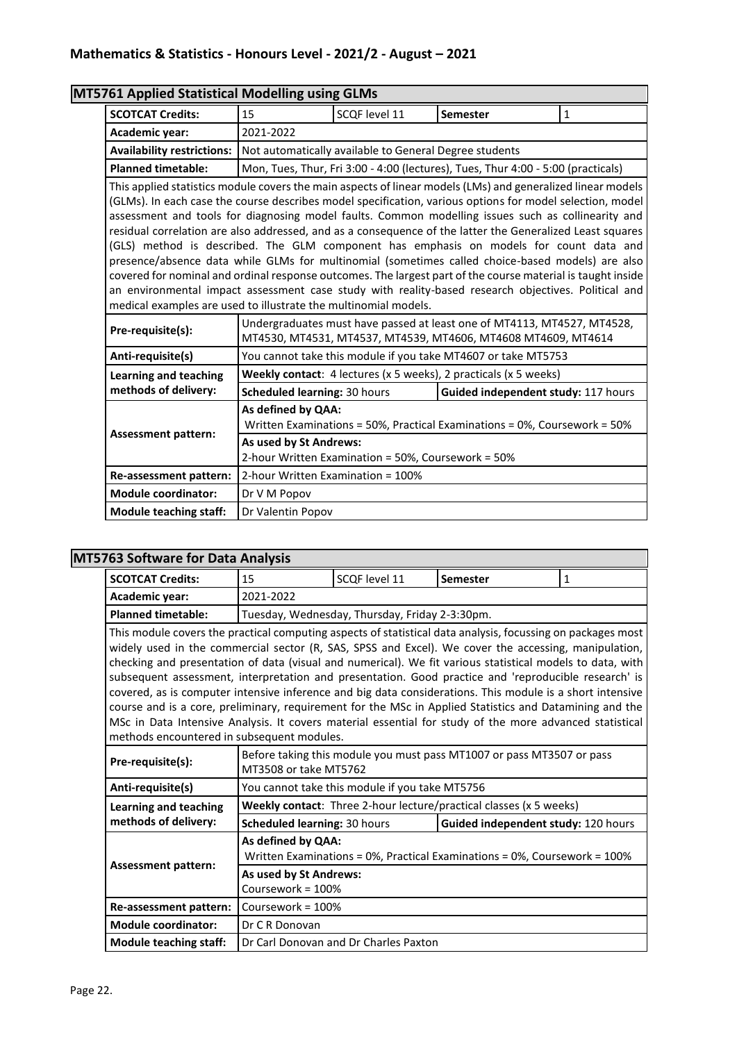|                                                                 | MT5761 Applied Statistical Modelling using GLMs                                                                                                                                                                                                                                                                                                                                                                                                                                                                                                                                                                                                                                                                                                                                                                                                                 |                                                                                                                                          |                                                                                  |              |  |  |
|-----------------------------------------------------------------|-----------------------------------------------------------------------------------------------------------------------------------------------------------------------------------------------------------------------------------------------------------------------------------------------------------------------------------------------------------------------------------------------------------------------------------------------------------------------------------------------------------------------------------------------------------------------------------------------------------------------------------------------------------------------------------------------------------------------------------------------------------------------------------------------------------------------------------------------------------------|------------------------------------------------------------------------------------------------------------------------------------------|----------------------------------------------------------------------------------|--------------|--|--|
| <b>SCOTCAT Credits:</b>                                         | 15                                                                                                                                                                                                                                                                                                                                                                                                                                                                                                                                                                                                                                                                                                                                                                                                                                                              | SCQF level 11                                                                                                                            | <b>Semester</b>                                                                  | $\mathbf{1}$ |  |  |
| Academic year:                                                  | 2021-2022                                                                                                                                                                                                                                                                                                                                                                                                                                                                                                                                                                                                                                                                                                                                                                                                                                                       |                                                                                                                                          |                                                                                  |              |  |  |
| <b>Availability restrictions:</b>                               |                                                                                                                                                                                                                                                                                                                                                                                                                                                                                                                                                                                                                                                                                                                                                                                                                                                                 | Not automatically available to General Degree students                                                                                   |                                                                                  |              |  |  |
| <b>Planned timetable:</b>                                       |                                                                                                                                                                                                                                                                                                                                                                                                                                                                                                                                                                                                                                                                                                                                                                                                                                                                 |                                                                                                                                          | Mon, Tues, Thur, Fri 3:00 - 4:00 (lectures), Tues, Thur 4:00 - 5:00 (practicals) |              |  |  |
| medical examples are used to illustrate the multinomial models. | This applied statistics module covers the main aspects of linear models (LMs) and generalized linear models<br>(GLMs). In each case the course describes model specification, various options for model selection, model<br>assessment and tools for diagnosing model faults. Common modelling issues such as collinearity and<br>residual correlation are also addressed, and as a consequence of the latter the Generalized Least squares<br>(GLS) method is described. The GLM component has emphasis on models for count data and<br>presence/absence data while GLMs for multinomial (sometimes called choice-based models) are also<br>covered for nominal and ordinal response outcomes. The largest part of the course material is taught inside<br>an environmental impact assessment case study with reality-based research objectives. Political and |                                                                                                                                          |                                                                                  |              |  |  |
| Pre-requisite(s):                                               |                                                                                                                                                                                                                                                                                                                                                                                                                                                                                                                                                                                                                                                                                                                                                                                                                                                                 | Undergraduates must have passed at least one of MT4113, MT4527, MT4528,<br>MT4530, MT4531, MT4537, MT4539, MT4606, MT4608 MT4609, MT4614 |                                                                                  |              |  |  |
| Anti-requisite(s)                                               |                                                                                                                                                                                                                                                                                                                                                                                                                                                                                                                                                                                                                                                                                                                                                                                                                                                                 |                                                                                                                                          | You cannot take this module if you take MT4607 or take MT5753                    |              |  |  |
| <b>Learning and teaching</b>                                    |                                                                                                                                                                                                                                                                                                                                                                                                                                                                                                                                                                                                                                                                                                                                                                                                                                                                 |                                                                                                                                          | Weekly contact: 4 lectures (x 5 weeks), 2 practicals (x 5 weeks)                 |              |  |  |
| methods of delivery:                                            | Scheduled learning: 30 hours                                                                                                                                                                                                                                                                                                                                                                                                                                                                                                                                                                                                                                                                                                                                                                                                                                    |                                                                                                                                          | Guided independent study: 117 hours                                              |              |  |  |
|                                                                 | As defined by QAA:                                                                                                                                                                                                                                                                                                                                                                                                                                                                                                                                                                                                                                                                                                                                                                                                                                              |                                                                                                                                          | Written Examinations = 50%, Practical Examinations = 0%, Coursework = 50%        |              |  |  |
| <b>Assessment pattern:</b>                                      | As used by St Andrews:<br>2-hour Written Examination = 50%, Coursework = 50%                                                                                                                                                                                                                                                                                                                                                                                                                                                                                                                                                                                                                                                                                                                                                                                    |                                                                                                                                          |                                                                                  |              |  |  |
| Re-assessment pattern:                                          | 2-hour Written Examination = 100%                                                                                                                                                                                                                                                                                                                                                                                                                                                                                                                                                                                                                                                                                                                                                                                                                               |                                                                                                                                          |                                                                                  |              |  |  |
| <b>Module coordinator:</b>                                      | Dr V M Popov                                                                                                                                                                                                                                                                                                                                                                                                                                                                                                                                                                                                                                                                                                                                                                                                                                                    |                                                                                                                                          |                                                                                  |              |  |  |
| <b>Module teaching staff:</b>                                   | Dr Valentin Popov                                                                                                                                                                                                                                                                                                                                                                                                                                                                                                                                                                                                                                                                                                                                                                                                                                               |                                                                                                                                          |                                                                                  |              |  |  |

| MT5763 Software for Data Analysis |  |
|-----------------------------------|--|
|-----------------------------------|--|

| <b>SCOTCAT Credits:</b>                                                                                                                                                                                                                                                                                                                                                                                                                                                                                                                                                                                                                                                                                                                                                                                                   | 15                                                                                              | SCQF level 11                                  | Semester                                                           | $\mathbf{1}$ |  |
|---------------------------------------------------------------------------------------------------------------------------------------------------------------------------------------------------------------------------------------------------------------------------------------------------------------------------------------------------------------------------------------------------------------------------------------------------------------------------------------------------------------------------------------------------------------------------------------------------------------------------------------------------------------------------------------------------------------------------------------------------------------------------------------------------------------------------|-------------------------------------------------------------------------------------------------|------------------------------------------------|--------------------------------------------------------------------|--------------|--|
| Academic year:                                                                                                                                                                                                                                                                                                                                                                                                                                                                                                                                                                                                                                                                                                                                                                                                            | 2021-2022                                                                                       |                                                |                                                                    |              |  |
| <b>Planned timetable:</b>                                                                                                                                                                                                                                                                                                                                                                                                                                                                                                                                                                                                                                                                                                                                                                                                 |                                                                                                 | Tuesday, Wednesday, Thursday, Friday 2-3:30pm. |                                                                    |              |  |
| This module covers the practical computing aspects of statistical data analysis, focussing on packages most<br>widely used in the commercial sector (R, SAS, SPSS and Excel). We cover the accessing, manipulation,<br>checking and presentation of data (visual and numerical). We fit various statistical models to data, with<br>subsequent assessment, interpretation and presentation. Good practice and 'reproducible research' is<br>covered, as is computer intensive inference and big data considerations. This module is a short intensive<br>course and is a core, preliminary, requirement for the MSc in Applied Statistics and Datamining and the<br>MSc in Data Intensive Analysis. It covers material essential for study of the more advanced statistical<br>methods encountered in subsequent modules. |                                                                                                 |                                                |                                                                    |              |  |
| Pre-requisite(s):                                                                                                                                                                                                                                                                                                                                                                                                                                                                                                                                                                                                                                                                                                                                                                                                         | Before taking this module you must pass MT1007 or pass MT3507 or pass<br>MT3508 or take MT5762  |                                                |                                                                    |              |  |
| Anti-requisite(s)                                                                                                                                                                                                                                                                                                                                                                                                                                                                                                                                                                                                                                                                                                                                                                                                         |                                                                                                 | You cannot take this module if you take MT5756 |                                                                    |              |  |
| Learning and teaching                                                                                                                                                                                                                                                                                                                                                                                                                                                                                                                                                                                                                                                                                                                                                                                                     |                                                                                                 |                                                | Weekly contact: Three 2-hour lecture/practical classes (x 5 weeks) |              |  |
| methods of delivery:                                                                                                                                                                                                                                                                                                                                                                                                                                                                                                                                                                                                                                                                                                                                                                                                      | Scheduled learning: 30 hours                                                                    |                                                | Guided independent study: 120 hours                                |              |  |
| <b>Assessment pattern:</b>                                                                                                                                                                                                                                                                                                                                                                                                                                                                                                                                                                                                                                                                                                                                                                                                | As defined by QAA:<br>Written Examinations = 0%, Practical Examinations = 0%, Coursework = 100% |                                                |                                                                    |              |  |
|                                                                                                                                                                                                                                                                                                                                                                                                                                                                                                                                                                                                                                                                                                                                                                                                                           | As used by St Andrews:<br>Coursework = 100%                                                     |                                                |                                                                    |              |  |
| Re-assessment pattern:                                                                                                                                                                                                                                                                                                                                                                                                                                                                                                                                                                                                                                                                                                                                                                                                    | Coursework = 100%                                                                               |                                                |                                                                    |              |  |
| <b>Module coordinator:</b>                                                                                                                                                                                                                                                                                                                                                                                                                                                                                                                                                                                                                                                                                                                                                                                                | Dr C R Donovan                                                                                  |                                                |                                                                    |              |  |
| <b>Module teaching staff:</b>                                                                                                                                                                                                                                                                                                                                                                                                                                                                                                                                                                                                                                                                                                                                                                                             |                                                                                                 | Dr Carl Donovan and Dr Charles Paxton          |                                                                    |              |  |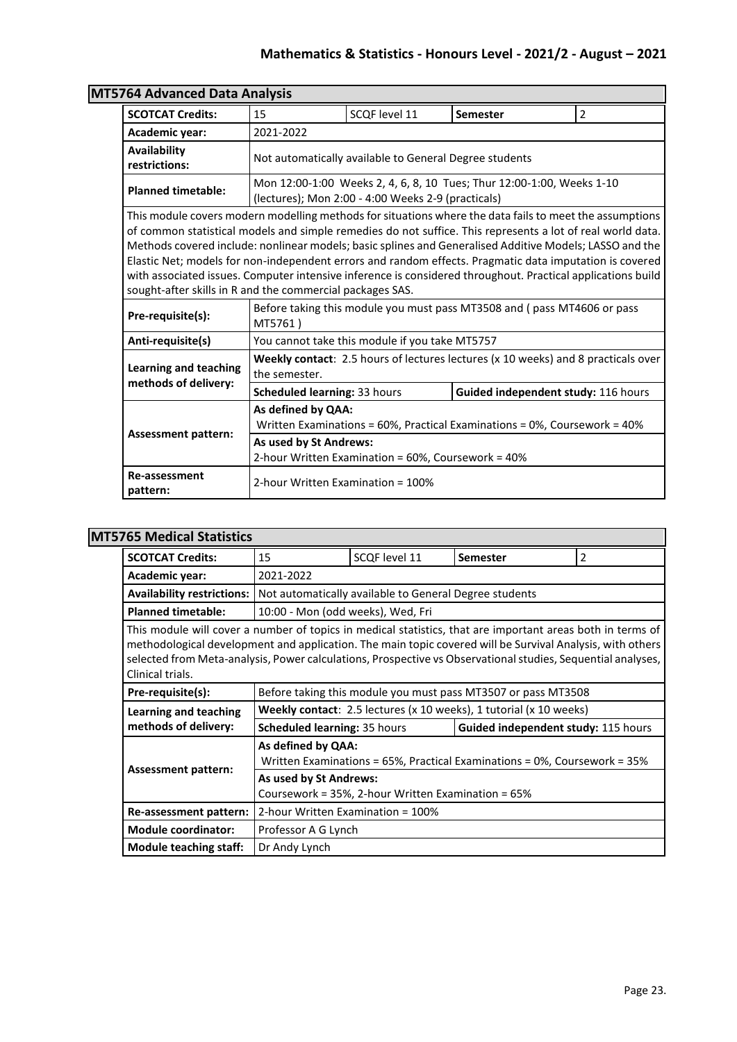| 764 Advanced Data Analysis                           |                                                                                                                                                                                                                                                                                                                                                                                                                                                                                                                                                                                                                         |                                                                              |                                                                                          |                |  |  |  |
|------------------------------------------------------|-------------------------------------------------------------------------------------------------------------------------------------------------------------------------------------------------------------------------------------------------------------------------------------------------------------------------------------------------------------------------------------------------------------------------------------------------------------------------------------------------------------------------------------------------------------------------------------------------------------------------|------------------------------------------------------------------------------|------------------------------------------------------------------------------------------|----------------|--|--|--|
| <b>SCOTCAT Credits:</b>                              | 15                                                                                                                                                                                                                                                                                                                                                                                                                                                                                                                                                                                                                      | SCOF level 11                                                                | <b>Semester</b>                                                                          | $\overline{2}$ |  |  |  |
| Academic year:                                       | 2021-2022                                                                                                                                                                                                                                                                                                                                                                                                                                                                                                                                                                                                               |                                                                              |                                                                                          |                |  |  |  |
| Availability<br>restrictions:                        |                                                                                                                                                                                                                                                                                                                                                                                                                                                                                                                                                                                                                         | Not automatically available to General Degree students                       |                                                                                          |                |  |  |  |
| <b>Planned timetable:</b>                            |                                                                                                                                                                                                                                                                                                                                                                                                                                                                                                                                                                                                                         | (lectures); Mon 2:00 - 4:00 Weeks 2-9 (practicals)                           | Mon 12:00-1:00 Weeks 2, 4, 6, 8, 10 Tues; Thur 12:00-1:00, Weeks 1-10                    |                |  |  |  |
|                                                      | This module covers modern modelling methods for situations where the data fails to meet the assumptions<br>of common statistical models and simple remedies do not suffice. This represents a lot of real world data.<br>Methods covered include: nonlinear models; basic splines and Generalised Additive Models; LASSO and the<br>Elastic Net; models for non-independent errors and random effects. Pragmatic data imputation is covered<br>with associated issues. Computer intensive inference is considered throughout. Practical applications build<br>sought-after skills in R and the commercial packages SAS. |                                                                              |                                                                                          |                |  |  |  |
| Pre-requisite(s):                                    | MT5761)                                                                                                                                                                                                                                                                                                                                                                                                                                                                                                                                                                                                                 | Before taking this module you must pass MT3508 and (pass MT4606 or pass      |                                                                                          |                |  |  |  |
| Anti-requisite(s)                                    |                                                                                                                                                                                                                                                                                                                                                                                                                                                                                                                                                                                                                         | You cannot take this module if you take MT5757                               |                                                                                          |                |  |  |  |
| <b>Learning and teaching</b><br>methods of delivery: | the semester.                                                                                                                                                                                                                                                                                                                                                                                                                                                                                                                                                                                                           |                                                                              | <b>Weekly contact:</b> 2.5 hours of lectures lectures (x 10 weeks) and 8 practicals over |                |  |  |  |
|                                                      | Scheduled learning: 33 hours                                                                                                                                                                                                                                                                                                                                                                                                                                                                                                                                                                                            |                                                                              | Guided independent study: 116 hours                                                      |                |  |  |  |
| <b>Assessment pattern:</b>                           | As defined by QAA:<br>Written Examinations = 60%, Practical Examinations = 0%, Coursework = 40%                                                                                                                                                                                                                                                                                                                                                                                                                                                                                                                         |                                                                              |                                                                                          |                |  |  |  |
|                                                      |                                                                                                                                                                                                                                                                                                                                                                                                                                                                                                                                                                                                                         | As used by St Andrews:<br>2-hour Written Examination = 60%, Coursework = 40% |                                                                                          |                |  |  |  |
| Re-assessment<br>pattern:                            | 2-hour Written Examination = 100%                                                                                                                                                                                                                                                                                                                                                                                                                                                                                                                                                                                       |                                                                              |                                                                                          |                |  |  |  |

# **MT5764 Advanced Data Analysis**

# **MT5765 Medical Statistics**

| <b>SCOTCAT Credits:</b>                                                                                                                                                                                                                                                                                                                                    | 15                                                                                              | SCQF level 11                                          | Semester                                                                   | $\overline{2}$ |
|------------------------------------------------------------------------------------------------------------------------------------------------------------------------------------------------------------------------------------------------------------------------------------------------------------------------------------------------------------|-------------------------------------------------------------------------------------------------|--------------------------------------------------------|----------------------------------------------------------------------------|----------------|
| Academic year:                                                                                                                                                                                                                                                                                                                                             | 2021-2022                                                                                       |                                                        |                                                                            |                |
| <b>Availability restrictions:</b>                                                                                                                                                                                                                                                                                                                          |                                                                                                 | Not automatically available to General Degree students |                                                                            |                |
| <b>Planned timetable:</b>                                                                                                                                                                                                                                                                                                                                  | 10:00 - Mon (odd weeks), Wed, Fri                                                               |                                                        |                                                                            |                |
| This module will cover a number of topics in medical statistics, that are important areas both in terms of<br>methodological development and application. The main topic covered will be Survival Analysis, with others<br>selected from Meta-analysis, Power calculations, Prospective vs Observational studies, Sequential analyses,<br>Clinical trials. |                                                                                                 |                                                        |                                                                            |                |
| Pre-requisite(s):                                                                                                                                                                                                                                                                                                                                          |                                                                                                 |                                                        | Before taking this module you must pass MT3507 or pass MT3508              |                |
| Learning and teaching                                                                                                                                                                                                                                                                                                                                      |                                                                                                 |                                                        | <b>Weekly contact</b> : 2.5 lectures (x 10 weeks), 1 tutorial (x 10 weeks) |                |
| methods of delivery:                                                                                                                                                                                                                                                                                                                                       | <b>Scheduled learning: 35 hours</b>                                                             |                                                        | Guided independent study: 115 hours                                        |                |
| <b>Assessment pattern:</b>                                                                                                                                                                                                                                                                                                                                 | As defined by QAA:<br>Written Examinations = 65%, Practical Examinations = 0%, Coursework = 35% |                                                        |                                                                            |                |
|                                                                                                                                                                                                                                                                                                                                                            | As used by St Andrews:<br>Coursework = 35%, 2-hour Written Examination = 65%                    |                                                        |                                                                            |                |
| Re-assessment pattern:                                                                                                                                                                                                                                                                                                                                     | 2-hour Written Examination = 100%                                                               |                                                        |                                                                            |                |
| <b>Module coordinator:</b>                                                                                                                                                                                                                                                                                                                                 | Professor A G Lynch                                                                             |                                                        |                                                                            |                |
| Module teaching staff:                                                                                                                                                                                                                                                                                                                                     | Dr Andy Lynch                                                                                   |                                                        |                                                                            |                |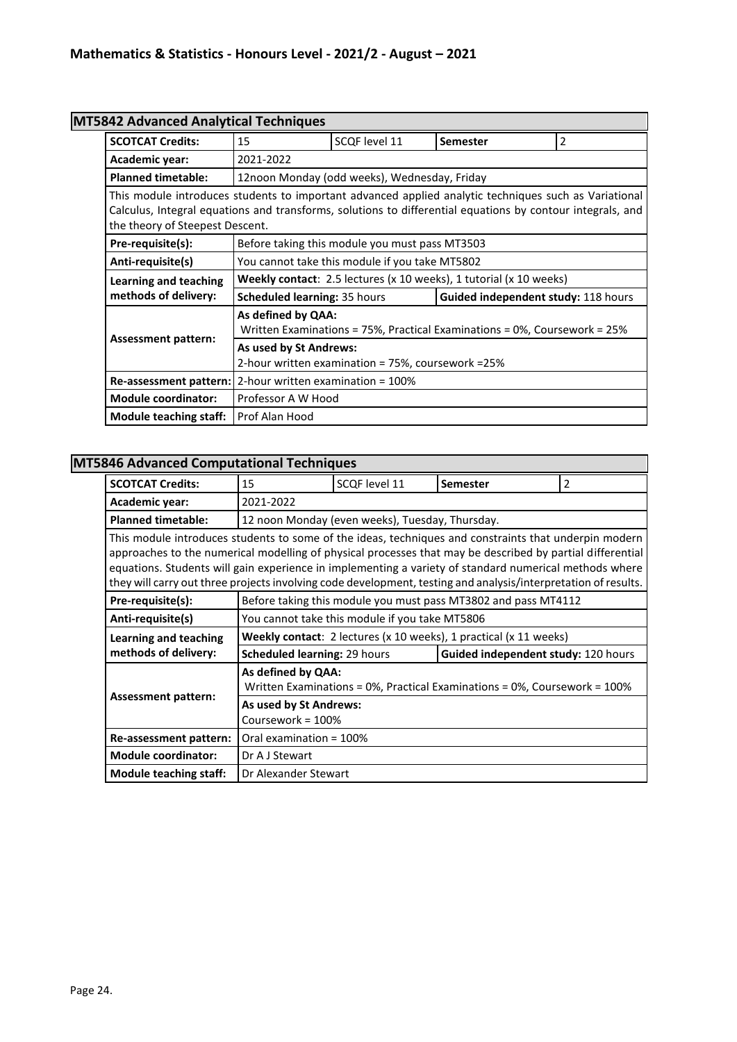### **MT5842 Advanced Analytical Techniques**

|                                                                                                                                                                                                                                                        | $1.11$ $\ldots$ $1.91$ $\ldots$ $1.91$ $\ldots$ $1.91$                                          |                                              |                                                                    |                |
|--------------------------------------------------------------------------------------------------------------------------------------------------------------------------------------------------------------------------------------------------------|-------------------------------------------------------------------------------------------------|----------------------------------------------|--------------------------------------------------------------------|----------------|
| <b>SCOTCAT Credits:</b>                                                                                                                                                                                                                                | 15                                                                                              | SCQF level 11                                | Semester                                                           | $\overline{2}$ |
| Academic year:                                                                                                                                                                                                                                         | 2021-2022                                                                                       |                                              |                                                                    |                |
| <b>Planned timetable:</b>                                                                                                                                                                                                                              |                                                                                                 | 12noon Monday (odd weeks), Wednesday, Friday |                                                                    |                |
| This module introduces students to important advanced applied analytic techniques such as Variational<br>Calculus, Integral equations and transforms, solutions to differential equations by contour integrals, and<br>the theory of Steepest Descent. |                                                                                                 |                                              |                                                                    |                |
| Pre-requisite(s):                                                                                                                                                                                                                                      | Before taking this module you must pass MT3503                                                  |                                              |                                                                    |                |
| Anti-requisite(s)                                                                                                                                                                                                                                      | You cannot take this module if you take MT5802                                                  |                                              |                                                                    |                |
| Learning and teaching                                                                                                                                                                                                                                  |                                                                                                 |                                              | Weekly contact: 2.5 lectures (x 10 weeks), 1 tutorial (x 10 weeks) |                |
| methods of delivery:                                                                                                                                                                                                                                   | <b>Scheduled learning: 35 hours</b>                                                             |                                              | Guided independent study: 118 hours                                |                |
|                                                                                                                                                                                                                                                        | As defined by QAA:<br>Written Examinations = 75%, Practical Examinations = 0%, Coursework = 25% |                                              |                                                                    |                |
| Assessment pattern:                                                                                                                                                                                                                                    | As used by St Andrews:<br>2-hour written examination = 75%, coursework = 25%                    |                                              |                                                                    |                |
| Re-assessment pattern: 2-hour written examination = 100%                                                                                                                                                                                               |                                                                                                 |                                              |                                                                    |                |
| <b>Module coordinator:</b>                                                                                                                                                                                                                             | Professor A W Hood                                                                              |                                              |                                                                    |                |
| <b>Module teaching staff:</b>                                                                                                                                                                                                                          | Prof Alan Hood                                                                                  |                                              |                                                                    |                |

### **MT5846 Advanced Computational Techniques**

| <b>SCOTCAT Credits:</b>                                                                                                                                                                                                                                                                                                                                                                                                                        | 15                                                                                              | SCQF level 11                                   | <b>Semester</b>                                                   | $\overline{2}$ |  |
|------------------------------------------------------------------------------------------------------------------------------------------------------------------------------------------------------------------------------------------------------------------------------------------------------------------------------------------------------------------------------------------------------------------------------------------------|-------------------------------------------------------------------------------------------------|-------------------------------------------------|-------------------------------------------------------------------|----------------|--|
| Academic year:                                                                                                                                                                                                                                                                                                                                                                                                                                 | 2021-2022                                                                                       |                                                 |                                                                   |                |  |
| <b>Planned timetable:</b>                                                                                                                                                                                                                                                                                                                                                                                                                      |                                                                                                 | 12 noon Monday (even weeks), Tuesday, Thursday. |                                                                   |                |  |
| This module introduces students to some of the ideas, techniques and constraints that underpin modern<br>approaches to the numerical modelling of physical processes that may be described by partial differential<br>equations. Students will gain experience in implementing a variety of standard numerical methods where<br>they will carry out three projects involving code development, testing and analysis/interpretation of results. |                                                                                                 |                                                 |                                                                   |                |  |
| Pre-requisite(s):                                                                                                                                                                                                                                                                                                                                                                                                                              |                                                                                                 |                                                 | Before taking this module you must pass MT3802 and pass MT4112    |                |  |
| Anti-requisite(s)                                                                                                                                                                                                                                                                                                                                                                                                                              |                                                                                                 | You cannot take this module if you take MT5806  |                                                                   |                |  |
| Learning and teaching                                                                                                                                                                                                                                                                                                                                                                                                                          |                                                                                                 |                                                 | Weekly contact: 2 lectures (x 10 weeks), 1 practical (x 11 weeks) |                |  |
| methods of delivery:                                                                                                                                                                                                                                                                                                                                                                                                                           | <b>Scheduled learning: 29 hours</b>                                                             |                                                 | Guided independent study: 120 hours                               |                |  |
|                                                                                                                                                                                                                                                                                                                                                                                                                                                | As defined by QAA:<br>Written Examinations = 0%, Practical Examinations = 0%, Coursework = 100% |                                                 |                                                                   |                |  |
| <b>Assessment pattern:</b>                                                                                                                                                                                                                                                                                                                                                                                                                     | As used by St Andrews:<br>Coursework = $100\%$                                                  |                                                 |                                                                   |                |  |
| Re-assessment pattern:                                                                                                                                                                                                                                                                                                                                                                                                                         | Oral examination = 100%                                                                         |                                                 |                                                                   |                |  |
| <b>Module coordinator:</b>                                                                                                                                                                                                                                                                                                                                                                                                                     | Dr A J Stewart                                                                                  |                                                 |                                                                   |                |  |
| <b>Module teaching staff:</b>                                                                                                                                                                                                                                                                                                                                                                                                                  | Dr Alexander Stewart                                                                            |                                                 |                                                                   |                |  |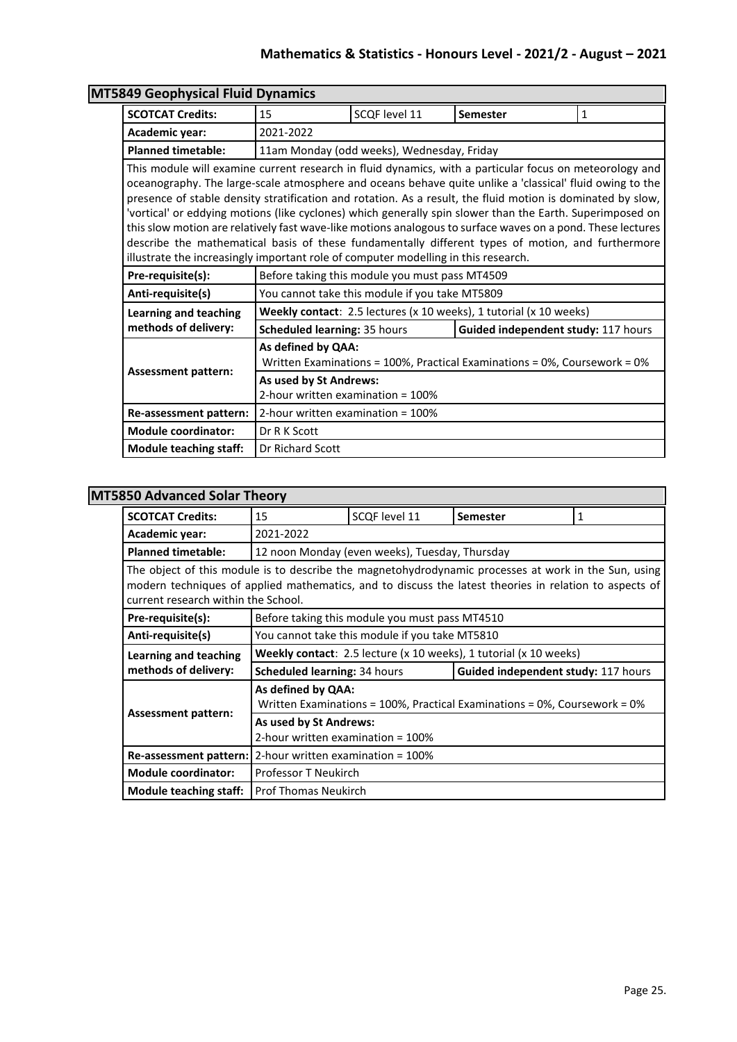| <b>MT5849 Geophysical Fluid Dynamics</b> |                                                                                                                                                                                                                                                                                                                                                                                                                                                                                                                                                                                                                                                                                                                                                           |                                                |                                                                           |   |  |
|------------------------------------------|-----------------------------------------------------------------------------------------------------------------------------------------------------------------------------------------------------------------------------------------------------------------------------------------------------------------------------------------------------------------------------------------------------------------------------------------------------------------------------------------------------------------------------------------------------------------------------------------------------------------------------------------------------------------------------------------------------------------------------------------------------------|------------------------------------------------|---------------------------------------------------------------------------|---|--|
| <b>SCOTCAT Credits:</b>                  | 15                                                                                                                                                                                                                                                                                                                                                                                                                                                                                                                                                                                                                                                                                                                                                        | SCQF level 11                                  | <b>Semester</b>                                                           | 1 |  |
| Academic year:                           | 2021-2022                                                                                                                                                                                                                                                                                                                                                                                                                                                                                                                                                                                                                                                                                                                                                 |                                                |                                                                           |   |  |
| <b>Planned timetable:</b>                |                                                                                                                                                                                                                                                                                                                                                                                                                                                                                                                                                                                                                                                                                                                                                           | 11am Monday (odd weeks), Wednesday, Friday     |                                                                           |   |  |
|                                          | This module will examine current research in fluid dynamics, with a particular focus on meteorology and<br>oceanography. The large-scale atmosphere and oceans behave quite unlike a 'classical' fluid owing to the<br>presence of stable density stratification and rotation. As a result, the fluid motion is dominated by slow,<br>'vortical' or eddying motions (like cyclones) which generally spin slower than the Earth. Superimposed on<br>this slow motion are relatively fast wave-like motions analogous to surface waves on a pond. These lectures<br>describe the mathematical basis of these fundamentally different types of motion, and furthermore<br>illustrate the increasingly important role of computer modelling in this research. |                                                |                                                                           |   |  |
| Pre-requisite(s):                        | Before taking this module you must pass MT4509                                                                                                                                                                                                                                                                                                                                                                                                                                                                                                                                                                                                                                                                                                            |                                                |                                                                           |   |  |
| Anti-requisite(s)                        |                                                                                                                                                                                                                                                                                                                                                                                                                                                                                                                                                                                                                                                                                                                                                           | You cannot take this module if you take MT5809 |                                                                           |   |  |
| <b>Learning and teaching</b>             |                                                                                                                                                                                                                                                                                                                                                                                                                                                                                                                                                                                                                                                                                                                                                           |                                                | Weekly contact: 2.5 lectures (x 10 weeks), 1 tutorial (x 10 weeks)        |   |  |
| methods of delivery:                     | Scheduled learning: 35 hours                                                                                                                                                                                                                                                                                                                                                                                                                                                                                                                                                                                                                                                                                                                              |                                                | Guided independent study: 117 hours                                       |   |  |
|                                          | As defined by QAA:                                                                                                                                                                                                                                                                                                                                                                                                                                                                                                                                                                                                                                                                                                                                        |                                                | Written Examinations = 100%, Practical Examinations = 0%, Coursework = 0% |   |  |
| <b>Assessment pattern:</b>               | As used by St Andrews:<br>2-hour written examination = 100%                                                                                                                                                                                                                                                                                                                                                                                                                                                                                                                                                                                                                                                                                               |                                                |                                                                           |   |  |
| Re-assessment pattern:                   | 2-hour written examination = $100\%$                                                                                                                                                                                                                                                                                                                                                                                                                                                                                                                                                                                                                                                                                                                      |                                                |                                                                           |   |  |
| <b>Module coordinator:</b>               | Dr R K Scott                                                                                                                                                                                                                                                                                                                                                                                                                                                                                                                                                                                                                                                                                                                                              |                                                |                                                                           |   |  |
| <b>Module teaching staff:</b>            | Dr Richard Scott                                                                                                                                                                                                                                                                                                                                                                                                                                                                                                                                                                                                                                                                                                                                          |                                                |                                                                           |   |  |

## **MT5850 Advanced Solar Theory**

| <b>SCOTCAT Credits:</b>                                                                                                                                                                                                                               | 15                                                                                                         | SCQF level 11                                                              | <b>Semester</b>                                                   | 1 |  |
|-------------------------------------------------------------------------------------------------------------------------------------------------------------------------------------------------------------------------------------------------------|------------------------------------------------------------------------------------------------------------|----------------------------------------------------------------------------|-------------------------------------------------------------------|---|--|
| Academic year:                                                                                                                                                                                                                                        | 2021-2022                                                                                                  |                                                                            |                                                                   |   |  |
| <b>Planned timetable:</b>                                                                                                                                                                                                                             |                                                                                                            | 12 noon Monday (even weeks), Tuesday, Thursday                             |                                                                   |   |  |
| The object of this module is to describe the magnetohydrodynamic processes at work in the Sun, using<br>modern techniques of applied mathematics, and to discuss the latest theories in relation to aspects of<br>current research within the School. |                                                                                                            |                                                                            |                                                                   |   |  |
| Pre-requisite(s):                                                                                                                                                                                                                                     |                                                                                                            | Before taking this module you must pass MT4510                             |                                                                   |   |  |
| Anti-requisite(s)                                                                                                                                                                                                                                     | You cannot take this module if you take MT5810                                                             |                                                                            |                                                                   |   |  |
| Learning and teaching                                                                                                                                                                                                                                 |                                                                                                            |                                                                            | Weekly contact: 2.5 lecture (x 10 weeks), 1 tutorial (x 10 weeks) |   |  |
| methods of delivery:                                                                                                                                                                                                                                  |                                                                                                            | Guided independent study: 117 hours<br><b>Scheduled learning: 34 hours</b> |                                                                   |   |  |
|                                                                                                                                                                                                                                                       | As defined by QAA:<br>Written Examinations = $100\%$ , Practical Examinations = $0\%$ , Coursework = $0\%$ |                                                                            |                                                                   |   |  |
| <b>Assessment pattern:</b>                                                                                                                                                                                                                            | As used by St Andrews:<br>2-hour written examination = 100%                                                |                                                                            |                                                                   |   |  |
| <b>Re-assessment pattern:</b> $2$ -hour written examination = $100\%$                                                                                                                                                                                 |                                                                                                            |                                                                            |                                                                   |   |  |
| <b>Module coordinator:</b>                                                                                                                                                                                                                            | <b>Professor T Neukirch</b>                                                                                |                                                                            |                                                                   |   |  |
| Module teaching staff:                                                                                                                                                                                                                                | <b>Prof Thomas Neukirch</b>                                                                                |                                                                            |                                                                   |   |  |

٦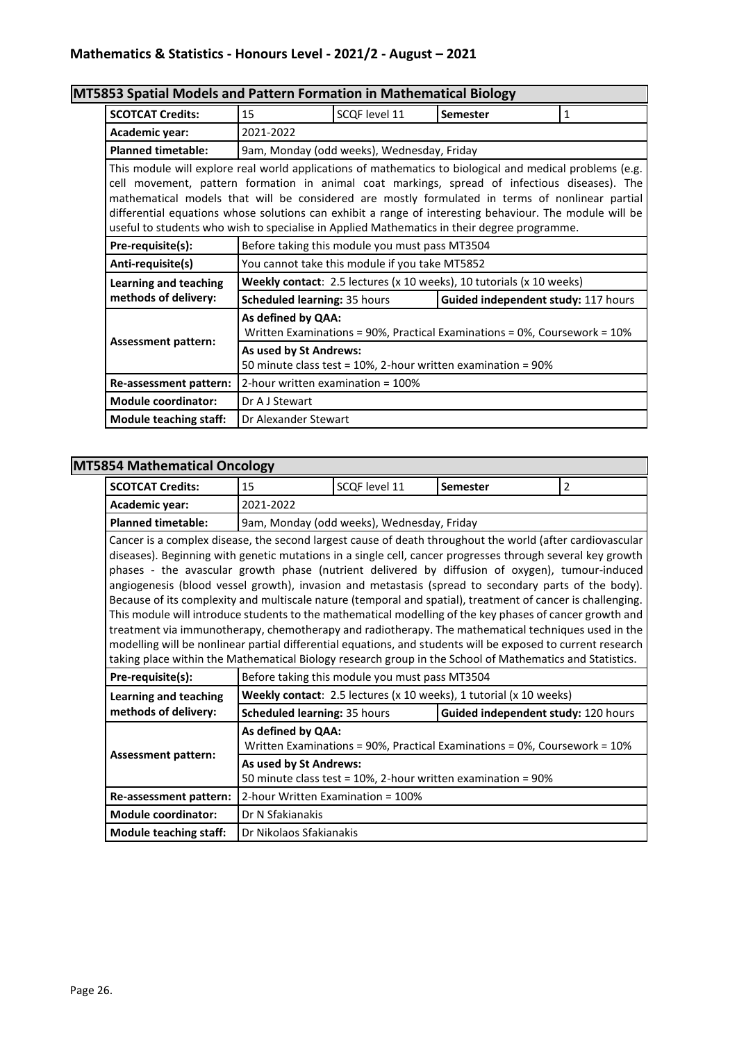# **MT5853 Spatial Models and Pattern Formation in Mathematical Biology**

| <b>SCOTCAT Credits:</b>                                                                                                                                                                                                                                                                                                                                                                                                                                                                                                | 15                                                                                                         | SCOF level 11                                  | <b>Semester</b>                                                      | 1 |  |
|------------------------------------------------------------------------------------------------------------------------------------------------------------------------------------------------------------------------------------------------------------------------------------------------------------------------------------------------------------------------------------------------------------------------------------------------------------------------------------------------------------------------|------------------------------------------------------------------------------------------------------------|------------------------------------------------|----------------------------------------------------------------------|---|--|
| Academic year:                                                                                                                                                                                                                                                                                                                                                                                                                                                                                                         | 2021-2022                                                                                                  |                                                |                                                                      |   |  |
| <b>Planned timetable:</b>                                                                                                                                                                                                                                                                                                                                                                                                                                                                                              | 9am, Monday (odd weeks), Wednesday, Friday                                                                 |                                                |                                                                      |   |  |
| This module will explore real world applications of mathematics to biological and medical problems (e.g.<br>cell movement, pattern formation in animal coat markings, spread of infectious diseases). The<br>mathematical models that will be considered are mostly formulated in terms of nonlinear partial<br>differential equations whose solutions can exhibit a range of interesting behaviour. The module will be<br>useful to students who wish to specialise in Applied Mathematics in their degree programme. |                                                                                                            |                                                |                                                                      |   |  |
| Pre-requisite(s):                                                                                                                                                                                                                                                                                                                                                                                                                                                                                                      |                                                                                                            | Before taking this module you must pass MT3504 |                                                                      |   |  |
| Anti-requisite(s)                                                                                                                                                                                                                                                                                                                                                                                                                                                                                                      | You cannot take this module if you take MT5852                                                             |                                                |                                                                      |   |  |
| Learning and teaching                                                                                                                                                                                                                                                                                                                                                                                                                                                                                                  |                                                                                                            |                                                | Weekly contact: 2.5 lectures (x 10 weeks), 10 tutorials (x 10 weeks) |   |  |
| methods of delivery:                                                                                                                                                                                                                                                                                                                                                                                                                                                                                                   | <b>Scheduled learning: 35 hours</b><br>Guided independent study: 117 hours                                 |                                                |                                                                      |   |  |
| <b>Assessment pattern:</b>                                                                                                                                                                                                                                                                                                                                                                                                                                                                                             | As defined by QAA:<br>Written Examinations = $90\%$ , Practical Examinations = $0\%$ , Coursework = $10\%$ |                                                |                                                                      |   |  |
|                                                                                                                                                                                                                                                                                                                                                                                                                                                                                                                        | As used by St Andrews:<br>50 minute class test = 10%, 2-hour written examination = 90%                     |                                                |                                                                      |   |  |
| Re-assessment pattern:                                                                                                                                                                                                                                                                                                                                                                                                                                                                                                 | 2-hour written examination = 100%                                                                          |                                                |                                                                      |   |  |
| <b>Module coordinator:</b>                                                                                                                                                                                                                                                                                                                                                                                                                                                                                             | Dr A J Stewart                                                                                             |                                                |                                                                      |   |  |
| <b>Module teaching staff:</b>                                                                                                                                                                                                                                                                                                                                                                                                                                                                                          | Dr Alexander Stewart                                                                                       |                                                |                                                                      |   |  |

### **MT5854 Mathematical Oncology**

| <b>SCOTCAT Credits:</b>       | ο,<br>15                                                                                                                                                                                                                                                                                                                                                                                                                                                                                                                                                                                                                                                                                                                                                                                                                                                                                                                                                                                         | SCQF level 11                              | <b>Semester</b> | $\overline{2}$ |  |  |
|-------------------------------|--------------------------------------------------------------------------------------------------------------------------------------------------------------------------------------------------------------------------------------------------------------------------------------------------------------------------------------------------------------------------------------------------------------------------------------------------------------------------------------------------------------------------------------------------------------------------------------------------------------------------------------------------------------------------------------------------------------------------------------------------------------------------------------------------------------------------------------------------------------------------------------------------------------------------------------------------------------------------------------------------|--------------------------------------------|-----------------|----------------|--|--|
| Academic year:                | 2021-2022                                                                                                                                                                                                                                                                                                                                                                                                                                                                                                                                                                                                                                                                                                                                                                                                                                                                                                                                                                                        |                                            |                 |                |  |  |
| <b>Planned timetable:</b>     |                                                                                                                                                                                                                                                                                                                                                                                                                                                                                                                                                                                                                                                                                                                                                                                                                                                                                                                                                                                                  | 9am, Monday (odd weeks), Wednesday, Friday |                 |                |  |  |
|                               | Cancer is a complex disease, the second largest cause of death throughout the world (after cardiovascular<br>diseases). Beginning with genetic mutations in a single cell, cancer progresses through several key growth<br>phases - the avascular growth phase (nutrient delivered by diffusion of oxygen), tumour-induced<br>angiogenesis (blood vessel growth), invasion and metastasis (spread to secondary parts of the body).<br>Because of its complexity and multiscale nature (temporal and spatial), treatment of cancer is challenging.<br>This module will introduce students to the mathematical modelling of the key phases of cancer growth and<br>treatment via immunotherapy, chemotherapy and radiotherapy. The mathematical techniques used in the<br>modelling will be nonlinear partial differential equations, and students will be exposed to current research<br>taking place within the Mathematical Biology research group in the School of Mathematics and Statistics. |                                            |                 |                |  |  |
| Pre-requisite(s):             | Before taking this module you must pass MT3504                                                                                                                                                                                                                                                                                                                                                                                                                                                                                                                                                                                                                                                                                                                                                                                                                                                                                                                                                   |                                            |                 |                |  |  |
| Learning and teaching         | Weekly contact: 2.5 lectures (x 10 weeks), 1 tutorial (x 10 weeks)                                                                                                                                                                                                                                                                                                                                                                                                                                                                                                                                                                                                                                                                                                                                                                                                                                                                                                                               |                                            |                 |                |  |  |
| methods of delivery:          | Scheduled learning: 35 hours<br>Guided independent study: 120 hours                                                                                                                                                                                                                                                                                                                                                                                                                                                                                                                                                                                                                                                                                                                                                                                                                                                                                                                              |                                            |                 |                |  |  |
| <b>Assessment pattern:</b>    | As defined by QAA:<br>Written Examinations = 90%, Practical Examinations = 0%, Coursework = 10%<br>As used by St Andrews:                                                                                                                                                                                                                                                                                                                                                                                                                                                                                                                                                                                                                                                                                                                                                                                                                                                                        |                                            |                 |                |  |  |
|                               | 50 minute class test = 10%, 2-hour written examination = 90%                                                                                                                                                                                                                                                                                                                                                                                                                                                                                                                                                                                                                                                                                                                                                                                                                                                                                                                                     |                                            |                 |                |  |  |
| Re-assessment pattern:        |                                                                                                                                                                                                                                                                                                                                                                                                                                                                                                                                                                                                                                                                                                                                                                                                                                                                                                                                                                                                  | 2-hour Written Examination = 100%          |                 |                |  |  |
| <b>Module coordinator:</b>    | Dr N Sfakianakis                                                                                                                                                                                                                                                                                                                                                                                                                                                                                                                                                                                                                                                                                                                                                                                                                                                                                                                                                                                 |                                            |                 |                |  |  |
| <b>Module teaching staff:</b> |                                                                                                                                                                                                                                                                                                                                                                                                                                                                                                                                                                                                                                                                                                                                                                                                                                                                                                                                                                                                  | Dr Nikolaos Sfakianakis                    |                 |                |  |  |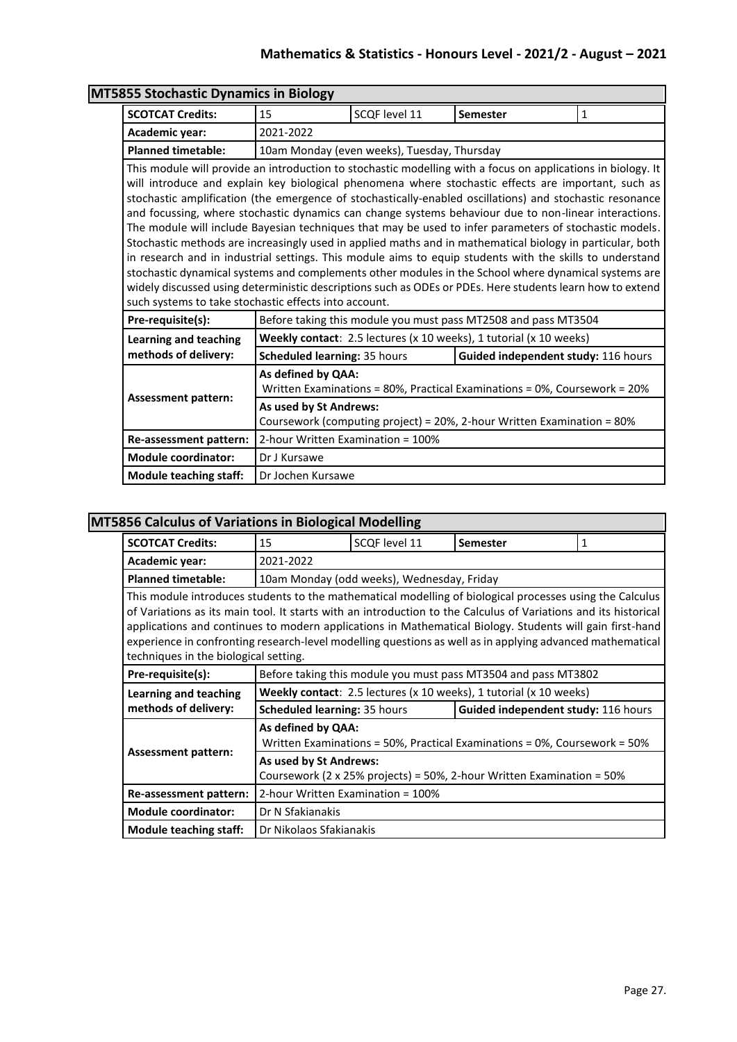### **Mathematics & Statistics - Honours Level - 2021/2 - August – 2021**

|                                                                                                                                | <b>MT5855 Stochastic Dynamics in Biology</b>                                                                                                                                                                                                                                                                                                                                                                                                                                                                                                                                                                                                                                                                                                                                                                                                                                                                                                                                                     |               |                                                                    |             |  |
|--------------------------------------------------------------------------------------------------------------------------------|--------------------------------------------------------------------------------------------------------------------------------------------------------------------------------------------------------------------------------------------------------------------------------------------------------------------------------------------------------------------------------------------------------------------------------------------------------------------------------------------------------------------------------------------------------------------------------------------------------------------------------------------------------------------------------------------------------------------------------------------------------------------------------------------------------------------------------------------------------------------------------------------------------------------------------------------------------------------------------------------------|---------------|--------------------------------------------------------------------|-------------|--|
| <b>SCOTCAT Credits:</b>                                                                                                        | 15                                                                                                                                                                                                                                                                                                                                                                                                                                                                                                                                                                                                                                                                                                                                                                                                                                                                                                                                                                                               | SCQF level 11 | Semester                                                           | $\mathbf 1$ |  |
| <b>Academic year:</b>                                                                                                          | 2021-2022                                                                                                                                                                                                                                                                                                                                                                                                                                                                                                                                                                                                                                                                                                                                                                                                                                                                                                                                                                                        |               |                                                                    |             |  |
| <b>Planned timetable:</b>                                                                                                      | 10am Monday (even weeks), Tuesday, Thursday                                                                                                                                                                                                                                                                                                                                                                                                                                                                                                                                                                                                                                                                                                                                                                                                                                                                                                                                                      |               |                                                                    |             |  |
| such systems to take stochastic effects into account.                                                                          | This module will provide an introduction to stochastic modelling with a focus on applications in biology. It<br>will introduce and explain key biological phenomena where stochastic effects are important, such as<br>stochastic amplification (the emergence of stochastically-enabled oscillations) and stochastic resonance<br>and focussing, where stochastic dynamics can change systems behaviour due to non-linear interactions.<br>The module will include Bayesian techniques that may be used to infer parameters of stochastic models.<br>Stochastic methods are increasingly used in applied maths and in mathematical biology in particular, both<br>in research and in industrial settings. This module aims to equip students with the skills to understand<br>stochastic dynamical systems and complements other modules in the School where dynamical systems are<br>widely discussed using deterministic descriptions such as ODEs or PDEs. Here students learn how to extend |               |                                                                    |             |  |
| Pre-requisite(s):                                                                                                              | Before taking this module you must pass MT2508 and pass MT3504                                                                                                                                                                                                                                                                                                                                                                                                                                                                                                                                                                                                                                                                                                                                                                                                                                                                                                                                   |               |                                                                    |             |  |
| <b>Learning and teaching</b>                                                                                                   |                                                                                                                                                                                                                                                                                                                                                                                                                                                                                                                                                                                                                                                                                                                                                                                                                                                                                                                                                                                                  |               | Weekly contact: 2.5 lectures (x 10 weeks), 1 tutorial (x 10 weeks) |             |  |
| methods of delivery:                                                                                                           | Scheduled learning: 35 hours                                                                                                                                                                                                                                                                                                                                                                                                                                                                                                                                                                                                                                                                                                                                                                                                                                                                                                                                                                     |               | Guided independent study: 116 hours                                |             |  |
|                                                                                                                                | As defined by QAA:<br>Written Examinations = 80%, Practical Examinations = 0%, Coursework = 20%                                                                                                                                                                                                                                                                                                                                                                                                                                                                                                                                                                                                                                                                                                                                                                                                                                                                                                  |               |                                                                    |             |  |
| <b>Assessment pattern:</b><br>As used by St Andrews:<br>Coursework (computing project) = 20%, 2-hour Written Examination = 80% |                                                                                                                                                                                                                                                                                                                                                                                                                                                                                                                                                                                                                                                                                                                                                                                                                                                                                                                                                                                                  |               |                                                                    |             |  |
| Re-assessment pattern:                                                                                                         | 2-hour Written Examination = 100%                                                                                                                                                                                                                                                                                                                                                                                                                                                                                                                                                                                                                                                                                                                                                                                                                                                                                                                                                                |               |                                                                    |             |  |
| <b>Module coordinator:</b>                                                                                                     | Dr J Kursawe                                                                                                                                                                                                                                                                                                                                                                                                                                                                                                                                                                                                                                                                                                                                                                                                                                                                                                                                                                                     |               |                                                                    |             |  |
|                                                                                                                                |                                                                                                                                                                                                                                                                                                                                                                                                                                                                                                                                                                                                                                                                                                                                                                                                                                                                                                                                                                                                  |               |                                                                    |             |  |

# **MT5856 Calculus of Variations in Biological Modelling**

| sa aalaalaa ol vallatiolla ili piologital moachilig                                                                                                                                                                                                                                                                                                                                                                                                                                           |                                                                                                    |               |                                                                           |   |
|-----------------------------------------------------------------------------------------------------------------------------------------------------------------------------------------------------------------------------------------------------------------------------------------------------------------------------------------------------------------------------------------------------------------------------------------------------------------------------------------------|----------------------------------------------------------------------------------------------------|---------------|---------------------------------------------------------------------------|---|
| <b>SCOTCAT Credits:</b>                                                                                                                                                                                                                                                                                                                                                                                                                                                                       | 15                                                                                                 | SCOF level 11 | <b>Semester</b>                                                           | 1 |
| Academic year:                                                                                                                                                                                                                                                                                                                                                                                                                                                                                | 2021-2022                                                                                          |               |                                                                           |   |
| <b>Planned timetable:</b>                                                                                                                                                                                                                                                                                                                                                                                                                                                                     | 10am Monday (odd weeks), Wednesday, Friday                                                         |               |                                                                           |   |
| This module introduces students to the mathematical modelling of biological processes using the Calculus<br>of Variations as its main tool. It starts with an introduction to the Calculus of Variations and its historical<br>applications and continues to modern applications in Mathematical Biology. Students will gain first-hand<br>experience in confronting research-level modelling questions as well as in applying advanced mathematical<br>techniques in the biological setting. |                                                                                                    |               |                                                                           |   |
| Pre-requisite(s):                                                                                                                                                                                                                                                                                                                                                                                                                                                                             |                                                                                                    |               | Before taking this module you must pass MT3504 and pass MT3802            |   |
| Learning and teaching                                                                                                                                                                                                                                                                                                                                                                                                                                                                         |                                                                                                    |               | <b>Weekly contact:</b> 2.5 lectures (x 10 weeks), 1 tutorial (x 10 weeks) |   |
| methods of delivery:                                                                                                                                                                                                                                                                                                                                                                                                                                                                          | Guided independent study: 116 hours<br><b>Scheduled learning: 35 hours</b>                         |               |                                                                           |   |
| <b>Assessment pattern:</b>                                                                                                                                                                                                                                                                                                                                                                                                                                                                    | As defined by QAA:<br>Written Examinations = 50%, Practical Examinations = 0%, Coursework = 50%    |               |                                                                           |   |
|                                                                                                                                                                                                                                                                                                                                                                                                                                                                                               | As used by St Andrews:<br>Coursework (2 x 25% projects) = 50%, 2-hour Written Examination = $50\%$ |               |                                                                           |   |
| Re-assessment pattern:                                                                                                                                                                                                                                                                                                                                                                                                                                                                        | 2-hour Written Examination = 100%                                                                  |               |                                                                           |   |
| <b>Module coordinator:</b>                                                                                                                                                                                                                                                                                                                                                                                                                                                                    | Dr N Sfakianakis                                                                                   |               |                                                                           |   |
| <b>Module teaching staff:</b>                                                                                                                                                                                                                                                                                                                                                                                                                                                                 | Dr Nikolaos Sfakianakis                                                                            |               |                                                                           |   |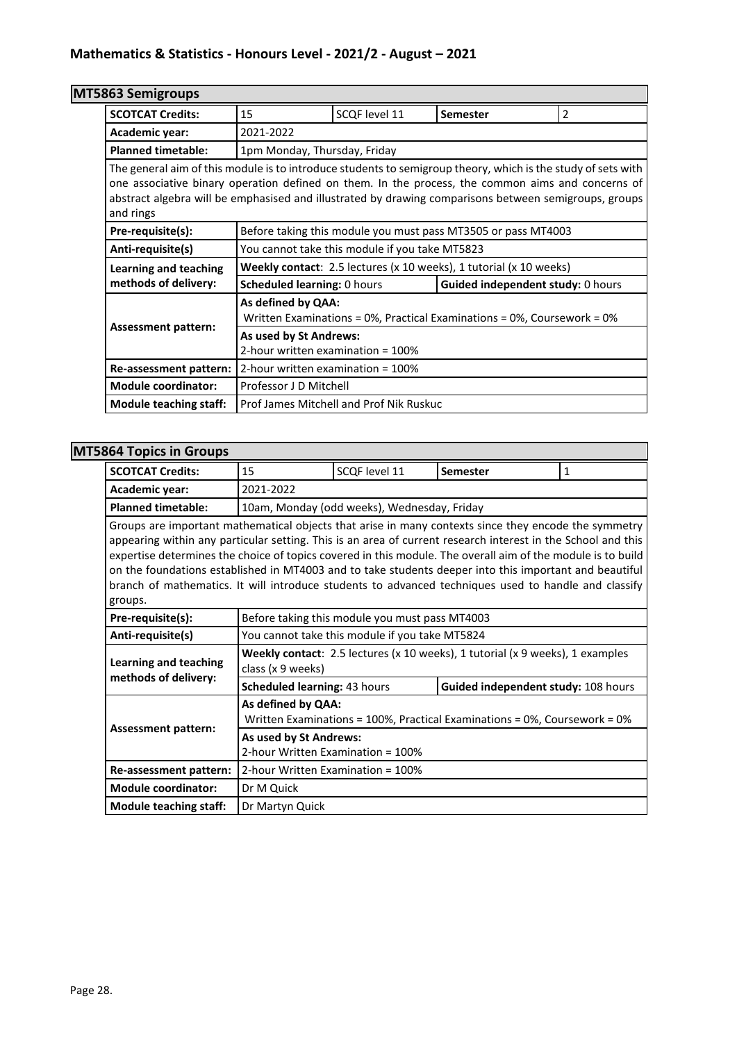| MT5863 Semigroups             |                                                                                                                                                                                                                                                                                                                            |                                                               |                                   |   |  |  |
|-------------------------------|----------------------------------------------------------------------------------------------------------------------------------------------------------------------------------------------------------------------------------------------------------------------------------------------------------------------------|---------------------------------------------------------------|-----------------------------------|---|--|--|
| <b>SCOTCAT Credits:</b>       | 15                                                                                                                                                                                                                                                                                                                         | SCQF level 11                                                 | Semester                          | 2 |  |  |
| Academic year:                | 2021-2022                                                                                                                                                                                                                                                                                                                  |                                                               |                                   |   |  |  |
| <b>Planned timetable:</b>     | 1pm Monday, Thursday, Friday                                                                                                                                                                                                                                                                                               |                                                               |                                   |   |  |  |
| and rings                     | The general aim of this module is to introduce students to semigroup theory, which is the study of sets with<br>one associative binary operation defined on them. In the process, the common aims and concerns of<br>abstract algebra will be emphasised and illustrated by drawing comparisons between semigroups, groups |                                                               |                                   |   |  |  |
| Pre-requisite(s):             |                                                                                                                                                                                                                                                                                                                            | Before taking this module you must pass MT3505 or pass MT4003 |                                   |   |  |  |
| Anti-requisite(s)             | You cannot take this module if you take MT5823                                                                                                                                                                                                                                                                             |                                                               |                                   |   |  |  |
| <b>Learning and teaching</b>  | Weekly contact: 2.5 lectures (x 10 weeks), 1 tutorial (x 10 weeks)                                                                                                                                                                                                                                                         |                                                               |                                   |   |  |  |
| methods of delivery:          | <b>Scheduled learning: 0 hours</b>                                                                                                                                                                                                                                                                                         |                                                               | Guided independent study: 0 hours |   |  |  |
| <b>Assessment pattern:</b>    | As defined by QAA:<br>Written Examinations = $0\%$ , Practical Examinations = $0\%$ , Coursework = $0\%$                                                                                                                                                                                                                   |                                                               |                                   |   |  |  |
|                               | As used by St Andrews:<br>2-hour written examination = 100%                                                                                                                                                                                                                                                                |                                                               |                                   |   |  |  |
| Re-assessment pattern:        | 2-hour written examination = 100%                                                                                                                                                                                                                                                                                          |                                                               |                                   |   |  |  |
| <b>Module coordinator:</b>    | Professor J D Mitchell                                                                                                                                                                                                                                                                                                     |                                                               |                                   |   |  |  |
| <b>Module teaching staff:</b> |                                                                                                                                                                                                                                                                                                                            | Prof James Mitchell and Prof Nik Ruskuc                       |                                   |   |  |  |

### **MT5864 Topics in Groups**

| 007 100109 III 010003                                                                                                                                                                                                                                                                                                                                                                                                                                                                                                                                            |                                                                                                    |                                   |                 |              |  |  |
|------------------------------------------------------------------------------------------------------------------------------------------------------------------------------------------------------------------------------------------------------------------------------------------------------------------------------------------------------------------------------------------------------------------------------------------------------------------------------------------------------------------------------------------------------------------|----------------------------------------------------------------------------------------------------|-----------------------------------|-----------------|--------------|--|--|
| <b>SCOTCAT Credits:</b>                                                                                                                                                                                                                                                                                                                                                                                                                                                                                                                                          | 15                                                                                                 | SCQF level 11                     | <b>Semester</b> | $\mathbf{1}$ |  |  |
| Academic year:                                                                                                                                                                                                                                                                                                                                                                                                                                                                                                                                                   | 2021-2022                                                                                          |                                   |                 |              |  |  |
| <b>Planned timetable:</b>                                                                                                                                                                                                                                                                                                                                                                                                                                                                                                                                        | 10am, Monday (odd weeks), Wednesday, Friday                                                        |                                   |                 |              |  |  |
| Groups are important mathematical objects that arise in many contexts since they encode the symmetry<br>appearing within any particular setting. This is an area of current research interest in the School and this<br>expertise determines the choice of topics covered in this module. The overall aim of the module is to build<br>on the foundations established in MT4003 and to take students deeper into this important and beautiful<br>branch of mathematics. It will introduce students to advanced techniques used to handle and classify<br>groups. |                                                                                                    |                                   |                 |              |  |  |
| Pre-requisite(s):                                                                                                                                                                                                                                                                                                                                                                                                                                                                                                                                                | Before taking this module you must pass MT4003                                                     |                                   |                 |              |  |  |
| Anti-requisite(s)                                                                                                                                                                                                                                                                                                                                                                                                                                                                                                                                                | You cannot take this module if you take MT5824                                                     |                                   |                 |              |  |  |
| <b>Learning and teaching</b>                                                                                                                                                                                                                                                                                                                                                                                                                                                                                                                                     | Weekly contact: 2.5 lectures (x 10 weeks), 1 tutorial (x 9 weeks), 1 examples<br>class (x 9 weeks) |                                   |                 |              |  |  |
| methods of delivery:                                                                                                                                                                                                                                                                                                                                                                                                                                                                                                                                             | Guided independent study: 108 hours<br>Scheduled learning: 43 hours                                |                                   |                 |              |  |  |
| <b>Assessment pattern:</b>                                                                                                                                                                                                                                                                                                                                                                                                                                                                                                                                       | As defined by QAA:<br>Written Examinations = 100%, Practical Examinations = 0%, Coursework = 0%    |                                   |                 |              |  |  |
|                                                                                                                                                                                                                                                                                                                                                                                                                                                                                                                                                                  | As used by St Andrews:<br>2-hour Written Examination = 100%                                        |                                   |                 |              |  |  |
| Re-assessment pattern:                                                                                                                                                                                                                                                                                                                                                                                                                                                                                                                                           |                                                                                                    | 2-hour Written Examination = 100% |                 |              |  |  |
| <b>Module coordinator:</b>                                                                                                                                                                                                                                                                                                                                                                                                                                                                                                                                       | Dr M Quick                                                                                         |                                   |                 |              |  |  |
| <b>Module teaching staff:</b>                                                                                                                                                                                                                                                                                                                                                                                                                                                                                                                                    | Dr Martyn Quick                                                                                    |                                   |                 |              |  |  |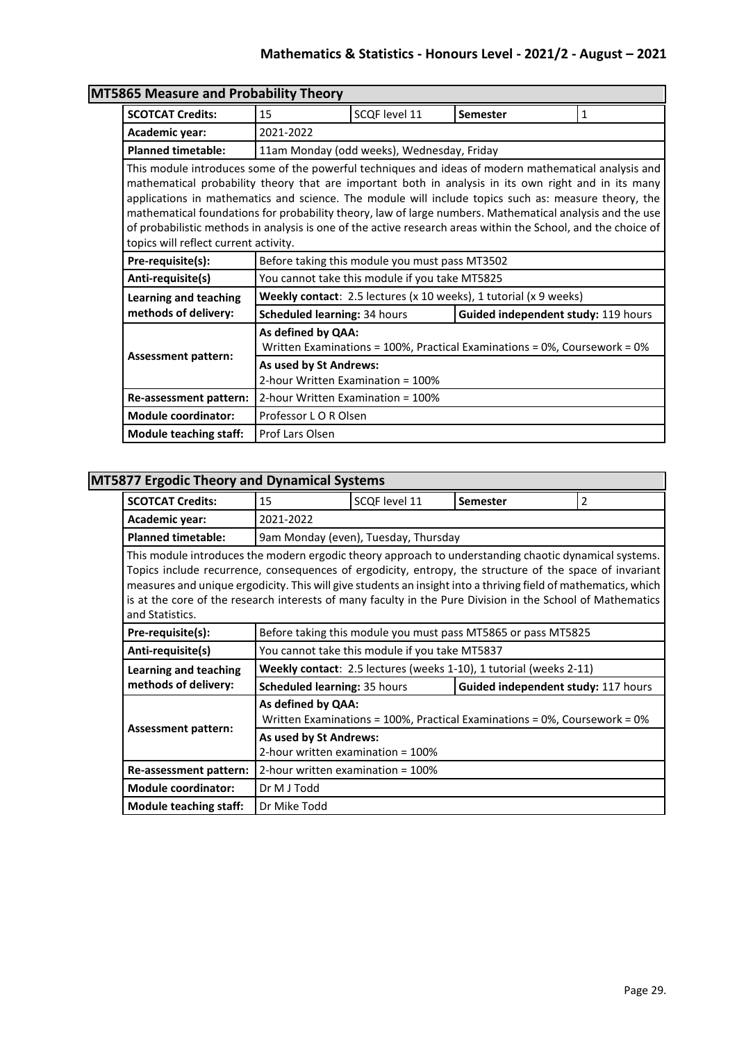|                                       | <b>MT5865 Measure and Probability Theory</b>                                                                                                                                                                                                                                                                                                                                                                                                                                                                                                      |                                            |                                                                   |   |  |
|---------------------------------------|---------------------------------------------------------------------------------------------------------------------------------------------------------------------------------------------------------------------------------------------------------------------------------------------------------------------------------------------------------------------------------------------------------------------------------------------------------------------------------------------------------------------------------------------------|--------------------------------------------|-------------------------------------------------------------------|---|--|
| <b>SCOTCAT Credits:</b>               | 15                                                                                                                                                                                                                                                                                                                                                                                                                                                                                                                                                | SCOF level 11                              | <b>Semester</b>                                                   | 1 |  |
| Academic year:                        | 2021-2022                                                                                                                                                                                                                                                                                                                                                                                                                                                                                                                                         |                                            |                                                                   |   |  |
| <b>Planned timetable:</b>             |                                                                                                                                                                                                                                                                                                                                                                                                                                                                                                                                                   | 11am Monday (odd weeks), Wednesday, Friday |                                                                   |   |  |
| topics will reflect current activity. | This module introduces some of the powerful techniques and ideas of modern mathematical analysis and<br>mathematical probability theory that are important both in analysis in its own right and in its many<br>applications in mathematics and science. The module will include topics such as: measure theory, the<br>mathematical foundations for probability theory, law of large numbers. Mathematical analysis and the use<br>of probabilistic methods in analysis is one of the active research areas within the School, and the choice of |                                            |                                                                   |   |  |
| Pre-requisite(s):                     | Before taking this module you must pass MT3502                                                                                                                                                                                                                                                                                                                                                                                                                                                                                                    |                                            |                                                                   |   |  |
| Anti-requisite(s)                     | You cannot take this module if you take MT5825                                                                                                                                                                                                                                                                                                                                                                                                                                                                                                    |                                            |                                                                   |   |  |
| Learning and teaching                 |                                                                                                                                                                                                                                                                                                                                                                                                                                                                                                                                                   |                                            | Weekly contact: 2.5 lectures (x 10 weeks), 1 tutorial (x 9 weeks) |   |  |
| methods of delivery:                  | Scheduled learning: 34 hours                                                                                                                                                                                                                                                                                                                                                                                                                                                                                                                      |                                            | Guided independent study: 119 hours                               |   |  |
|                                       | As defined by QAA:<br>Written Examinations = 100%, Practical Examinations = 0%, Coursework = 0%                                                                                                                                                                                                                                                                                                                                                                                                                                                   |                                            |                                                                   |   |  |
| <b>Assessment pattern:</b>            | As used by St Andrews:<br>2-hour Written Examination = 100%                                                                                                                                                                                                                                                                                                                                                                                                                                                                                       |                                            |                                                                   |   |  |
| Re-assessment pattern:                | 2-hour Written Examination = 100%                                                                                                                                                                                                                                                                                                                                                                                                                                                                                                                 |                                            |                                                                   |   |  |
| <b>Module coordinator:</b>            | Professor L O R Olsen                                                                                                                                                                                                                                                                                                                                                                                                                                                                                                                             |                                            |                                                                   |   |  |
| <b>Module teaching staff:</b>         | Prof Lars Olsen                                                                                                                                                                                                                                                                                                                                                                                                                                                                                                                                   |                                            |                                                                   |   |  |

### **MT5877 Ergodic Theory and Dynamical Systems**

| <b>SCOTCAT Credits:</b>                                                                                                                                                                                                                                                                                                                                                                                                                                             | 15                                                                                              | SCQF level 11                                  | <b>Semester</b>                                                    | 2 |  |  |
|---------------------------------------------------------------------------------------------------------------------------------------------------------------------------------------------------------------------------------------------------------------------------------------------------------------------------------------------------------------------------------------------------------------------------------------------------------------------|-------------------------------------------------------------------------------------------------|------------------------------------------------|--------------------------------------------------------------------|---|--|--|
| Academic year:                                                                                                                                                                                                                                                                                                                                                                                                                                                      | 2021-2022                                                                                       |                                                |                                                                    |   |  |  |
| <b>Planned timetable:</b>                                                                                                                                                                                                                                                                                                                                                                                                                                           | 9am Monday (even), Tuesday, Thursday                                                            |                                                |                                                                    |   |  |  |
| This module introduces the modern ergodic theory approach to understanding chaotic dynamical systems.<br>Topics include recurrence, consequences of ergodicity, entropy, the structure of the space of invariant<br>measures and unique ergodicity. This will give students an insight into a thriving field of mathematics, which<br>is at the core of the research interests of many faculty in the Pure Division in the School of Mathematics<br>and Statistics. |                                                                                                 |                                                |                                                                    |   |  |  |
| Pre-requisite(s):                                                                                                                                                                                                                                                                                                                                                                                                                                                   |                                                                                                 |                                                | Before taking this module you must pass MT5865 or pass MT5825      |   |  |  |
| Anti-requisite(s)                                                                                                                                                                                                                                                                                                                                                                                                                                                   |                                                                                                 | You cannot take this module if you take MT5837 |                                                                    |   |  |  |
| Learning and teaching                                                                                                                                                                                                                                                                                                                                                                                                                                               |                                                                                                 |                                                | Weekly contact: 2.5 lectures (weeks 1-10), 1 tutorial (weeks 2-11) |   |  |  |
| methods of delivery:                                                                                                                                                                                                                                                                                                                                                                                                                                                | Guided independent study: 117 hours<br><b>Scheduled learning: 35 hours</b>                      |                                                |                                                                    |   |  |  |
| <b>Assessment pattern:</b>                                                                                                                                                                                                                                                                                                                                                                                                                                          | As defined by QAA:<br>Written Examinations = 100%, Practical Examinations = 0%, Coursework = 0% |                                                |                                                                    |   |  |  |
|                                                                                                                                                                                                                                                                                                                                                                                                                                                                     | As used by St Andrews:<br>2-hour written examination = 100%                                     |                                                |                                                                    |   |  |  |
| Re-assessment pattern:                                                                                                                                                                                                                                                                                                                                                                                                                                              | 2-hour written examination = 100%                                                               |                                                |                                                                    |   |  |  |
| <b>Module coordinator:</b>                                                                                                                                                                                                                                                                                                                                                                                                                                          | Dr M J Todd                                                                                     |                                                |                                                                    |   |  |  |
| <b>Module teaching staff:</b>                                                                                                                                                                                                                                                                                                                                                                                                                                       | Dr Mike Todd                                                                                    |                                                |                                                                    |   |  |  |